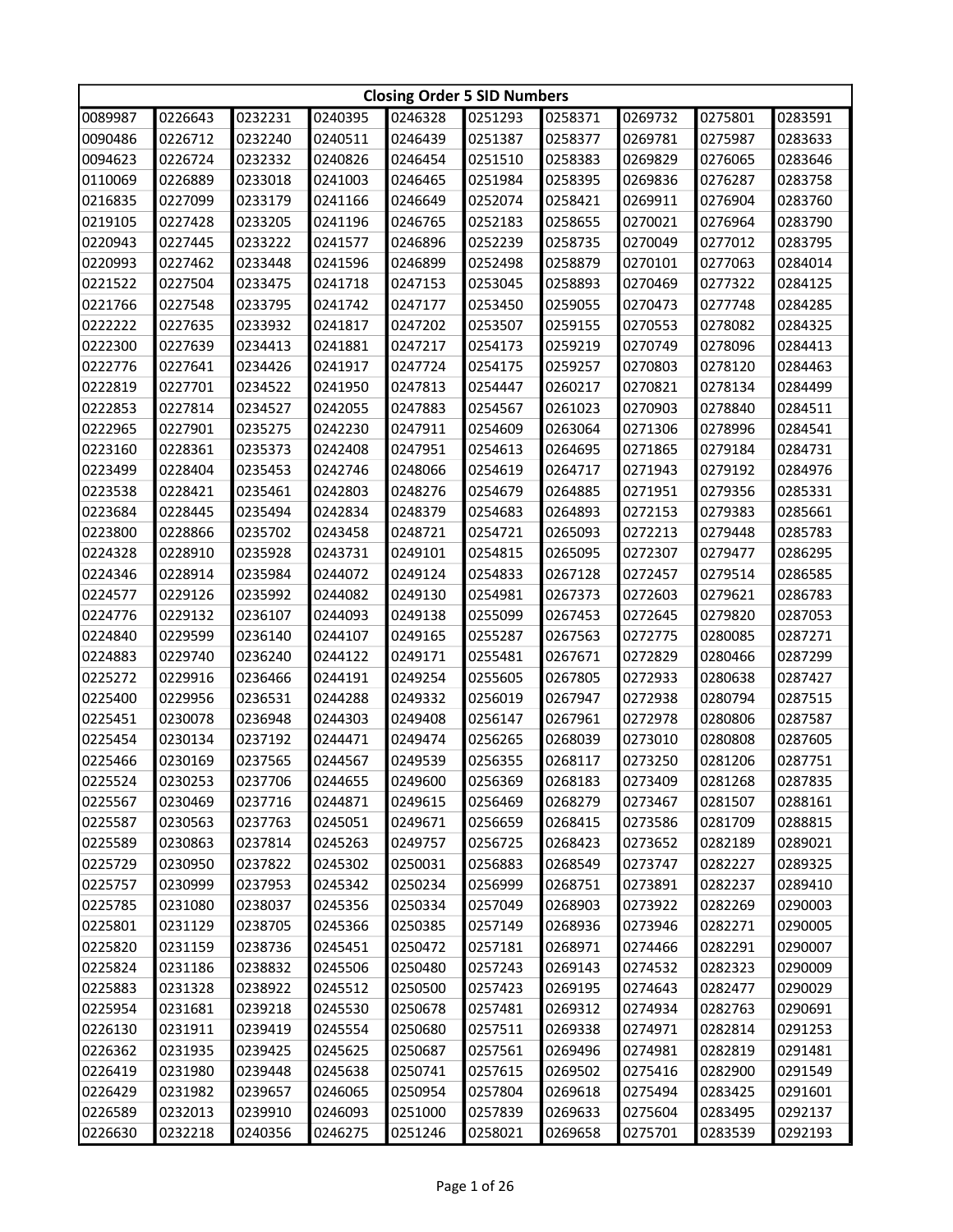|         | <b>Closing Order 5 SID Numbers</b> |         |         |         |         |         |         |         |         |  |
|---------|------------------------------------|---------|---------|---------|---------|---------|---------|---------|---------|--|
| 0089987 | 0226643                            | 0232231 | 0240395 | 0246328 | 0251293 | 0258371 | 0269732 | 0275801 | 0283591 |  |
| 0090486 | 0226712                            | 0232240 | 0240511 | 0246439 | 0251387 | 0258377 | 0269781 | 0275987 | 0283633 |  |
| 0094623 | 0226724                            | 0232332 | 0240826 | 0246454 | 0251510 | 0258383 | 0269829 | 0276065 | 0283646 |  |
| 0110069 | 0226889                            | 0233018 | 0241003 | 0246465 | 0251984 | 0258395 | 0269836 | 0276287 | 0283758 |  |
| 0216835 | 0227099                            | 0233179 | 0241166 | 0246649 | 0252074 | 0258421 | 0269911 | 0276904 | 0283760 |  |
| 0219105 | 0227428                            | 0233205 | 0241196 | 0246765 | 0252183 | 0258655 | 0270021 | 0276964 | 0283790 |  |
| 0220943 | 0227445                            | 0233222 | 0241577 | 0246896 | 0252239 | 0258735 | 0270049 | 0277012 | 0283795 |  |
| 0220993 | 0227462                            | 0233448 | 0241596 | 0246899 | 0252498 | 0258879 | 0270101 | 0277063 | 0284014 |  |
| 0221522 | 0227504                            | 0233475 | 0241718 | 0247153 | 0253045 | 0258893 | 0270469 | 0277322 | 0284125 |  |
| 0221766 | 0227548                            | 0233795 | 0241742 | 0247177 | 0253450 | 0259055 | 0270473 | 0277748 | 0284285 |  |
| 0222222 | 0227635                            | 0233932 | 0241817 | 0247202 | 0253507 | 0259155 | 0270553 | 0278082 | 0284325 |  |
| 0222300 | 0227639                            | 0234413 | 0241881 | 0247217 | 0254173 | 0259219 | 0270749 | 0278096 | 0284413 |  |
| 0222776 | 0227641                            | 0234426 | 0241917 | 0247724 | 0254175 | 0259257 | 0270803 | 0278120 | 0284463 |  |
| 0222819 | 0227701                            | 0234522 | 0241950 | 0247813 | 0254447 | 0260217 | 0270821 | 0278134 | 0284499 |  |
| 0222853 | 0227814                            | 0234527 | 0242055 | 0247883 | 0254567 | 0261023 | 0270903 | 0278840 | 0284511 |  |
| 0222965 | 0227901                            | 0235275 | 0242230 | 0247911 | 0254609 | 0263064 | 0271306 | 0278996 | 0284541 |  |
| 0223160 | 0228361                            | 0235373 | 0242408 | 0247951 | 0254613 | 0264695 | 0271865 | 0279184 | 0284731 |  |
| 0223499 | 0228404                            | 0235453 | 0242746 | 0248066 | 0254619 | 0264717 | 0271943 | 0279192 | 0284976 |  |
| 0223538 | 0228421                            | 0235461 | 0242803 | 0248276 | 0254679 | 0264885 | 0271951 | 0279356 | 0285331 |  |
| 0223684 | 0228445                            | 0235494 | 0242834 | 0248379 | 0254683 | 0264893 | 0272153 | 0279383 | 0285661 |  |
| 0223800 | 0228866                            | 0235702 | 0243458 | 0248721 | 0254721 | 0265093 | 0272213 | 0279448 | 0285783 |  |
| 0224328 | 0228910                            | 0235928 | 0243731 | 0249101 | 0254815 | 0265095 | 0272307 | 0279477 | 0286295 |  |
| 0224346 | 0228914                            | 0235984 | 0244072 | 0249124 | 0254833 | 0267128 | 0272457 | 0279514 | 0286585 |  |
| 0224577 | 0229126                            | 0235992 | 0244082 | 0249130 | 0254981 | 0267373 | 0272603 | 0279621 | 0286783 |  |
| 0224776 | 0229132                            | 0236107 | 0244093 | 0249138 | 0255099 | 0267453 | 0272645 | 0279820 | 0287053 |  |
| 0224840 | 0229599                            | 0236140 | 0244107 | 0249165 | 0255287 | 0267563 | 0272775 | 0280085 | 0287271 |  |
| 0224883 | 0229740                            | 0236240 | 0244122 | 0249171 | 0255481 | 0267671 | 0272829 | 0280466 | 0287299 |  |
| 0225272 | 0229916                            | 0236466 | 0244191 | 0249254 | 0255605 | 0267805 | 0272933 | 0280638 | 0287427 |  |
| 0225400 | 0229956                            | 0236531 | 0244288 | 0249332 | 0256019 | 0267947 | 0272938 | 0280794 | 0287515 |  |
| 0225451 | 0230078                            | 0236948 | 0244303 | 0249408 | 0256147 | 0267961 | 0272978 | 0280806 | 0287587 |  |
| 0225454 | 0230134                            | 0237192 | 0244471 | 0249474 | 0256265 | 0268039 | 0273010 | 0280808 | 0287605 |  |
| 0225466 | 0230169                            | 0237565 | 0244567 | 0249539 | 0256355 | 0268117 | 0273250 | 0281206 | 0287751 |  |
| 0225524 | 0230253                            | 0237706 | 0244655 | 0249600 | 0256369 | 0268183 | 0273409 | 0281268 | 0287835 |  |
| 0225567 | 0230469                            | 0237716 | 0244871 | 0249615 | 0256469 | 0268279 | 0273467 | 0281507 | 0288161 |  |
| 0225587 | 0230563                            | 0237763 | 0245051 | 0249671 | 0256659 | 0268415 | 0273586 | 0281709 | 0288815 |  |
| 0225589 | 0230863                            | 0237814 | 0245263 | 0249757 | 0256725 | 0268423 | 0273652 | 0282189 | 0289021 |  |
| 0225729 | 0230950                            | 0237822 | 0245302 | 0250031 | 0256883 | 0268549 | 0273747 | 0282227 | 0289325 |  |
| 0225757 | 0230999                            | 0237953 | 0245342 | 0250234 | 0256999 | 0268751 | 0273891 | 0282237 | 0289410 |  |
| 0225785 | 0231080                            | 0238037 | 0245356 | 0250334 | 0257049 | 0268903 | 0273922 | 0282269 | 0290003 |  |
| 0225801 | 0231129                            | 0238705 | 0245366 | 0250385 | 0257149 | 0268936 | 0273946 | 0282271 | 0290005 |  |
| 0225820 | 0231159                            | 0238736 | 0245451 | 0250472 | 0257181 | 0268971 | 0274466 | 0282291 | 0290007 |  |
| 0225824 | 0231186                            | 0238832 | 0245506 | 0250480 | 0257243 | 0269143 | 0274532 | 0282323 | 0290009 |  |
| 0225883 | 0231328                            | 0238922 | 0245512 | 0250500 | 0257423 | 0269195 | 0274643 | 0282477 | 0290029 |  |
| 0225954 | 0231681                            | 0239218 | 0245530 | 0250678 | 0257481 | 0269312 | 0274934 | 0282763 | 0290691 |  |
| 0226130 | 0231911                            | 0239419 | 0245554 | 0250680 | 0257511 | 0269338 | 0274971 | 0282814 | 0291253 |  |
| 0226362 | 0231935                            | 0239425 | 0245625 | 0250687 | 0257561 | 0269496 | 0274981 | 0282819 | 0291481 |  |
| 0226419 | 0231980                            | 0239448 | 0245638 | 0250741 | 0257615 | 0269502 | 0275416 | 0282900 | 0291549 |  |
| 0226429 | 0231982                            | 0239657 | 0246065 | 0250954 | 0257804 | 0269618 | 0275494 | 0283425 | 0291601 |  |
| 0226589 | 0232013                            | 0239910 | 0246093 | 0251000 | 0257839 | 0269633 | 0275604 | 0283495 | 0292137 |  |
| 0226630 | 0232218                            | 0240356 | 0246275 | 0251246 | 0258021 | 0269658 | 0275701 | 0283539 | 0292193 |  |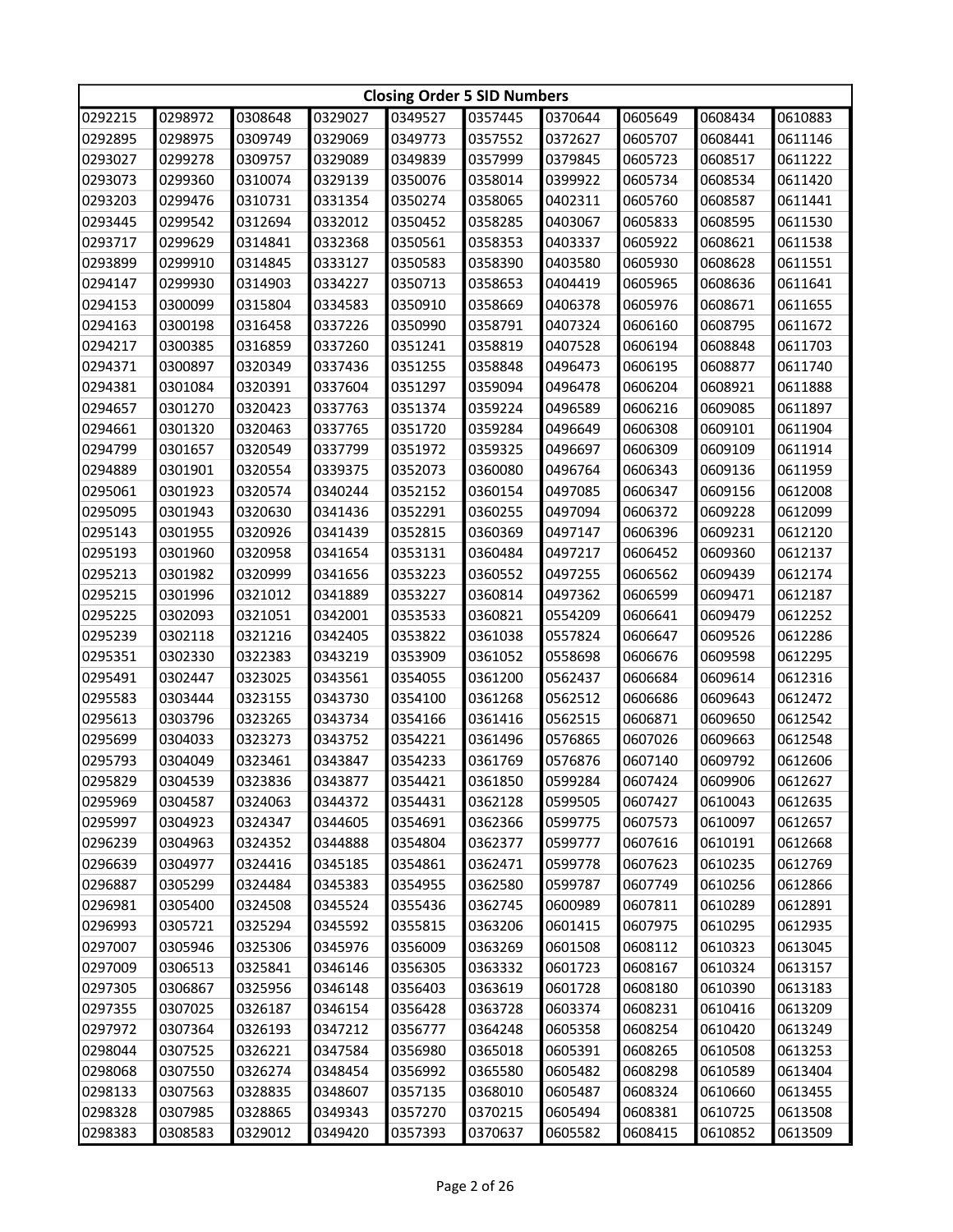|         | <b>Closing Order 5 SID Numbers</b> |         |         |         |         |         |         |         |         |  |
|---------|------------------------------------|---------|---------|---------|---------|---------|---------|---------|---------|--|
| 0292215 | 0298972                            | 0308648 | 0329027 | 0349527 | 0357445 | 0370644 | 0605649 | 0608434 | 0610883 |  |
| 0292895 | 0298975                            | 0309749 | 0329069 | 0349773 | 0357552 | 0372627 | 0605707 | 0608441 | 0611146 |  |
| 0293027 | 0299278                            | 0309757 | 0329089 | 0349839 | 0357999 | 0379845 | 0605723 | 0608517 | 0611222 |  |
| 0293073 | 0299360                            | 0310074 | 0329139 | 0350076 | 0358014 | 0399922 | 0605734 | 0608534 | 0611420 |  |
| 0293203 | 0299476                            | 0310731 | 0331354 | 0350274 | 0358065 | 0402311 | 0605760 | 0608587 | 0611441 |  |
| 0293445 | 0299542                            | 0312694 | 0332012 | 0350452 | 0358285 | 0403067 | 0605833 | 0608595 | 0611530 |  |
| 0293717 | 0299629                            | 0314841 | 0332368 | 0350561 | 0358353 | 0403337 | 0605922 | 0608621 | 0611538 |  |
| 0293899 | 0299910                            | 0314845 | 0333127 | 0350583 | 0358390 | 0403580 | 0605930 | 0608628 | 0611551 |  |
| 0294147 | 0299930                            | 0314903 | 0334227 | 0350713 | 0358653 | 0404419 | 0605965 | 0608636 | 0611641 |  |
| 0294153 | 0300099                            | 0315804 | 0334583 | 0350910 | 0358669 | 0406378 | 0605976 | 0608671 | 0611655 |  |
| 0294163 | 0300198                            | 0316458 | 0337226 | 0350990 | 0358791 | 0407324 | 0606160 | 0608795 | 0611672 |  |
| 0294217 | 0300385                            | 0316859 | 0337260 | 0351241 | 0358819 | 0407528 | 0606194 | 0608848 | 0611703 |  |
| 0294371 | 0300897                            | 0320349 | 0337436 | 0351255 | 0358848 | 0496473 | 0606195 | 0608877 | 0611740 |  |
| 0294381 | 0301084                            | 0320391 | 0337604 | 0351297 | 0359094 | 0496478 | 0606204 | 0608921 | 0611888 |  |
| 0294657 | 0301270                            | 0320423 | 0337763 | 0351374 | 0359224 | 0496589 | 0606216 | 0609085 | 0611897 |  |
| 0294661 | 0301320                            | 0320463 | 0337765 | 0351720 | 0359284 | 0496649 | 0606308 | 0609101 | 0611904 |  |
| 0294799 | 0301657                            | 0320549 | 0337799 | 0351972 | 0359325 | 0496697 | 0606309 | 0609109 | 0611914 |  |
| 0294889 | 0301901                            | 0320554 | 0339375 | 0352073 | 0360080 | 0496764 | 0606343 | 0609136 | 0611959 |  |
| 0295061 | 0301923                            | 0320574 | 0340244 | 0352152 | 0360154 | 0497085 | 0606347 | 0609156 | 0612008 |  |
| 0295095 | 0301943                            | 0320630 | 0341436 | 0352291 | 0360255 | 0497094 | 0606372 | 0609228 | 0612099 |  |
| 0295143 | 0301955                            | 0320926 | 0341439 | 0352815 | 0360369 | 0497147 | 0606396 | 0609231 | 0612120 |  |
| 0295193 | 0301960                            | 0320958 | 0341654 | 0353131 | 0360484 | 0497217 | 0606452 | 0609360 | 0612137 |  |
| 0295213 | 0301982                            | 0320999 | 0341656 | 0353223 | 0360552 | 0497255 | 0606562 | 0609439 | 0612174 |  |
| 0295215 | 0301996                            | 0321012 | 0341889 | 0353227 | 0360814 | 0497362 | 0606599 | 0609471 | 0612187 |  |
| 0295225 | 0302093                            | 0321051 | 0342001 | 0353533 | 0360821 | 0554209 | 0606641 | 0609479 | 0612252 |  |
| 0295239 | 0302118                            | 0321216 | 0342405 | 0353822 | 0361038 | 0557824 | 0606647 | 0609526 | 0612286 |  |
| 0295351 | 0302330                            | 0322383 | 0343219 | 0353909 | 0361052 | 0558698 | 0606676 | 0609598 | 0612295 |  |
| 0295491 | 0302447                            | 0323025 | 0343561 | 0354055 | 0361200 | 0562437 | 0606684 | 0609614 | 0612316 |  |
| 0295583 | 0303444                            | 0323155 | 0343730 | 0354100 | 0361268 | 0562512 | 0606686 | 0609643 | 0612472 |  |
| 0295613 | 0303796                            | 0323265 | 0343734 | 0354166 | 0361416 | 0562515 | 0606871 | 0609650 | 0612542 |  |
| 0295699 | 0304033                            | 0323273 | 0343752 | 0354221 | 0361496 | 0576865 | 0607026 | 0609663 | 0612548 |  |
| 0295793 | 0304049                            | 0323461 | 0343847 | 0354233 | 0361769 | 0576876 | 0607140 | 0609792 | 0612606 |  |
| 0295829 | 0304539                            | 0323836 | 0343877 | 0354421 | 0361850 | 0599284 | 0607424 | 0609906 | 0612627 |  |
| 0295969 | 0304587                            | 0324063 | 0344372 | 0354431 | 0362128 | 0599505 | 0607427 | 0610043 | 0612635 |  |
| 0295997 | 0304923                            | 0324347 | 0344605 | 0354691 | 0362366 | 0599775 | 0607573 | 0610097 | 0612657 |  |
| 0296239 | 0304963                            | 0324352 | 0344888 | 0354804 | 0362377 | 0599777 | 0607616 | 0610191 | 0612668 |  |
| 0296639 | 0304977                            | 0324416 | 0345185 | 0354861 | 0362471 | 0599778 | 0607623 | 0610235 | 0612769 |  |
| 0296887 | 0305299                            | 0324484 | 0345383 | 0354955 | 0362580 | 0599787 | 0607749 | 0610256 | 0612866 |  |
| 0296981 | 0305400                            | 0324508 | 0345524 | 0355436 | 0362745 | 0600989 | 0607811 | 0610289 | 0612891 |  |
| 0296993 | 0305721                            | 0325294 | 0345592 | 0355815 | 0363206 | 0601415 | 0607975 | 0610295 | 0612935 |  |
| 0297007 | 0305946                            | 0325306 | 0345976 | 0356009 | 0363269 | 0601508 | 0608112 | 0610323 | 0613045 |  |
| 0297009 | 0306513                            | 0325841 | 0346146 | 0356305 | 0363332 | 0601723 | 0608167 | 0610324 | 0613157 |  |
| 0297305 | 0306867                            | 0325956 | 0346148 | 0356403 | 0363619 | 0601728 | 0608180 | 0610390 | 0613183 |  |
| 0297355 | 0307025                            | 0326187 | 0346154 | 0356428 | 0363728 | 0603374 | 0608231 | 0610416 | 0613209 |  |
| 0297972 | 0307364                            | 0326193 | 0347212 | 0356777 | 0364248 | 0605358 | 0608254 | 0610420 | 0613249 |  |
| 0298044 | 0307525                            | 0326221 | 0347584 | 0356980 | 0365018 | 0605391 | 0608265 | 0610508 | 0613253 |  |
| 0298068 | 0307550                            | 0326274 | 0348454 | 0356992 | 0365580 | 0605482 | 0608298 | 0610589 | 0613404 |  |
| 0298133 | 0307563                            | 0328835 | 0348607 | 0357135 | 0368010 | 0605487 | 0608324 | 0610660 | 0613455 |  |
| 0298328 | 0307985                            | 0328865 | 0349343 | 0357270 | 0370215 | 0605494 | 0608381 | 0610725 | 0613508 |  |
| 0298383 | 0308583                            | 0329012 | 0349420 | 0357393 | 0370637 | 0605582 | 0608415 | 0610852 | 0613509 |  |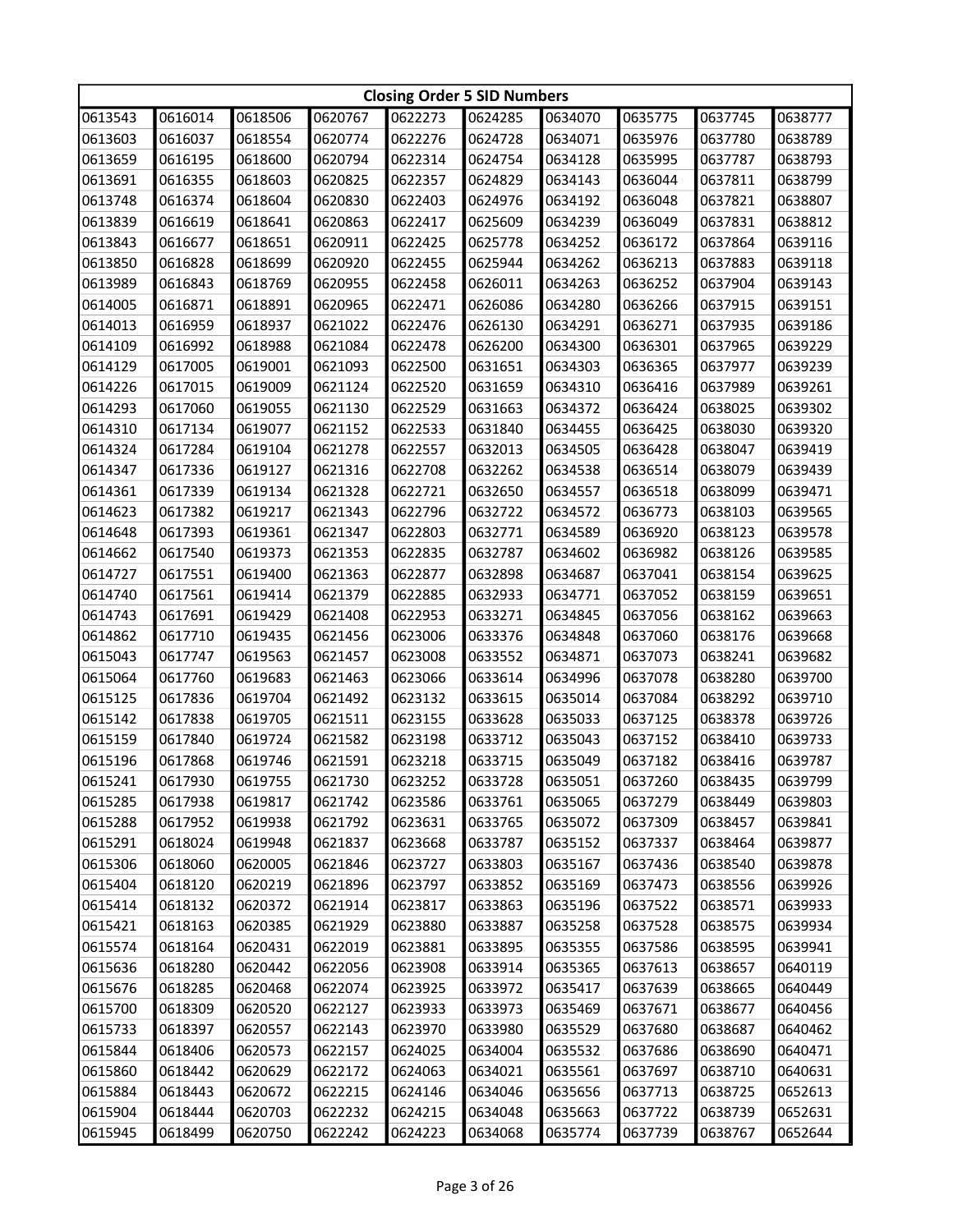|         | <b>Closing Order 5 SID Numbers</b> |         |         |         |         |         |         |         |         |  |
|---------|------------------------------------|---------|---------|---------|---------|---------|---------|---------|---------|--|
| 0613543 | 0616014                            | 0618506 | 0620767 | 0622273 | 0624285 | 0634070 | 0635775 | 0637745 | 0638777 |  |
| 0613603 | 0616037                            | 0618554 | 0620774 | 0622276 | 0624728 | 0634071 | 0635976 | 0637780 | 0638789 |  |
| 0613659 | 0616195                            | 0618600 | 0620794 | 0622314 | 0624754 | 0634128 | 0635995 | 0637787 | 0638793 |  |
| 0613691 | 0616355                            | 0618603 | 0620825 | 0622357 | 0624829 | 0634143 | 0636044 | 0637811 | 0638799 |  |
| 0613748 | 0616374                            | 0618604 | 0620830 | 0622403 | 0624976 | 0634192 | 0636048 | 0637821 | 0638807 |  |
| 0613839 | 0616619                            | 0618641 | 0620863 | 0622417 | 0625609 | 0634239 | 0636049 | 0637831 | 0638812 |  |
| 0613843 | 0616677                            | 0618651 | 0620911 | 0622425 | 0625778 | 0634252 | 0636172 | 0637864 | 0639116 |  |
| 0613850 | 0616828                            | 0618699 | 0620920 | 0622455 | 0625944 | 0634262 | 0636213 | 0637883 | 0639118 |  |
| 0613989 | 0616843                            | 0618769 | 0620955 | 0622458 | 0626011 | 0634263 | 0636252 | 0637904 | 0639143 |  |
| 0614005 | 0616871                            | 0618891 | 0620965 | 0622471 | 0626086 | 0634280 | 0636266 | 0637915 | 0639151 |  |
| 0614013 | 0616959                            | 0618937 | 0621022 | 0622476 | 0626130 | 0634291 | 0636271 | 0637935 | 0639186 |  |
| 0614109 | 0616992                            | 0618988 | 0621084 | 0622478 | 0626200 | 0634300 | 0636301 | 0637965 | 0639229 |  |
| 0614129 | 0617005                            | 0619001 | 0621093 | 0622500 | 0631651 | 0634303 | 0636365 | 0637977 | 0639239 |  |
| 0614226 | 0617015                            | 0619009 | 0621124 | 0622520 | 0631659 | 0634310 | 0636416 | 0637989 | 0639261 |  |
| 0614293 | 0617060                            | 0619055 | 0621130 | 0622529 | 0631663 | 0634372 | 0636424 | 0638025 | 0639302 |  |
| 0614310 | 0617134                            | 0619077 | 0621152 | 0622533 | 0631840 | 0634455 | 0636425 | 0638030 | 0639320 |  |
| 0614324 | 0617284                            | 0619104 | 0621278 | 0622557 | 0632013 | 0634505 | 0636428 | 0638047 | 0639419 |  |
| 0614347 | 0617336                            | 0619127 | 0621316 | 0622708 | 0632262 | 0634538 | 0636514 | 0638079 | 0639439 |  |
| 0614361 | 0617339                            | 0619134 | 0621328 | 0622721 | 0632650 | 0634557 | 0636518 | 0638099 | 0639471 |  |
| 0614623 | 0617382                            | 0619217 | 0621343 | 0622796 | 0632722 | 0634572 | 0636773 | 0638103 | 0639565 |  |
| 0614648 | 0617393                            | 0619361 | 0621347 | 0622803 | 0632771 | 0634589 | 0636920 | 0638123 | 0639578 |  |
| 0614662 | 0617540                            | 0619373 | 0621353 | 0622835 | 0632787 | 0634602 | 0636982 | 0638126 | 0639585 |  |
| 0614727 | 0617551                            | 0619400 | 0621363 | 0622877 | 0632898 | 0634687 | 0637041 | 0638154 | 0639625 |  |
| 0614740 | 0617561                            | 0619414 | 0621379 | 0622885 | 0632933 | 0634771 | 0637052 | 0638159 | 0639651 |  |
| 0614743 | 0617691                            | 0619429 | 0621408 | 0622953 | 0633271 | 0634845 | 0637056 | 0638162 | 0639663 |  |
| 0614862 | 0617710                            | 0619435 | 0621456 | 0623006 | 0633376 | 0634848 | 0637060 | 0638176 | 0639668 |  |
| 0615043 | 0617747                            | 0619563 | 0621457 | 0623008 | 0633552 | 0634871 | 0637073 | 0638241 | 0639682 |  |
| 0615064 | 0617760                            | 0619683 | 0621463 | 0623066 | 0633614 | 0634996 | 0637078 | 0638280 | 0639700 |  |
| 0615125 | 0617836                            | 0619704 | 0621492 | 0623132 | 0633615 | 0635014 | 0637084 | 0638292 | 0639710 |  |
| 0615142 | 0617838                            | 0619705 | 0621511 | 0623155 | 0633628 | 0635033 | 0637125 | 0638378 | 0639726 |  |
| 0615159 | 0617840                            | 0619724 | 0621582 | 0623198 | 0633712 | 0635043 | 0637152 | 0638410 | 0639733 |  |
| 0615196 | 0617868                            | 0619746 | 0621591 | 0623218 | 0633715 | 0635049 | 0637182 | 0638416 | 0639787 |  |
| 0615241 | 0617930                            | 0619755 | 0621730 | 0623252 | 0633728 | 0635051 | 0637260 | 0638435 | 0639799 |  |
| 0615285 | 0617938                            | 0619817 | 0621742 | 0623586 | 0633761 | 0635065 | 0637279 | 0638449 | 0639803 |  |
| 0615288 | 0617952                            | 0619938 | 0621792 | 0623631 | 0633765 | 0635072 | 0637309 | 0638457 | 0639841 |  |
| 0615291 | 0618024                            | 0619948 | 0621837 | 0623668 | 0633787 | 0635152 | 0637337 | 0638464 | 0639877 |  |
| 0615306 | 0618060                            | 0620005 | 0621846 | 0623727 | 0633803 | 0635167 | 0637436 | 0638540 | 0639878 |  |
| 0615404 | 0618120                            | 0620219 | 0621896 | 0623797 | 0633852 | 0635169 | 0637473 | 0638556 | 0639926 |  |
| 0615414 | 0618132                            | 0620372 | 0621914 | 0623817 | 0633863 | 0635196 | 0637522 | 0638571 | 0639933 |  |
| 0615421 | 0618163                            | 0620385 | 0621929 | 0623880 | 0633887 | 0635258 | 0637528 | 0638575 | 0639934 |  |
| 0615574 | 0618164                            | 0620431 | 0622019 | 0623881 | 0633895 | 0635355 | 0637586 | 0638595 | 0639941 |  |
| 0615636 | 0618280                            | 0620442 | 0622056 | 0623908 | 0633914 | 0635365 | 0637613 | 0638657 | 0640119 |  |
| 0615676 | 0618285                            | 0620468 | 0622074 | 0623925 | 0633972 | 0635417 | 0637639 | 0638665 | 0640449 |  |
| 0615700 | 0618309                            | 0620520 | 0622127 | 0623933 | 0633973 | 0635469 | 0637671 | 0638677 | 0640456 |  |
| 0615733 | 0618397                            | 0620557 | 0622143 | 0623970 | 0633980 | 0635529 | 0637680 | 0638687 | 0640462 |  |
| 0615844 | 0618406                            | 0620573 | 0622157 | 0624025 | 0634004 | 0635532 | 0637686 | 0638690 | 0640471 |  |
| 0615860 | 0618442                            | 0620629 | 0622172 | 0624063 | 0634021 | 0635561 | 0637697 | 0638710 | 0640631 |  |
| 0615884 | 0618443                            | 0620672 | 0622215 | 0624146 | 0634046 | 0635656 | 0637713 | 0638725 | 0652613 |  |
| 0615904 | 0618444                            | 0620703 | 0622232 | 0624215 | 0634048 | 0635663 | 0637722 | 0638739 | 0652631 |  |
| 0615945 | 0618499                            | 0620750 | 0622242 | 0624223 | 0634068 | 0635774 | 0637739 | 0638767 | 0652644 |  |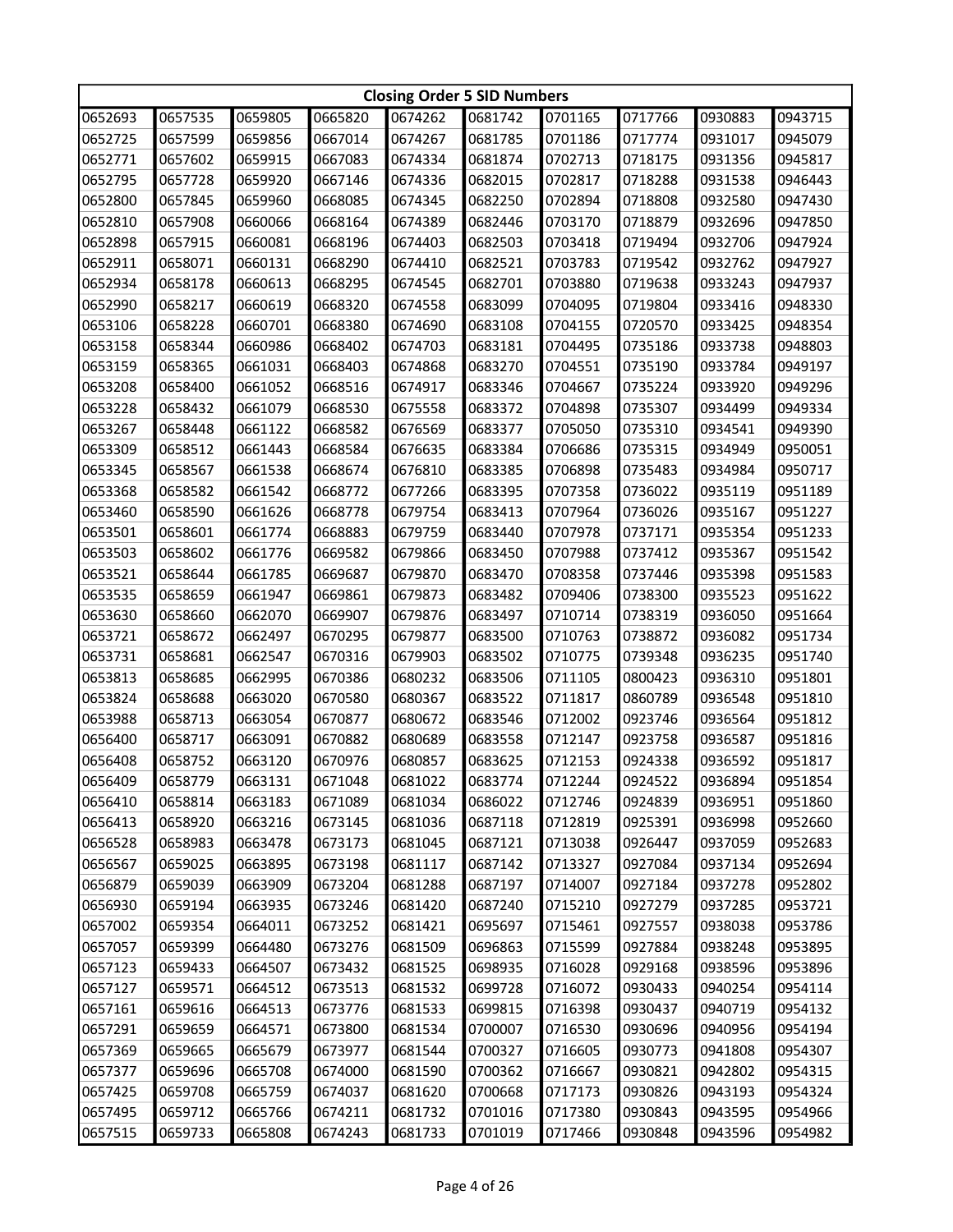|         | <b>Closing Order 5 SID Numbers</b> |         |         |         |         |         |         |         |         |  |
|---------|------------------------------------|---------|---------|---------|---------|---------|---------|---------|---------|--|
| 0652693 | 0657535                            | 0659805 | 0665820 | 0674262 | 0681742 | 0701165 | 0717766 | 0930883 | 0943715 |  |
| 0652725 | 0657599                            | 0659856 | 0667014 | 0674267 | 0681785 | 0701186 | 0717774 | 0931017 | 0945079 |  |
| 0652771 | 0657602                            | 0659915 | 0667083 | 0674334 | 0681874 | 0702713 | 0718175 | 0931356 | 0945817 |  |
| 0652795 | 0657728                            | 0659920 | 0667146 | 0674336 | 0682015 | 0702817 | 0718288 | 0931538 | 0946443 |  |
| 0652800 | 0657845                            | 0659960 | 0668085 | 0674345 | 0682250 | 0702894 | 0718808 | 0932580 | 0947430 |  |
| 0652810 | 0657908                            | 0660066 | 0668164 | 0674389 | 0682446 | 0703170 | 0718879 | 0932696 | 0947850 |  |
| 0652898 | 0657915                            | 0660081 | 0668196 | 0674403 | 0682503 | 0703418 | 0719494 | 0932706 | 0947924 |  |
| 0652911 | 0658071                            | 0660131 | 0668290 | 0674410 | 0682521 | 0703783 | 0719542 | 0932762 | 0947927 |  |
| 0652934 | 0658178                            | 0660613 | 0668295 | 0674545 | 0682701 | 0703880 | 0719638 | 0933243 | 0947937 |  |
| 0652990 | 0658217                            | 0660619 | 0668320 | 0674558 | 0683099 | 0704095 | 0719804 | 0933416 | 0948330 |  |
| 0653106 | 0658228                            | 0660701 | 0668380 | 0674690 | 0683108 | 0704155 | 0720570 | 0933425 | 0948354 |  |
| 0653158 | 0658344                            | 0660986 | 0668402 | 0674703 | 0683181 | 0704495 | 0735186 | 0933738 | 0948803 |  |
| 0653159 | 0658365                            | 0661031 | 0668403 | 0674868 | 0683270 | 0704551 | 0735190 | 0933784 | 0949197 |  |
| 0653208 | 0658400                            | 0661052 | 0668516 | 0674917 | 0683346 | 0704667 | 0735224 | 0933920 | 0949296 |  |
| 0653228 | 0658432                            | 0661079 | 0668530 | 0675558 | 0683372 | 0704898 | 0735307 | 0934499 | 0949334 |  |
| 0653267 | 0658448                            | 0661122 | 0668582 | 0676569 | 0683377 | 0705050 | 0735310 | 0934541 | 0949390 |  |
| 0653309 | 0658512                            | 0661443 | 0668584 | 0676635 | 0683384 | 0706686 | 0735315 | 0934949 | 0950051 |  |
| 0653345 | 0658567                            | 0661538 | 0668674 | 0676810 | 0683385 | 0706898 | 0735483 | 0934984 | 0950717 |  |
| 0653368 | 0658582                            | 0661542 | 0668772 | 0677266 | 0683395 | 0707358 | 0736022 | 0935119 | 0951189 |  |
| 0653460 | 0658590                            | 0661626 | 0668778 | 0679754 | 0683413 | 0707964 | 0736026 | 0935167 | 0951227 |  |
| 0653501 | 0658601                            | 0661774 | 0668883 | 0679759 | 0683440 | 0707978 | 0737171 | 0935354 | 0951233 |  |
| 0653503 | 0658602                            | 0661776 | 0669582 | 0679866 | 0683450 | 0707988 | 0737412 | 0935367 | 0951542 |  |
| 0653521 | 0658644                            | 0661785 | 0669687 | 0679870 | 0683470 | 0708358 | 0737446 | 0935398 | 0951583 |  |
| 0653535 | 0658659                            | 0661947 | 0669861 | 0679873 | 0683482 | 0709406 | 0738300 | 0935523 | 0951622 |  |
| 0653630 | 0658660                            | 0662070 | 0669907 | 0679876 | 0683497 | 0710714 | 0738319 | 0936050 | 0951664 |  |
| 0653721 | 0658672                            | 0662497 | 0670295 | 0679877 | 0683500 | 0710763 | 0738872 | 0936082 | 0951734 |  |
| 0653731 | 0658681                            | 0662547 | 0670316 | 0679903 | 0683502 | 0710775 | 0739348 | 0936235 | 0951740 |  |
| 0653813 | 0658685                            | 0662995 | 0670386 | 0680232 | 0683506 | 0711105 | 0800423 | 0936310 | 0951801 |  |
| 0653824 | 0658688                            | 0663020 | 0670580 | 0680367 | 0683522 | 0711817 | 0860789 | 0936548 | 0951810 |  |
| 0653988 | 0658713                            | 0663054 | 0670877 | 0680672 | 0683546 | 0712002 | 0923746 | 0936564 | 0951812 |  |
| 0656400 | 0658717                            | 0663091 | 0670882 | 0680689 | 0683558 | 0712147 | 0923758 | 0936587 | 0951816 |  |
| 0656408 | 0658752                            | 0663120 | 0670976 | 0680857 | 0683625 | 0712153 | 0924338 | 0936592 | 0951817 |  |
| 0656409 | 0658779                            | 0663131 | 0671048 | 0681022 | 0683774 | 0712244 | 0924522 | 0936894 | 0951854 |  |
| 0656410 | 0658814                            | 0663183 | 0671089 | 0681034 | 0686022 | 0712746 | 0924839 | 0936951 | 0951860 |  |
| 0656413 | 0658920                            | 0663216 | 0673145 | 0681036 | 0687118 | 0712819 | 0925391 | 0936998 | 0952660 |  |
| 0656528 | 0658983                            | 0663478 | 0673173 | 0681045 | 0687121 | 0713038 | 0926447 | 0937059 | 0952683 |  |
| 0656567 | 0659025                            | 0663895 | 0673198 | 0681117 | 0687142 | 0713327 | 0927084 | 0937134 | 0952694 |  |
| 0656879 | 0659039                            | 0663909 | 0673204 | 0681288 | 0687197 | 0714007 | 0927184 | 0937278 | 0952802 |  |
| 0656930 | 0659194                            | 0663935 | 0673246 | 0681420 | 0687240 | 0715210 | 0927279 | 0937285 | 0953721 |  |
| 0657002 | 0659354                            | 0664011 | 0673252 | 0681421 | 0695697 | 0715461 | 0927557 | 0938038 | 0953786 |  |
| 0657057 | 0659399                            | 0664480 | 0673276 | 0681509 | 0696863 | 0715599 | 0927884 | 0938248 | 0953895 |  |
| 0657123 | 0659433                            | 0664507 | 0673432 | 0681525 | 0698935 | 0716028 | 0929168 | 0938596 | 0953896 |  |
| 0657127 | 0659571                            | 0664512 | 0673513 | 0681532 | 0699728 | 0716072 | 0930433 | 0940254 | 0954114 |  |
| 0657161 | 0659616                            | 0664513 | 0673776 | 0681533 | 0699815 | 0716398 | 0930437 | 0940719 | 0954132 |  |
| 0657291 | 0659659                            | 0664571 | 0673800 | 0681534 | 0700007 | 0716530 | 0930696 | 0940956 | 0954194 |  |
| 0657369 | 0659665                            | 0665679 | 0673977 | 0681544 | 0700327 | 0716605 | 0930773 | 0941808 | 0954307 |  |
| 0657377 | 0659696                            | 0665708 | 0674000 | 0681590 | 0700362 | 0716667 | 0930821 | 0942802 | 0954315 |  |
| 0657425 | 0659708                            | 0665759 | 0674037 | 0681620 | 0700668 | 0717173 | 0930826 | 0943193 | 0954324 |  |
| 0657495 | 0659712                            | 0665766 | 0674211 | 0681732 | 0701016 | 0717380 | 0930843 | 0943595 | 0954966 |  |
| 0657515 | 0659733                            | 0665808 | 0674243 | 0681733 | 0701019 | 0717466 | 0930848 | 0943596 | 0954982 |  |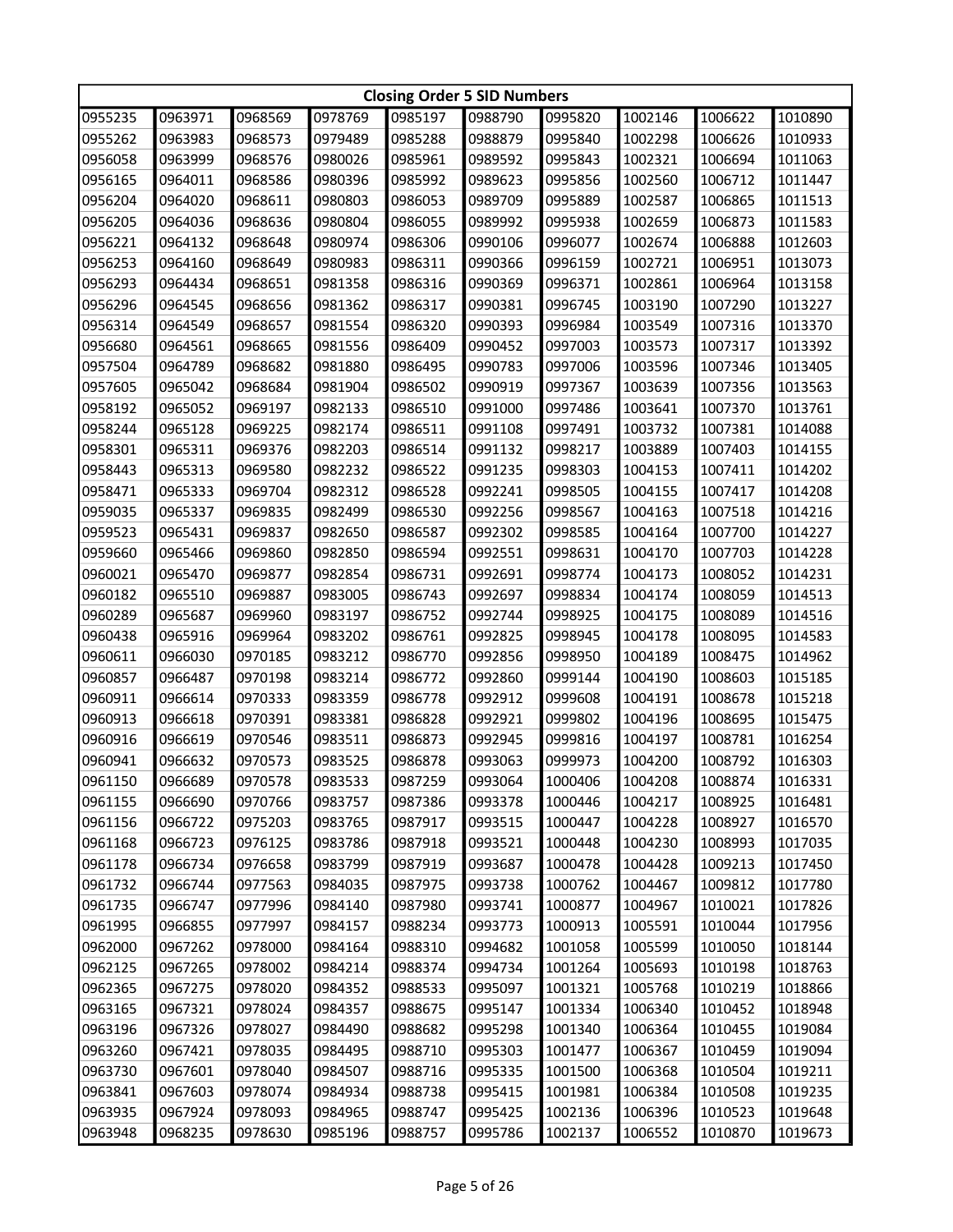| <b>Closing Order 5 SID Numbers</b> |         |         |         |         |         |         |         |         |         |  |
|------------------------------------|---------|---------|---------|---------|---------|---------|---------|---------|---------|--|
| 0955235                            | 0963971 | 0968569 | 0978769 | 0985197 | 0988790 | 0995820 | 1002146 | 1006622 | 1010890 |  |
| 0955262                            | 0963983 | 0968573 | 0979489 | 0985288 | 0988879 | 0995840 | 1002298 | 1006626 | 1010933 |  |
| 0956058                            | 0963999 | 0968576 | 0980026 | 0985961 | 0989592 | 0995843 | 1002321 | 1006694 | 1011063 |  |
| 0956165                            | 0964011 | 0968586 | 0980396 | 0985992 | 0989623 | 0995856 | 1002560 | 1006712 | 1011447 |  |
| 0956204                            | 0964020 | 0968611 | 0980803 | 0986053 | 0989709 | 0995889 | 1002587 | 1006865 | 1011513 |  |
| 0956205                            | 0964036 | 0968636 | 0980804 | 0986055 | 0989992 | 0995938 | 1002659 | 1006873 | 1011583 |  |
| 0956221                            | 0964132 | 0968648 | 0980974 | 0986306 | 0990106 | 0996077 | 1002674 | 1006888 | 1012603 |  |
| 0956253                            | 0964160 | 0968649 | 0980983 | 0986311 | 0990366 | 0996159 | 1002721 | 1006951 | 1013073 |  |
| 0956293                            | 0964434 | 0968651 | 0981358 | 0986316 | 0990369 | 0996371 | 1002861 | 1006964 | 1013158 |  |
| 0956296                            | 0964545 | 0968656 | 0981362 | 0986317 | 0990381 | 0996745 | 1003190 | 1007290 | 1013227 |  |
| 0956314                            | 0964549 | 0968657 | 0981554 | 0986320 | 0990393 | 0996984 | 1003549 | 1007316 | 1013370 |  |
| 0956680                            | 0964561 | 0968665 | 0981556 | 0986409 | 0990452 | 0997003 | 1003573 | 1007317 | 1013392 |  |
| 0957504                            | 0964789 | 0968682 | 0981880 | 0986495 | 0990783 | 0997006 | 1003596 | 1007346 | 1013405 |  |
| 0957605                            | 0965042 | 0968684 | 0981904 | 0986502 | 0990919 | 0997367 | 1003639 | 1007356 | 1013563 |  |
| 0958192                            | 0965052 | 0969197 | 0982133 | 0986510 | 0991000 | 0997486 | 1003641 | 1007370 | 1013761 |  |
| 0958244                            | 0965128 | 0969225 | 0982174 | 0986511 | 0991108 | 0997491 | 1003732 | 1007381 | 1014088 |  |
| 0958301                            | 0965311 | 0969376 | 0982203 | 0986514 | 0991132 | 0998217 | 1003889 | 1007403 | 1014155 |  |
| 0958443                            | 0965313 | 0969580 | 0982232 | 0986522 | 0991235 | 0998303 | 1004153 | 1007411 | 1014202 |  |
| 0958471                            | 0965333 | 0969704 | 0982312 | 0986528 | 0992241 | 0998505 | 1004155 | 1007417 | 1014208 |  |
| 0959035                            | 0965337 | 0969835 | 0982499 | 0986530 | 0992256 | 0998567 | 1004163 | 1007518 | 1014216 |  |
| 0959523                            | 0965431 | 0969837 | 0982650 | 0986587 | 0992302 | 0998585 | 1004164 | 1007700 | 1014227 |  |
| 0959660                            | 0965466 | 0969860 | 0982850 | 0986594 | 0992551 | 0998631 | 1004170 | 1007703 | 1014228 |  |
| 0960021                            | 0965470 | 0969877 | 0982854 | 0986731 | 0992691 | 0998774 | 1004173 | 1008052 | 1014231 |  |
| 0960182                            | 0965510 | 0969887 | 0983005 | 0986743 | 0992697 | 0998834 | 1004174 | 1008059 | 1014513 |  |
| 0960289                            | 0965687 | 0969960 | 0983197 | 0986752 | 0992744 | 0998925 | 1004175 | 1008089 | 1014516 |  |
| 0960438                            | 0965916 | 0969964 | 0983202 | 0986761 | 0992825 | 0998945 | 1004178 | 1008095 | 1014583 |  |
| 0960611                            | 0966030 | 0970185 | 0983212 | 0986770 | 0992856 | 0998950 | 1004189 | 1008475 | 1014962 |  |
| 0960857                            | 0966487 | 0970198 | 0983214 | 0986772 | 0992860 | 0999144 | 1004190 | 1008603 | 1015185 |  |
| 0960911                            | 0966614 | 0970333 | 0983359 | 0986778 | 0992912 | 0999608 | 1004191 | 1008678 | 1015218 |  |
| 0960913                            | 0966618 | 0970391 | 0983381 | 0986828 | 0992921 | 0999802 | 1004196 | 1008695 | 1015475 |  |
| 0960916                            | 0966619 | 0970546 | 0983511 | 0986873 | 0992945 | 0999816 | 1004197 | 1008781 | 1016254 |  |
| 0960941                            | 0966632 | 0970573 | 0983525 | 0986878 | 0993063 | 0999973 | 1004200 | 1008792 | 1016303 |  |
| 0961150                            | 0966689 | 0970578 | 0983533 | 0987259 | 0993064 | 1000406 | 1004208 | 1008874 | 1016331 |  |
| 0961155                            | 0966690 | 0970766 | 0983757 | 0987386 | 0993378 | 1000446 | 1004217 | 1008925 | 1016481 |  |
| 0961156                            | 0966722 | 0975203 | 0983765 | 0987917 | 0993515 | 1000447 | 1004228 | 1008927 | 1016570 |  |
| 0961168                            | 0966723 | 0976125 | 0983786 | 0987918 | 0993521 | 1000448 | 1004230 | 1008993 | 1017035 |  |
| 0961178                            | 0966734 | 0976658 | 0983799 | 0987919 | 0993687 | 1000478 | 1004428 | 1009213 | 1017450 |  |
| 0961732                            | 0966744 | 0977563 | 0984035 | 0987975 | 0993738 | 1000762 | 1004467 | 1009812 | 1017780 |  |
| 0961735                            | 0966747 | 0977996 | 0984140 | 0987980 | 0993741 | 1000877 | 1004967 | 1010021 | 1017826 |  |
| 0961995                            | 0966855 | 0977997 | 0984157 | 0988234 | 0993773 | 1000913 | 1005591 | 1010044 | 1017956 |  |
| 0962000                            | 0967262 | 0978000 | 0984164 | 0988310 | 0994682 | 1001058 | 1005599 | 1010050 | 1018144 |  |
| 0962125                            | 0967265 | 0978002 | 0984214 | 0988374 | 0994734 | 1001264 | 1005693 | 1010198 | 1018763 |  |
| 0962365                            | 0967275 | 0978020 | 0984352 | 0988533 | 0995097 | 1001321 | 1005768 | 1010219 | 1018866 |  |
| 0963165                            | 0967321 | 0978024 | 0984357 | 0988675 | 0995147 | 1001334 | 1006340 | 1010452 | 1018948 |  |
| 0963196                            | 0967326 | 0978027 | 0984490 | 0988682 | 0995298 | 1001340 | 1006364 | 1010455 | 1019084 |  |
| 0963260                            | 0967421 | 0978035 | 0984495 | 0988710 | 0995303 | 1001477 | 1006367 | 1010459 | 1019094 |  |
| 0963730                            | 0967601 | 0978040 | 0984507 | 0988716 | 0995335 | 1001500 | 1006368 | 1010504 | 1019211 |  |
| 0963841                            | 0967603 | 0978074 | 0984934 | 0988738 | 0995415 | 1001981 | 1006384 | 1010508 | 1019235 |  |
| 0963935                            | 0967924 | 0978093 | 0984965 | 0988747 | 0995425 | 1002136 | 1006396 | 1010523 | 1019648 |  |
| 0963948                            | 0968235 | 0978630 | 0985196 | 0988757 | 0995786 | 1002137 | 1006552 | 1010870 | 1019673 |  |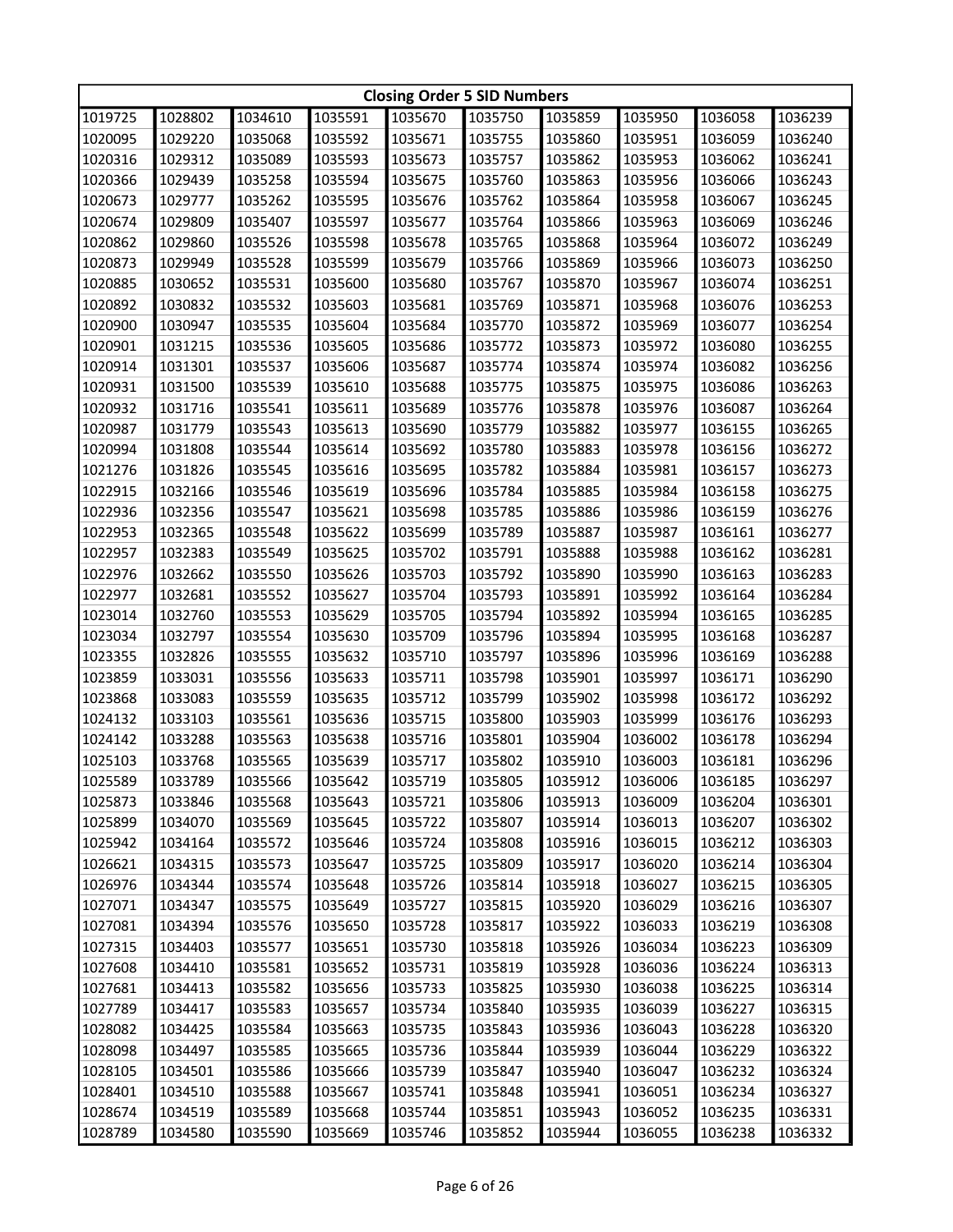|                                          | <b>Closing Order 5 SID Numbers</b> |         |         |         |         |         |         |         |         |  |
|------------------------------------------|------------------------------------|---------|---------|---------|---------|---------|---------|---------|---------|--|
| 1035591<br>1019725<br>1028802<br>1034610 |                                    |         | 1035670 | 1035750 | 1035859 | 1035950 | 1036058 | 1036239 |         |  |
| 1020095                                  | 1029220                            | 1035068 | 1035592 | 1035671 | 1035755 | 1035860 | 1035951 | 1036059 | 1036240 |  |
| 1020316                                  | 1029312                            | 1035089 | 1035593 | 1035673 | 1035757 | 1035862 | 1035953 | 1036062 | 1036241 |  |
| 1020366                                  | 1029439                            | 1035258 | 1035594 | 1035675 | 1035760 | 1035863 | 1035956 | 1036066 | 1036243 |  |
| 1020673                                  | 1029777                            | 1035262 | 1035595 | 1035676 | 1035762 | 1035864 | 1035958 | 1036067 | 1036245 |  |
| 1020674                                  | 1029809                            | 1035407 | 1035597 | 1035677 | 1035764 | 1035866 | 1035963 | 1036069 | 1036246 |  |
| 1020862                                  | 1029860                            | 1035526 | 1035598 | 1035678 | 1035765 | 1035868 | 1035964 | 1036072 | 1036249 |  |
| 1020873                                  | 1029949                            | 1035528 | 1035599 | 1035679 | 1035766 | 1035869 | 1035966 | 1036073 | 1036250 |  |
| 1020885                                  | 1030652                            | 1035531 | 1035600 | 1035680 | 1035767 | 1035870 | 1035967 | 1036074 | 1036251 |  |
| 1020892                                  | 1030832                            | 1035532 | 1035603 | 1035681 | 1035769 | 1035871 | 1035968 | 1036076 | 1036253 |  |
| 1020900                                  | 1030947                            | 1035535 | 1035604 | 1035684 | 1035770 | 1035872 | 1035969 | 1036077 | 1036254 |  |
| 1020901                                  | 1031215                            | 1035536 | 1035605 | 1035686 | 1035772 | 1035873 | 1035972 | 1036080 | 1036255 |  |
| 1020914                                  | 1031301                            | 1035537 | 1035606 | 1035687 | 1035774 | 1035874 | 1035974 | 1036082 | 1036256 |  |
| 1020931                                  | 1031500                            | 1035539 | 1035610 | 1035688 | 1035775 | 1035875 | 1035975 | 1036086 | 1036263 |  |
| 1020932                                  | 1031716                            | 1035541 | 1035611 | 1035689 | 1035776 | 1035878 | 1035976 | 1036087 | 1036264 |  |
| 1020987                                  | 1031779                            | 1035543 | 1035613 | 1035690 | 1035779 | 1035882 | 1035977 | 1036155 | 1036265 |  |
| 1020994                                  | 1031808                            | 1035544 | 1035614 | 1035692 | 1035780 | 1035883 | 1035978 | 1036156 | 1036272 |  |
| 1021276                                  | 1031826                            | 1035545 | 1035616 | 1035695 | 1035782 | 1035884 | 1035981 | 1036157 | 1036273 |  |
| 1022915                                  | 1032166                            | 1035546 | 1035619 | 1035696 | 1035784 | 1035885 | 1035984 | 1036158 | 1036275 |  |
| 1022936                                  | 1032356                            | 1035547 | 1035621 | 1035698 | 1035785 | 1035886 | 1035986 | 1036159 | 1036276 |  |
| 1022953                                  | 1032365                            | 1035548 | 1035622 | 1035699 | 1035789 | 1035887 | 1035987 | 1036161 | 1036277 |  |
| 1022957                                  | 1032383                            | 1035549 | 1035625 | 1035702 | 1035791 | 1035888 | 1035988 | 1036162 | 1036281 |  |
| 1022976                                  | 1032662                            | 1035550 | 1035626 | 1035703 | 1035792 | 1035890 | 1035990 | 1036163 | 1036283 |  |
| 1022977                                  | 1032681                            | 1035552 | 1035627 | 1035704 | 1035793 | 1035891 | 1035992 | 1036164 | 1036284 |  |
| 1023014                                  | 1032760                            | 1035553 | 1035629 | 1035705 | 1035794 | 1035892 | 1035994 | 1036165 | 1036285 |  |
| 1023034                                  | 1032797                            | 1035554 | 1035630 | 1035709 | 1035796 | 1035894 | 1035995 | 1036168 | 1036287 |  |
| 1023355                                  | 1032826                            | 1035555 | 1035632 | 1035710 | 1035797 | 1035896 | 1035996 | 1036169 | 1036288 |  |
| 1023859                                  | 1033031                            | 1035556 | 1035633 | 1035711 | 1035798 | 1035901 | 1035997 | 1036171 | 1036290 |  |
| 1023868                                  | 1033083                            | 1035559 | 1035635 | 1035712 | 1035799 | 1035902 | 1035998 | 1036172 | 1036292 |  |
| 1024132                                  | 1033103                            | 1035561 | 1035636 | 1035715 | 1035800 | 1035903 | 1035999 | 1036176 | 1036293 |  |
| 1024142                                  | 1033288                            | 1035563 | 1035638 | 1035716 | 1035801 | 1035904 | 1036002 | 1036178 | 1036294 |  |
| 1025103                                  | 1033768                            | 1035565 | 1035639 | 1035717 | 1035802 | 1035910 | 1036003 | 1036181 | 1036296 |  |
| 1025589                                  | 1033789                            | 1035566 | 1035642 | 1035719 | 1035805 | 1035912 | 1036006 | 1036185 | 1036297 |  |
| 1025873                                  | 1033846                            | 1035568 | 1035643 | 1035721 | 1035806 | 1035913 | 1036009 | 1036204 | 1036301 |  |
| 1025899                                  | 1034070                            | 1035569 | 1035645 | 1035722 | 1035807 | 1035914 | 1036013 | 1036207 | 1036302 |  |
| 1025942                                  | 1034164                            | 1035572 | 1035646 | 1035724 | 1035808 | 1035916 | 1036015 | 1036212 | 1036303 |  |
| 1026621                                  | 1034315                            | 1035573 | 1035647 | 1035725 | 1035809 | 1035917 | 1036020 | 1036214 | 1036304 |  |
| 1026976                                  | 1034344                            | 1035574 | 1035648 | 1035726 | 1035814 | 1035918 | 1036027 | 1036215 | 1036305 |  |
| 1027071                                  | 1034347                            | 1035575 | 1035649 | 1035727 | 1035815 | 1035920 | 1036029 | 1036216 | 1036307 |  |
| 1027081                                  | 1034394                            | 1035576 | 1035650 | 1035728 | 1035817 | 1035922 | 1036033 | 1036219 | 1036308 |  |
| 1027315                                  | 1034403                            | 1035577 | 1035651 | 1035730 | 1035818 | 1035926 | 1036034 | 1036223 | 1036309 |  |
| 1027608                                  | 1034410                            | 1035581 | 1035652 | 1035731 | 1035819 | 1035928 | 1036036 | 1036224 | 1036313 |  |
| 1027681                                  | 1034413                            | 1035582 | 1035656 | 1035733 | 1035825 | 1035930 | 1036038 | 1036225 | 1036314 |  |
| 1027789                                  | 1034417                            | 1035583 | 1035657 | 1035734 | 1035840 | 1035935 | 1036039 | 1036227 | 1036315 |  |
| 1028082                                  | 1034425                            | 1035584 | 1035663 | 1035735 | 1035843 | 1035936 | 1036043 | 1036228 | 1036320 |  |
| 1028098                                  | 1034497                            | 1035585 | 1035665 | 1035736 | 1035844 | 1035939 | 1036044 | 1036229 | 1036322 |  |
| 1028105                                  | 1034501                            | 1035586 | 1035666 | 1035739 | 1035847 | 1035940 | 1036047 | 1036232 | 1036324 |  |
| 1028401                                  | 1034510                            | 1035588 | 1035667 | 1035741 | 1035848 | 1035941 | 1036051 | 1036234 | 1036327 |  |
| 1028674                                  | 1034519                            | 1035589 | 1035668 | 1035744 | 1035851 | 1035943 | 1036052 | 1036235 | 1036331 |  |
| 1028789                                  | 1034580                            | 1035590 | 1035669 | 1035746 | 1035852 | 1035944 | 1036055 | 1036238 | 1036332 |  |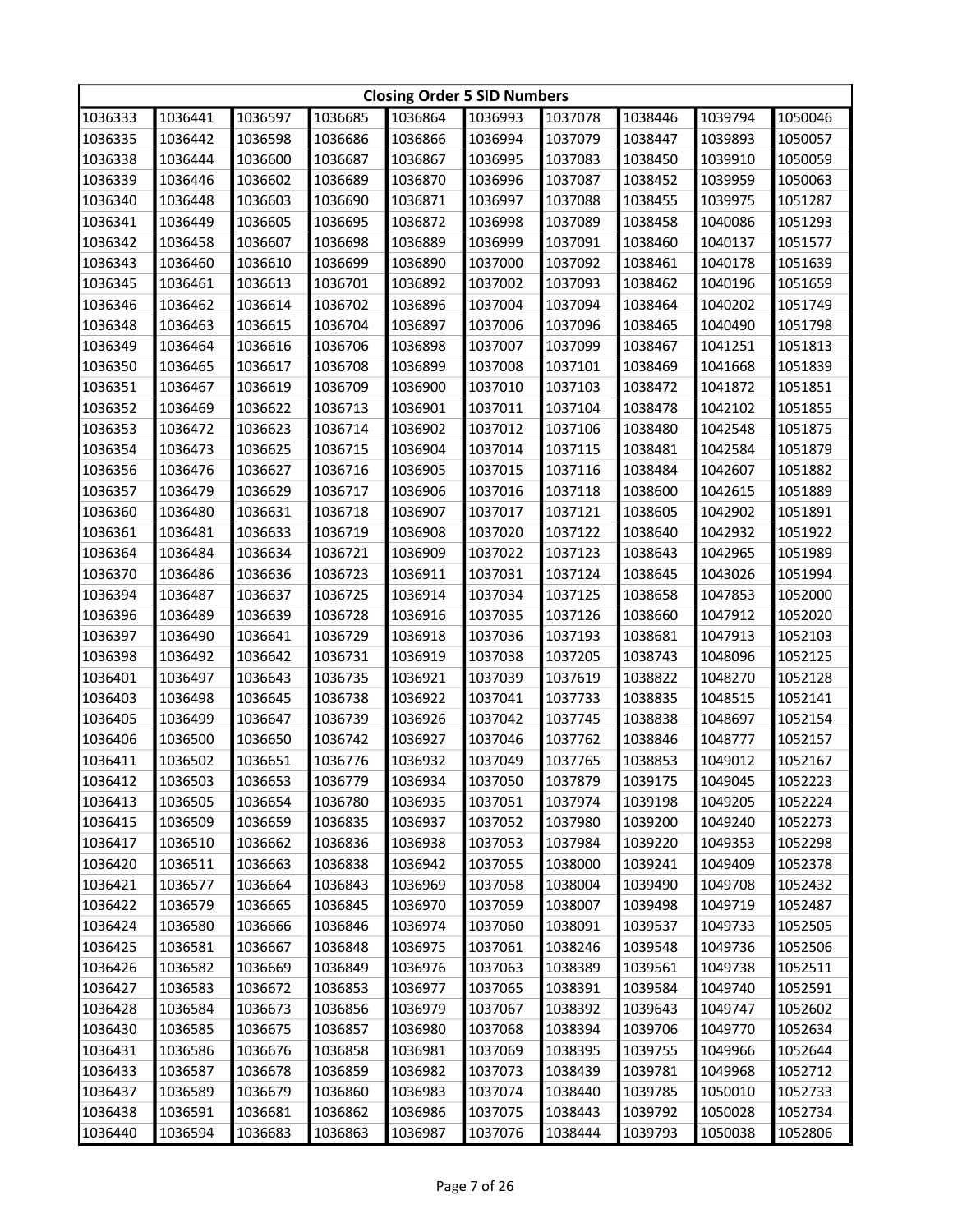| 1036685<br>1036597<br>1036333<br>1036441<br>1036864<br>1036993<br>1037078<br>1038446<br>1039794<br>1050046<br>1036335<br>1036442<br>1036598<br>1036686<br>1036866<br>1036994<br>1037079<br>1038447<br>1039893<br>1050057<br>1036338<br>1036444<br>1036600<br>1036687<br>1036867<br>1036995<br>1037083<br>1038450<br>1039910<br>1050059<br>1036339<br>1036446<br>1038452<br>1039959<br>1036602<br>1036689<br>1036870<br>1036996<br>1037087<br>1050063<br>1036340<br>1036448<br>1036603<br>1036690<br>1036871<br>1036997<br>1037088<br>1038455<br>1039975<br>1051287<br>1036341<br>1036449<br>1036605<br>1036695<br>1036872<br>1036998<br>1037089<br>1038458<br>1040086<br>1051293<br>1036342<br>1036458<br>1036607<br>1036698<br>1036889<br>1036999<br>1037091<br>1038460<br>1040137<br>1051577<br>1036343<br>1036460<br>1040178<br>1036610<br>1036699<br>1036890<br>1037000<br>1037092<br>1038461<br>1051639<br>1036345<br>1037002<br>1038462<br>1040196<br>1036461<br>1036613<br>1036701<br>1036892<br>1037093<br>1051659<br>1036346<br>1036462<br>1036614<br>1036702<br>1036896<br>1037004<br>1037094<br>1038464<br>1040202<br>1051749<br>1036348<br>1036463<br>1036615<br>1036704<br>1036897<br>1037006<br>1037096<br>1038465<br>1040490<br>1051798<br>1036349<br>1036464<br>1036616<br>1036706<br>1036898<br>1037007<br>1037099<br>1038467<br>1041251<br>1051813<br>1036350<br>1036465<br>1036617<br>1036708<br>1036899<br>1037008<br>1037101<br>1038469<br>1041668<br>1051839<br>1036351<br>1036467<br>1036619<br>1036709<br>1051851<br>1036900<br>1037010<br>1037103<br>1038472<br>1041872<br>1036352<br>1036469<br>1036622<br>1036713<br>1036901<br>1037011<br>1037104<br>1038478<br>1042102<br>1051855<br>1036353<br>1036472<br>1036623<br>1036714<br>1036902<br>1037012<br>1037106<br>1038480<br>1042548<br>1051875<br>1036354<br>1036473<br>1036625<br>1036715<br>1036904<br>1037014<br>1037115<br>1038481<br>1042584<br>1051879<br>1036356<br>1036716<br>1036905<br>1037015<br>1037116<br>1038484<br>1042607<br>1051882<br>1036476<br>1036627<br>1036357<br>1036479<br>1036629<br>1036717<br>1036906<br>1037016<br>1037118<br>1038600<br>1042615<br>1051889<br>1036360<br>1036480<br>1036631<br>1036718<br>1036907<br>1037017<br>1037121<br>1038605<br>1042902<br>1051891<br>1036361<br>1036481<br>1036633<br>1036719<br>1036908<br>1037020<br>1037122<br>1038640<br>1042932<br>1051922<br>1036364<br>1042965<br>1036484<br>1036634<br>1036721<br>1036909<br>1037022<br>1037123<br>1038643<br>1051989<br>1036370<br>1036486<br>1036911<br>1037031<br>1037124<br>1038645<br>1043026<br>1036636<br>1036723<br>1051994<br>1036394<br>1036487<br>1036637<br>1036725<br>1036914<br>1037034<br>1037125<br>1038658<br>1047853<br>1052000<br>1036396<br>1036489<br>1036639<br>1036728<br>1036916<br>1037035<br>1037126<br>1038660<br>1047912<br>1052020<br>1036397<br>1036490<br>1036641<br>1036729<br>1036918<br>1037036<br>1037193<br>1038681<br>1047913<br>1052103<br>1036398<br>1036492<br>1036919<br>1037038<br>1037205<br>1038743<br>1048096<br>1052125<br>1036642<br>1036731<br>1036401<br>1036497<br>1036643<br>1036735<br>1036921<br>1037039<br>1037619<br>1038822<br>1048270<br>1052128<br>1036403<br>1036498<br>1036645<br>1036738<br>1036922<br>1037041<br>1037733<br>1038835<br>1048515<br>1052141<br>1036405<br>1036499<br>1036647<br>1036739<br>1037042<br>1038838<br>1048697<br>1052154<br>1036926<br>1037745<br>1036406<br>1036500<br>1036650<br>1036742<br>1036927<br>1037046<br>1037762<br>1038846<br>1048777<br>1052157<br>1036411<br>1036502<br>1036651<br>1036776<br>1036932<br>1037049<br>1037765<br>1038853<br>1049012<br>1052167<br>1036412<br>1036503<br>1036653<br>1036779<br>1036934<br>1037050<br>1037879<br>1039175<br>1049045<br>1052223<br>1036413<br>1036505<br>1036654<br>1036780<br>1036935<br>1037051<br>1037974<br>1039198<br>1049205<br>1052224<br>1036415<br>1036509<br>1036659<br>1036835<br>1036937<br>1037052<br>1037980<br>1039200<br>1049240<br>1052273<br>1036417<br>1036510<br>1037053<br>1037984<br>1039220<br>1049353<br>1052298<br>1036662<br>1036836<br>1036938<br>1036420<br>1036511<br>1036663<br>1036838<br>1037055<br>1036942<br>1038000<br>1039241<br>1049409<br>1052378<br>1036421<br>1036577<br>1036664<br>1036843<br>1036969<br>1037058<br>1038004<br>1039490<br>1049708<br>1052432<br>1036422<br>1036579<br>1036665<br>1036845<br>1036970<br>1037059<br>1038007<br>1039498<br>1049719<br>1052487<br>1036424<br>1037060<br>1049733<br>1036580<br>1036666<br>1036846<br>1036974<br>1038091<br>1039537<br>1052505<br>1038246<br>1049736<br>1036425<br>1036581<br>1036667<br>1036848<br>1036975<br>1037061<br>1039548<br>1052506<br>1036426<br>1036582<br>1036669<br>1036849<br>1036976<br>1037063<br>1038389<br>1039561<br>1049738<br>1052511<br>1036427<br>1036583<br>1036672<br>1036853<br>1036977<br>1037065<br>1038391<br>1039584<br>1049740<br>1052591<br>1036428<br>1036584<br>1036673<br>1036856<br>1036979<br>1037067<br>1038392<br>1039643<br>1049747<br>1052602<br>1036430<br>1036585<br>1036675<br>1036857<br>1036980<br>1037068<br>1038394<br>1039706<br>1049770<br>1052634<br>1036431<br>1036586<br>1036676<br>1036858<br>1036981<br>1037069<br>1038395<br>1039755<br>1049966<br>1052644<br>1036433<br>1036587<br>1036678<br>1036859<br>1036982<br>1037073<br>1038439<br>1039781<br>1049968<br>1052712<br>1052733<br>1036437<br>1036589<br>1036679<br>1036860<br>1036983<br>1037074<br>1038440<br>1039785<br>1050010<br>1050028<br>1052734<br>1036438<br>1036591<br>1036681<br>1036862<br>1036986<br>1037075<br>1038443<br>1039792 |         | <b>Closing Order 5 SID Numbers</b> |         |         |         |         |         |         |         |         |  |
|------------------------------------------------------------------------------------------------------------------------------------------------------------------------------------------------------------------------------------------------------------------------------------------------------------------------------------------------------------------------------------------------------------------------------------------------------------------------------------------------------------------------------------------------------------------------------------------------------------------------------------------------------------------------------------------------------------------------------------------------------------------------------------------------------------------------------------------------------------------------------------------------------------------------------------------------------------------------------------------------------------------------------------------------------------------------------------------------------------------------------------------------------------------------------------------------------------------------------------------------------------------------------------------------------------------------------------------------------------------------------------------------------------------------------------------------------------------------------------------------------------------------------------------------------------------------------------------------------------------------------------------------------------------------------------------------------------------------------------------------------------------------------------------------------------------------------------------------------------------------------------------------------------------------------------------------------------------------------------------------------------------------------------------------------------------------------------------------------------------------------------------------------------------------------------------------------------------------------------------------------------------------------------------------------------------------------------------------------------------------------------------------------------------------------------------------------------------------------------------------------------------------------------------------------------------------------------------------------------------------------------------------------------------------------------------------------------------------------------------------------------------------------------------------------------------------------------------------------------------------------------------------------------------------------------------------------------------------------------------------------------------------------------------------------------------------------------------------------------------------------------------------------------------------------------------------------------------------------------------------------------------------------------------------------------------------------------------------------------------------------------------------------------------------------------------------------------------------------------------------------------------------------------------------------------------------------------------------------------------------------------------------------------------------------------------------------------------------------------------------------------------------------------------------------------------------------------------------------------------------------------------------------------------------------------------------------------------------------------------------------------------------------------------------------------------------------------------------------------------------------------------------------------------------------------------------------------------------------------------------------------------------------------------------------------------------------------------------------------------------------------------------------------------------------------------------------------------------------------------------------------------------------------------------------------------------------------------------------------------------------------------------------------------------------------------------------------------------------------------------------------------------------------------------------------------------------------------------------------------------------------------------------------------------------------------------------------------------------------------------------------------------------------------------------------------------------------------------------------------------------------------------------------------------------------------------------------------------------------------------------------------------------------------------------------------------------------------------------------------------------------------------------------------------------------------------------------------------------------------------------------------------------------------------------------------------------------------------------------|---------|------------------------------------|---------|---------|---------|---------|---------|---------|---------|---------|--|
|                                                                                                                                                                                                                                                                                                                                                                                                                                                                                                                                                                                                                                                                                                                                                                                                                                                                                                                                                                                                                                                                                                                                                                                                                                                                                                                                                                                                                                                                                                                                                                                                                                                                                                                                                                                                                                                                                                                                                                                                                                                                                                                                                                                                                                                                                                                                                                                                                                                                                                                                                                                                                                                                                                                                                                                                                                                                                                                                                                                                                                                                                                                                                                                                                                                                                                                                                                                                                                                                                                                                                                                                                                                                                                                                                                                                                                                                                                                                                                                                                                                                                                                                                                                                                                                                                                                                                                                                                                                                                                                                                                                                                                                                                                                                                                                                                                                                                                                                                                                                                                                                                                                                                                                                                                                                                                                                                                                                                                                                                                                                                                                                            |         |                                    |         |         |         |         |         |         |         |         |  |
|                                                                                                                                                                                                                                                                                                                                                                                                                                                                                                                                                                                                                                                                                                                                                                                                                                                                                                                                                                                                                                                                                                                                                                                                                                                                                                                                                                                                                                                                                                                                                                                                                                                                                                                                                                                                                                                                                                                                                                                                                                                                                                                                                                                                                                                                                                                                                                                                                                                                                                                                                                                                                                                                                                                                                                                                                                                                                                                                                                                                                                                                                                                                                                                                                                                                                                                                                                                                                                                                                                                                                                                                                                                                                                                                                                                                                                                                                                                                                                                                                                                                                                                                                                                                                                                                                                                                                                                                                                                                                                                                                                                                                                                                                                                                                                                                                                                                                                                                                                                                                                                                                                                                                                                                                                                                                                                                                                                                                                                                                                                                                                                                            |         |                                    |         |         |         |         |         |         |         |         |  |
|                                                                                                                                                                                                                                                                                                                                                                                                                                                                                                                                                                                                                                                                                                                                                                                                                                                                                                                                                                                                                                                                                                                                                                                                                                                                                                                                                                                                                                                                                                                                                                                                                                                                                                                                                                                                                                                                                                                                                                                                                                                                                                                                                                                                                                                                                                                                                                                                                                                                                                                                                                                                                                                                                                                                                                                                                                                                                                                                                                                                                                                                                                                                                                                                                                                                                                                                                                                                                                                                                                                                                                                                                                                                                                                                                                                                                                                                                                                                                                                                                                                                                                                                                                                                                                                                                                                                                                                                                                                                                                                                                                                                                                                                                                                                                                                                                                                                                                                                                                                                                                                                                                                                                                                                                                                                                                                                                                                                                                                                                                                                                                                                            |         |                                    |         |         |         |         |         |         |         |         |  |
|                                                                                                                                                                                                                                                                                                                                                                                                                                                                                                                                                                                                                                                                                                                                                                                                                                                                                                                                                                                                                                                                                                                                                                                                                                                                                                                                                                                                                                                                                                                                                                                                                                                                                                                                                                                                                                                                                                                                                                                                                                                                                                                                                                                                                                                                                                                                                                                                                                                                                                                                                                                                                                                                                                                                                                                                                                                                                                                                                                                                                                                                                                                                                                                                                                                                                                                                                                                                                                                                                                                                                                                                                                                                                                                                                                                                                                                                                                                                                                                                                                                                                                                                                                                                                                                                                                                                                                                                                                                                                                                                                                                                                                                                                                                                                                                                                                                                                                                                                                                                                                                                                                                                                                                                                                                                                                                                                                                                                                                                                                                                                                                                            |         |                                    |         |         |         |         |         |         |         |         |  |
|                                                                                                                                                                                                                                                                                                                                                                                                                                                                                                                                                                                                                                                                                                                                                                                                                                                                                                                                                                                                                                                                                                                                                                                                                                                                                                                                                                                                                                                                                                                                                                                                                                                                                                                                                                                                                                                                                                                                                                                                                                                                                                                                                                                                                                                                                                                                                                                                                                                                                                                                                                                                                                                                                                                                                                                                                                                                                                                                                                                                                                                                                                                                                                                                                                                                                                                                                                                                                                                                                                                                                                                                                                                                                                                                                                                                                                                                                                                                                                                                                                                                                                                                                                                                                                                                                                                                                                                                                                                                                                                                                                                                                                                                                                                                                                                                                                                                                                                                                                                                                                                                                                                                                                                                                                                                                                                                                                                                                                                                                                                                                                                                            |         |                                    |         |         |         |         |         |         |         |         |  |
|                                                                                                                                                                                                                                                                                                                                                                                                                                                                                                                                                                                                                                                                                                                                                                                                                                                                                                                                                                                                                                                                                                                                                                                                                                                                                                                                                                                                                                                                                                                                                                                                                                                                                                                                                                                                                                                                                                                                                                                                                                                                                                                                                                                                                                                                                                                                                                                                                                                                                                                                                                                                                                                                                                                                                                                                                                                                                                                                                                                                                                                                                                                                                                                                                                                                                                                                                                                                                                                                                                                                                                                                                                                                                                                                                                                                                                                                                                                                                                                                                                                                                                                                                                                                                                                                                                                                                                                                                                                                                                                                                                                                                                                                                                                                                                                                                                                                                                                                                                                                                                                                                                                                                                                                                                                                                                                                                                                                                                                                                                                                                                                                            |         |                                    |         |         |         |         |         |         |         |         |  |
|                                                                                                                                                                                                                                                                                                                                                                                                                                                                                                                                                                                                                                                                                                                                                                                                                                                                                                                                                                                                                                                                                                                                                                                                                                                                                                                                                                                                                                                                                                                                                                                                                                                                                                                                                                                                                                                                                                                                                                                                                                                                                                                                                                                                                                                                                                                                                                                                                                                                                                                                                                                                                                                                                                                                                                                                                                                                                                                                                                                                                                                                                                                                                                                                                                                                                                                                                                                                                                                                                                                                                                                                                                                                                                                                                                                                                                                                                                                                                                                                                                                                                                                                                                                                                                                                                                                                                                                                                                                                                                                                                                                                                                                                                                                                                                                                                                                                                                                                                                                                                                                                                                                                                                                                                                                                                                                                                                                                                                                                                                                                                                                                            |         |                                    |         |         |         |         |         |         |         |         |  |
|                                                                                                                                                                                                                                                                                                                                                                                                                                                                                                                                                                                                                                                                                                                                                                                                                                                                                                                                                                                                                                                                                                                                                                                                                                                                                                                                                                                                                                                                                                                                                                                                                                                                                                                                                                                                                                                                                                                                                                                                                                                                                                                                                                                                                                                                                                                                                                                                                                                                                                                                                                                                                                                                                                                                                                                                                                                                                                                                                                                                                                                                                                                                                                                                                                                                                                                                                                                                                                                                                                                                                                                                                                                                                                                                                                                                                                                                                                                                                                                                                                                                                                                                                                                                                                                                                                                                                                                                                                                                                                                                                                                                                                                                                                                                                                                                                                                                                                                                                                                                                                                                                                                                                                                                                                                                                                                                                                                                                                                                                                                                                                                                            |         |                                    |         |         |         |         |         |         |         |         |  |
|                                                                                                                                                                                                                                                                                                                                                                                                                                                                                                                                                                                                                                                                                                                                                                                                                                                                                                                                                                                                                                                                                                                                                                                                                                                                                                                                                                                                                                                                                                                                                                                                                                                                                                                                                                                                                                                                                                                                                                                                                                                                                                                                                                                                                                                                                                                                                                                                                                                                                                                                                                                                                                                                                                                                                                                                                                                                                                                                                                                                                                                                                                                                                                                                                                                                                                                                                                                                                                                                                                                                                                                                                                                                                                                                                                                                                                                                                                                                                                                                                                                                                                                                                                                                                                                                                                                                                                                                                                                                                                                                                                                                                                                                                                                                                                                                                                                                                                                                                                                                                                                                                                                                                                                                                                                                                                                                                                                                                                                                                                                                                                                                            |         |                                    |         |         |         |         |         |         |         |         |  |
|                                                                                                                                                                                                                                                                                                                                                                                                                                                                                                                                                                                                                                                                                                                                                                                                                                                                                                                                                                                                                                                                                                                                                                                                                                                                                                                                                                                                                                                                                                                                                                                                                                                                                                                                                                                                                                                                                                                                                                                                                                                                                                                                                                                                                                                                                                                                                                                                                                                                                                                                                                                                                                                                                                                                                                                                                                                                                                                                                                                                                                                                                                                                                                                                                                                                                                                                                                                                                                                                                                                                                                                                                                                                                                                                                                                                                                                                                                                                                                                                                                                                                                                                                                                                                                                                                                                                                                                                                                                                                                                                                                                                                                                                                                                                                                                                                                                                                                                                                                                                                                                                                                                                                                                                                                                                                                                                                                                                                                                                                                                                                                                                            |         |                                    |         |         |         |         |         |         |         |         |  |
|                                                                                                                                                                                                                                                                                                                                                                                                                                                                                                                                                                                                                                                                                                                                                                                                                                                                                                                                                                                                                                                                                                                                                                                                                                                                                                                                                                                                                                                                                                                                                                                                                                                                                                                                                                                                                                                                                                                                                                                                                                                                                                                                                                                                                                                                                                                                                                                                                                                                                                                                                                                                                                                                                                                                                                                                                                                                                                                                                                                                                                                                                                                                                                                                                                                                                                                                                                                                                                                                                                                                                                                                                                                                                                                                                                                                                                                                                                                                                                                                                                                                                                                                                                                                                                                                                                                                                                                                                                                                                                                                                                                                                                                                                                                                                                                                                                                                                                                                                                                                                                                                                                                                                                                                                                                                                                                                                                                                                                                                                                                                                                                                            |         |                                    |         |         |         |         |         |         |         |         |  |
|                                                                                                                                                                                                                                                                                                                                                                                                                                                                                                                                                                                                                                                                                                                                                                                                                                                                                                                                                                                                                                                                                                                                                                                                                                                                                                                                                                                                                                                                                                                                                                                                                                                                                                                                                                                                                                                                                                                                                                                                                                                                                                                                                                                                                                                                                                                                                                                                                                                                                                                                                                                                                                                                                                                                                                                                                                                                                                                                                                                                                                                                                                                                                                                                                                                                                                                                                                                                                                                                                                                                                                                                                                                                                                                                                                                                                                                                                                                                                                                                                                                                                                                                                                                                                                                                                                                                                                                                                                                                                                                                                                                                                                                                                                                                                                                                                                                                                                                                                                                                                                                                                                                                                                                                                                                                                                                                                                                                                                                                                                                                                                                                            |         |                                    |         |         |         |         |         |         |         |         |  |
|                                                                                                                                                                                                                                                                                                                                                                                                                                                                                                                                                                                                                                                                                                                                                                                                                                                                                                                                                                                                                                                                                                                                                                                                                                                                                                                                                                                                                                                                                                                                                                                                                                                                                                                                                                                                                                                                                                                                                                                                                                                                                                                                                                                                                                                                                                                                                                                                                                                                                                                                                                                                                                                                                                                                                                                                                                                                                                                                                                                                                                                                                                                                                                                                                                                                                                                                                                                                                                                                                                                                                                                                                                                                                                                                                                                                                                                                                                                                                                                                                                                                                                                                                                                                                                                                                                                                                                                                                                                                                                                                                                                                                                                                                                                                                                                                                                                                                                                                                                                                                                                                                                                                                                                                                                                                                                                                                                                                                                                                                                                                                                                                            |         |                                    |         |         |         |         |         |         |         |         |  |
|                                                                                                                                                                                                                                                                                                                                                                                                                                                                                                                                                                                                                                                                                                                                                                                                                                                                                                                                                                                                                                                                                                                                                                                                                                                                                                                                                                                                                                                                                                                                                                                                                                                                                                                                                                                                                                                                                                                                                                                                                                                                                                                                                                                                                                                                                                                                                                                                                                                                                                                                                                                                                                                                                                                                                                                                                                                                                                                                                                                                                                                                                                                                                                                                                                                                                                                                                                                                                                                                                                                                                                                                                                                                                                                                                                                                                                                                                                                                                                                                                                                                                                                                                                                                                                                                                                                                                                                                                                                                                                                                                                                                                                                                                                                                                                                                                                                                                                                                                                                                                                                                                                                                                                                                                                                                                                                                                                                                                                                                                                                                                                                                            |         |                                    |         |         |         |         |         |         |         |         |  |
|                                                                                                                                                                                                                                                                                                                                                                                                                                                                                                                                                                                                                                                                                                                                                                                                                                                                                                                                                                                                                                                                                                                                                                                                                                                                                                                                                                                                                                                                                                                                                                                                                                                                                                                                                                                                                                                                                                                                                                                                                                                                                                                                                                                                                                                                                                                                                                                                                                                                                                                                                                                                                                                                                                                                                                                                                                                                                                                                                                                                                                                                                                                                                                                                                                                                                                                                                                                                                                                                                                                                                                                                                                                                                                                                                                                                                                                                                                                                                                                                                                                                                                                                                                                                                                                                                                                                                                                                                                                                                                                                                                                                                                                                                                                                                                                                                                                                                                                                                                                                                                                                                                                                                                                                                                                                                                                                                                                                                                                                                                                                                                                                            |         |                                    |         |         |         |         |         |         |         |         |  |
|                                                                                                                                                                                                                                                                                                                                                                                                                                                                                                                                                                                                                                                                                                                                                                                                                                                                                                                                                                                                                                                                                                                                                                                                                                                                                                                                                                                                                                                                                                                                                                                                                                                                                                                                                                                                                                                                                                                                                                                                                                                                                                                                                                                                                                                                                                                                                                                                                                                                                                                                                                                                                                                                                                                                                                                                                                                                                                                                                                                                                                                                                                                                                                                                                                                                                                                                                                                                                                                                                                                                                                                                                                                                                                                                                                                                                                                                                                                                                                                                                                                                                                                                                                                                                                                                                                                                                                                                                                                                                                                                                                                                                                                                                                                                                                                                                                                                                                                                                                                                                                                                                                                                                                                                                                                                                                                                                                                                                                                                                                                                                                                                            |         |                                    |         |         |         |         |         |         |         |         |  |
|                                                                                                                                                                                                                                                                                                                                                                                                                                                                                                                                                                                                                                                                                                                                                                                                                                                                                                                                                                                                                                                                                                                                                                                                                                                                                                                                                                                                                                                                                                                                                                                                                                                                                                                                                                                                                                                                                                                                                                                                                                                                                                                                                                                                                                                                                                                                                                                                                                                                                                                                                                                                                                                                                                                                                                                                                                                                                                                                                                                                                                                                                                                                                                                                                                                                                                                                                                                                                                                                                                                                                                                                                                                                                                                                                                                                                                                                                                                                                                                                                                                                                                                                                                                                                                                                                                                                                                                                                                                                                                                                                                                                                                                                                                                                                                                                                                                                                                                                                                                                                                                                                                                                                                                                                                                                                                                                                                                                                                                                                                                                                                                                            |         |                                    |         |         |         |         |         |         |         |         |  |
|                                                                                                                                                                                                                                                                                                                                                                                                                                                                                                                                                                                                                                                                                                                                                                                                                                                                                                                                                                                                                                                                                                                                                                                                                                                                                                                                                                                                                                                                                                                                                                                                                                                                                                                                                                                                                                                                                                                                                                                                                                                                                                                                                                                                                                                                                                                                                                                                                                                                                                                                                                                                                                                                                                                                                                                                                                                                                                                                                                                                                                                                                                                                                                                                                                                                                                                                                                                                                                                                                                                                                                                                                                                                                                                                                                                                                                                                                                                                                                                                                                                                                                                                                                                                                                                                                                                                                                                                                                                                                                                                                                                                                                                                                                                                                                                                                                                                                                                                                                                                                                                                                                                                                                                                                                                                                                                                                                                                                                                                                                                                                                                                            |         |                                    |         |         |         |         |         |         |         |         |  |
|                                                                                                                                                                                                                                                                                                                                                                                                                                                                                                                                                                                                                                                                                                                                                                                                                                                                                                                                                                                                                                                                                                                                                                                                                                                                                                                                                                                                                                                                                                                                                                                                                                                                                                                                                                                                                                                                                                                                                                                                                                                                                                                                                                                                                                                                                                                                                                                                                                                                                                                                                                                                                                                                                                                                                                                                                                                                                                                                                                                                                                                                                                                                                                                                                                                                                                                                                                                                                                                                                                                                                                                                                                                                                                                                                                                                                                                                                                                                                                                                                                                                                                                                                                                                                                                                                                                                                                                                                                                                                                                                                                                                                                                                                                                                                                                                                                                                                                                                                                                                                                                                                                                                                                                                                                                                                                                                                                                                                                                                                                                                                                                                            |         |                                    |         |         |         |         |         |         |         |         |  |
|                                                                                                                                                                                                                                                                                                                                                                                                                                                                                                                                                                                                                                                                                                                                                                                                                                                                                                                                                                                                                                                                                                                                                                                                                                                                                                                                                                                                                                                                                                                                                                                                                                                                                                                                                                                                                                                                                                                                                                                                                                                                                                                                                                                                                                                                                                                                                                                                                                                                                                                                                                                                                                                                                                                                                                                                                                                                                                                                                                                                                                                                                                                                                                                                                                                                                                                                                                                                                                                                                                                                                                                                                                                                                                                                                                                                                                                                                                                                                                                                                                                                                                                                                                                                                                                                                                                                                                                                                                                                                                                                                                                                                                                                                                                                                                                                                                                                                                                                                                                                                                                                                                                                                                                                                                                                                                                                                                                                                                                                                                                                                                                                            |         |                                    |         |         |         |         |         |         |         |         |  |
|                                                                                                                                                                                                                                                                                                                                                                                                                                                                                                                                                                                                                                                                                                                                                                                                                                                                                                                                                                                                                                                                                                                                                                                                                                                                                                                                                                                                                                                                                                                                                                                                                                                                                                                                                                                                                                                                                                                                                                                                                                                                                                                                                                                                                                                                                                                                                                                                                                                                                                                                                                                                                                                                                                                                                                                                                                                                                                                                                                                                                                                                                                                                                                                                                                                                                                                                                                                                                                                                                                                                                                                                                                                                                                                                                                                                                                                                                                                                                                                                                                                                                                                                                                                                                                                                                                                                                                                                                                                                                                                                                                                                                                                                                                                                                                                                                                                                                                                                                                                                                                                                                                                                                                                                                                                                                                                                                                                                                                                                                                                                                                                                            |         |                                    |         |         |         |         |         |         |         |         |  |
|                                                                                                                                                                                                                                                                                                                                                                                                                                                                                                                                                                                                                                                                                                                                                                                                                                                                                                                                                                                                                                                                                                                                                                                                                                                                                                                                                                                                                                                                                                                                                                                                                                                                                                                                                                                                                                                                                                                                                                                                                                                                                                                                                                                                                                                                                                                                                                                                                                                                                                                                                                                                                                                                                                                                                                                                                                                                                                                                                                                                                                                                                                                                                                                                                                                                                                                                                                                                                                                                                                                                                                                                                                                                                                                                                                                                                                                                                                                                                                                                                                                                                                                                                                                                                                                                                                                                                                                                                                                                                                                                                                                                                                                                                                                                                                                                                                                                                                                                                                                                                                                                                                                                                                                                                                                                                                                                                                                                                                                                                                                                                                                                            |         |                                    |         |         |         |         |         |         |         |         |  |
|                                                                                                                                                                                                                                                                                                                                                                                                                                                                                                                                                                                                                                                                                                                                                                                                                                                                                                                                                                                                                                                                                                                                                                                                                                                                                                                                                                                                                                                                                                                                                                                                                                                                                                                                                                                                                                                                                                                                                                                                                                                                                                                                                                                                                                                                                                                                                                                                                                                                                                                                                                                                                                                                                                                                                                                                                                                                                                                                                                                                                                                                                                                                                                                                                                                                                                                                                                                                                                                                                                                                                                                                                                                                                                                                                                                                                                                                                                                                                                                                                                                                                                                                                                                                                                                                                                                                                                                                                                                                                                                                                                                                                                                                                                                                                                                                                                                                                                                                                                                                                                                                                                                                                                                                                                                                                                                                                                                                                                                                                                                                                                                                            |         |                                    |         |         |         |         |         |         |         |         |  |
|                                                                                                                                                                                                                                                                                                                                                                                                                                                                                                                                                                                                                                                                                                                                                                                                                                                                                                                                                                                                                                                                                                                                                                                                                                                                                                                                                                                                                                                                                                                                                                                                                                                                                                                                                                                                                                                                                                                                                                                                                                                                                                                                                                                                                                                                                                                                                                                                                                                                                                                                                                                                                                                                                                                                                                                                                                                                                                                                                                                                                                                                                                                                                                                                                                                                                                                                                                                                                                                                                                                                                                                                                                                                                                                                                                                                                                                                                                                                                                                                                                                                                                                                                                                                                                                                                                                                                                                                                                                                                                                                                                                                                                                                                                                                                                                                                                                                                                                                                                                                                                                                                                                                                                                                                                                                                                                                                                                                                                                                                                                                                                                                            |         |                                    |         |         |         |         |         |         |         |         |  |
|                                                                                                                                                                                                                                                                                                                                                                                                                                                                                                                                                                                                                                                                                                                                                                                                                                                                                                                                                                                                                                                                                                                                                                                                                                                                                                                                                                                                                                                                                                                                                                                                                                                                                                                                                                                                                                                                                                                                                                                                                                                                                                                                                                                                                                                                                                                                                                                                                                                                                                                                                                                                                                                                                                                                                                                                                                                                                                                                                                                                                                                                                                                                                                                                                                                                                                                                                                                                                                                                                                                                                                                                                                                                                                                                                                                                                                                                                                                                                                                                                                                                                                                                                                                                                                                                                                                                                                                                                                                                                                                                                                                                                                                                                                                                                                                                                                                                                                                                                                                                                                                                                                                                                                                                                                                                                                                                                                                                                                                                                                                                                                                                            |         |                                    |         |         |         |         |         |         |         |         |  |
|                                                                                                                                                                                                                                                                                                                                                                                                                                                                                                                                                                                                                                                                                                                                                                                                                                                                                                                                                                                                                                                                                                                                                                                                                                                                                                                                                                                                                                                                                                                                                                                                                                                                                                                                                                                                                                                                                                                                                                                                                                                                                                                                                                                                                                                                                                                                                                                                                                                                                                                                                                                                                                                                                                                                                                                                                                                                                                                                                                                                                                                                                                                                                                                                                                                                                                                                                                                                                                                                                                                                                                                                                                                                                                                                                                                                                                                                                                                                                                                                                                                                                                                                                                                                                                                                                                                                                                                                                                                                                                                                                                                                                                                                                                                                                                                                                                                                                                                                                                                                                                                                                                                                                                                                                                                                                                                                                                                                                                                                                                                                                                                                            |         |                                    |         |         |         |         |         |         |         |         |  |
|                                                                                                                                                                                                                                                                                                                                                                                                                                                                                                                                                                                                                                                                                                                                                                                                                                                                                                                                                                                                                                                                                                                                                                                                                                                                                                                                                                                                                                                                                                                                                                                                                                                                                                                                                                                                                                                                                                                                                                                                                                                                                                                                                                                                                                                                                                                                                                                                                                                                                                                                                                                                                                                                                                                                                                                                                                                                                                                                                                                                                                                                                                                                                                                                                                                                                                                                                                                                                                                                                                                                                                                                                                                                                                                                                                                                                                                                                                                                                                                                                                                                                                                                                                                                                                                                                                                                                                                                                                                                                                                                                                                                                                                                                                                                                                                                                                                                                                                                                                                                                                                                                                                                                                                                                                                                                                                                                                                                                                                                                                                                                                                                            |         |                                    |         |         |         |         |         |         |         |         |  |
|                                                                                                                                                                                                                                                                                                                                                                                                                                                                                                                                                                                                                                                                                                                                                                                                                                                                                                                                                                                                                                                                                                                                                                                                                                                                                                                                                                                                                                                                                                                                                                                                                                                                                                                                                                                                                                                                                                                                                                                                                                                                                                                                                                                                                                                                                                                                                                                                                                                                                                                                                                                                                                                                                                                                                                                                                                                                                                                                                                                                                                                                                                                                                                                                                                                                                                                                                                                                                                                                                                                                                                                                                                                                                                                                                                                                                                                                                                                                                                                                                                                                                                                                                                                                                                                                                                                                                                                                                                                                                                                                                                                                                                                                                                                                                                                                                                                                                                                                                                                                                                                                                                                                                                                                                                                                                                                                                                                                                                                                                                                                                                                                            |         |                                    |         |         |         |         |         |         |         |         |  |
|                                                                                                                                                                                                                                                                                                                                                                                                                                                                                                                                                                                                                                                                                                                                                                                                                                                                                                                                                                                                                                                                                                                                                                                                                                                                                                                                                                                                                                                                                                                                                                                                                                                                                                                                                                                                                                                                                                                                                                                                                                                                                                                                                                                                                                                                                                                                                                                                                                                                                                                                                                                                                                                                                                                                                                                                                                                                                                                                                                                                                                                                                                                                                                                                                                                                                                                                                                                                                                                                                                                                                                                                                                                                                                                                                                                                                                                                                                                                                                                                                                                                                                                                                                                                                                                                                                                                                                                                                                                                                                                                                                                                                                                                                                                                                                                                                                                                                                                                                                                                                                                                                                                                                                                                                                                                                                                                                                                                                                                                                                                                                                                                            |         |                                    |         |         |         |         |         |         |         |         |  |
|                                                                                                                                                                                                                                                                                                                                                                                                                                                                                                                                                                                                                                                                                                                                                                                                                                                                                                                                                                                                                                                                                                                                                                                                                                                                                                                                                                                                                                                                                                                                                                                                                                                                                                                                                                                                                                                                                                                                                                                                                                                                                                                                                                                                                                                                                                                                                                                                                                                                                                                                                                                                                                                                                                                                                                                                                                                                                                                                                                                                                                                                                                                                                                                                                                                                                                                                                                                                                                                                                                                                                                                                                                                                                                                                                                                                                                                                                                                                                                                                                                                                                                                                                                                                                                                                                                                                                                                                                                                                                                                                                                                                                                                                                                                                                                                                                                                                                                                                                                                                                                                                                                                                                                                                                                                                                                                                                                                                                                                                                                                                                                                                            |         |                                    |         |         |         |         |         |         |         |         |  |
|                                                                                                                                                                                                                                                                                                                                                                                                                                                                                                                                                                                                                                                                                                                                                                                                                                                                                                                                                                                                                                                                                                                                                                                                                                                                                                                                                                                                                                                                                                                                                                                                                                                                                                                                                                                                                                                                                                                                                                                                                                                                                                                                                                                                                                                                                                                                                                                                                                                                                                                                                                                                                                                                                                                                                                                                                                                                                                                                                                                                                                                                                                                                                                                                                                                                                                                                                                                                                                                                                                                                                                                                                                                                                                                                                                                                                                                                                                                                                                                                                                                                                                                                                                                                                                                                                                                                                                                                                                                                                                                                                                                                                                                                                                                                                                                                                                                                                                                                                                                                                                                                                                                                                                                                                                                                                                                                                                                                                                                                                                                                                                                                            |         |                                    |         |         |         |         |         |         |         |         |  |
|                                                                                                                                                                                                                                                                                                                                                                                                                                                                                                                                                                                                                                                                                                                                                                                                                                                                                                                                                                                                                                                                                                                                                                                                                                                                                                                                                                                                                                                                                                                                                                                                                                                                                                                                                                                                                                                                                                                                                                                                                                                                                                                                                                                                                                                                                                                                                                                                                                                                                                                                                                                                                                                                                                                                                                                                                                                                                                                                                                                                                                                                                                                                                                                                                                                                                                                                                                                                                                                                                                                                                                                                                                                                                                                                                                                                                                                                                                                                                                                                                                                                                                                                                                                                                                                                                                                                                                                                                                                                                                                                                                                                                                                                                                                                                                                                                                                                                                                                                                                                                                                                                                                                                                                                                                                                                                                                                                                                                                                                                                                                                                                                            |         |                                    |         |         |         |         |         |         |         |         |  |
|                                                                                                                                                                                                                                                                                                                                                                                                                                                                                                                                                                                                                                                                                                                                                                                                                                                                                                                                                                                                                                                                                                                                                                                                                                                                                                                                                                                                                                                                                                                                                                                                                                                                                                                                                                                                                                                                                                                                                                                                                                                                                                                                                                                                                                                                                                                                                                                                                                                                                                                                                                                                                                                                                                                                                                                                                                                                                                                                                                                                                                                                                                                                                                                                                                                                                                                                                                                                                                                                                                                                                                                                                                                                                                                                                                                                                                                                                                                                                                                                                                                                                                                                                                                                                                                                                                                                                                                                                                                                                                                                                                                                                                                                                                                                                                                                                                                                                                                                                                                                                                                                                                                                                                                                                                                                                                                                                                                                                                                                                                                                                                                                            |         |                                    |         |         |         |         |         |         |         |         |  |
|                                                                                                                                                                                                                                                                                                                                                                                                                                                                                                                                                                                                                                                                                                                                                                                                                                                                                                                                                                                                                                                                                                                                                                                                                                                                                                                                                                                                                                                                                                                                                                                                                                                                                                                                                                                                                                                                                                                                                                                                                                                                                                                                                                                                                                                                                                                                                                                                                                                                                                                                                                                                                                                                                                                                                                                                                                                                                                                                                                                                                                                                                                                                                                                                                                                                                                                                                                                                                                                                                                                                                                                                                                                                                                                                                                                                                                                                                                                                                                                                                                                                                                                                                                                                                                                                                                                                                                                                                                                                                                                                                                                                                                                                                                                                                                                                                                                                                                                                                                                                                                                                                                                                                                                                                                                                                                                                                                                                                                                                                                                                                                                                            |         |                                    |         |         |         |         |         |         |         |         |  |
|                                                                                                                                                                                                                                                                                                                                                                                                                                                                                                                                                                                                                                                                                                                                                                                                                                                                                                                                                                                                                                                                                                                                                                                                                                                                                                                                                                                                                                                                                                                                                                                                                                                                                                                                                                                                                                                                                                                                                                                                                                                                                                                                                                                                                                                                                                                                                                                                                                                                                                                                                                                                                                                                                                                                                                                                                                                                                                                                                                                                                                                                                                                                                                                                                                                                                                                                                                                                                                                                                                                                                                                                                                                                                                                                                                                                                                                                                                                                                                                                                                                                                                                                                                                                                                                                                                                                                                                                                                                                                                                                                                                                                                                                                                                                                                                                                                                                                                                                                                                                                                                                                                                                                                                                                                                                                                                                                                                                                                                                                                                                                                                                            |         |                                    |         |         |         |         |         |         |         |         |  |
|                                                                                                                                                                                                                                                                                                                                                                                                                                                                                                                                                                                                                                                                                                                                                                                                                                                                                                                                                                                                                                                                                                                                                                                                                                                                                                                                                                                                                                                                                                                                                                                                                                                                                                                                                                                                                                                                                                                                                                                                                                                                                                                                                                                                                                                                                                                                                                                                                                                                                                                                                                                                                                                                                                                                                                                                                                                                                                                                                                                                                                                                                                                                                                                                                                                                                                                                                                                                                                                                                                                                                                                                                                                                                                                                                                                                                                                                                                                                                                                                                                                                                                                                                                                                                                                                                                                                                                                                                                                                                                                                                                                                                                                                                                                                                                                                                                                                                                                                                                                                                                                                                                                                                                                                                                                                                                                                                                                                                                                                                                                                                                                                            |         |                                    |         |         |         |         |         |         |         |         |  |
|                                                                                                                                                                                                                                                                                                                                                                                                                                                                                                                                                                                                                                                                                                                                                                                                                                                                                                                                                                                                                                                                                                                                                                                                                                                                                                                                                                                                                                                                                                                                                                                                                                                                                                                                                                                                                                                                                                                                                                                                                                                                                                                                                                                                                                                                                                                                                                                                                                                                                                                                                                                                                                                                                                                                                                                                                                                                                                                                                                                                                                                                                                                                                                                                                                                                                                                                                                                                                                                                                                                                                                                                                                                                                                                                                                                                                                                                                                                                                                                                                                                                                                                                                                                                                                                                                                                                                                                                                                                                                                                                                                                                                                                                                                                                                                                                                                                                                                                                                                                                                                                                                                                                                                                                                                                                                                                                                                                                                                                                                                                                                                                                            |         |                                    |         |         |         |         |         |         |         |         |  |
|                                                                                                                                                                                                                                                                                                                                                                                                                                                                                                                                                                                                                                                                                                                                                                                                                                                                                                                                                                                                                                                                                                                                                                                                                                                                                                                                                                                                                                                                                                                                                                                                                                                                                                                                                                                                                                                                                                                                                                                                                                                                                                                                                                                                                                                                                                                                                                                                                                                                                                                                                                                                                                                                                                                                                                                                                                                                                                                                                                                                                                                                                                                                                                                                                                                                                                                                                                                                                                                                                                                                                                                                                                                                                                                                                                                                                                                                                                                                                                                                                                                                                                                                                                                                                                                                                                                                                                                                                                                                                                                                                                                                                                                                                                                                                                                                                                                                                                                                                                                                                                                                                                                                                                                                                                                                                                                                                                                                                                                                                                                                                                                                            |         |                                    |         |         |         |         |         |         |         |         |  |
|                                                                                                                                                                                                                                                                                                                                                                                                                                                                                                                                                                                                                                                                                                                                                                                                                                                                                                                                                                                                                                                                                                                                                                                                                                                                                                                                                                                                                                                                                                                                                                                                                                                                                                                                                                                                                                                                                                                                                                                                                                                                                                                                                                                                                                                                                                                                                                                                                                                                                                                                                                                                                                                                                                                                                                                                                                                                                                                                                                                                                                                                                                                                                                                                                                                                                                                                                                                                                                                                                                                                                                                                                                                                                                                                                                                                                                                                                                                                                                                                                                                                                                                                                                                                                                                                                                                                                                                                                                                                                                                                                                                                                                                                                                                                                                                                                                                                                                                                                                                                                                                                                                                                                                                                                                                                                                                                                                                                                                                                                                                                                                                                            |         |                                    |         |         |         |         |         |         |         |         |  |
|                                                                                                                                                                                                                                                                                                                                                                                                                                                                                                                                                                                                                                                                                                                                                                                                                                                                                                                                                                                                                                                                                                                                                                                                                                                                                                                                                                                                                                                                                                                                                                                                                                                                                                                                                                                                                                                                                                                                                                                                                                                                                                                                                                                                                                                                                                                                                                                                                                                                                                                                                                                                                                                                                                                                                                                                                                                                                                                                                                                                                                                                                                                                                                                                                                                                                                                                                                                                                                                                                                                                                                                                                                                                                                                                                                                                                                                                                                                                                                                                                                                                                                                                                                                                                                                                                                                                                                                                                                                                                                                                                                                                                                                                                                                                                                                                                                                                                                                                                                                                                                                                                                                                                                                                                                                                                                                                                                                                                                                                                                                                                                                                            |         |                                    |         |         |         |         |         |         |         |         |  |
|                                                                                                                                                                                                                                                                                                                                                                                                                                                                                                                                                                                                                                                                                                                                                                                                                                                                                                                                                                                                                                                                                                                                                                                                                                                                                                                                                                                                                                                                                                                                                                                                                                                                                                                                                                                                                                                                                                                                                                                                                                                                                                                                                                                                                                                                                                                                                                                                                                                                                                                                                                                                                                                                                                                                                                                                                                                                                                                                                                                                                                                                                                                                                                                                                                                                                                                                                                                                                                                                                                                                                                                                                                                                                                                                                                                                                                                                                                                                                                                                                                                                                                                                                                                                                                                                                                                                                                                                                                                                                                                                                                                                                                                                                                                                                                                                                                                                                                                                                                                                                                                                                                                                                                                                                                                                                                                                                                                                                                                                                                                                                                                                            |         |                                    |         |         |         |         |         |         |         |         |  |
|                                                                                                                                                                                                                                                                                                                                                                                                                                                                                                                                                                                                                                                                                                                                                                                                                                                                                                                                                                                                                                                                                                                                                                                                                                                                                                                                                                                                                                                                                                                                                                                                                                                                                                                                                                                                                                                                                                                                                                                                                                                                                                                                                                                                                                                                                                                                                                                                                                                                                                                                                                                                                                                                                                                                                                                                                                                                                                                                                                                                                                                                                                                                                                                                                                                                                                                                                                                                                                                                                                                                                                                                                                                                                                                                                                                                                                                                                                                                                                                                                                                                                                                                                                                                                                                                                                                                                                                                                                                                                                                                                                                                                                                                                                                                                                                                                                                                                                                                                                                                                                                                                                                                                                                                                                                                                                                                                                                                                                                                                                                                                                                                            |         |                                    |         |         |         |         |         |         |         |         |  |
|                                                                                                                                                                                                                                                                                                                                                                                                                                                                                                                                                                                                                                                                                                                                                                                                                                                                                                                                                                                                                                                                                                                                                                                                                                                                                                                                                                                                                                                                                                                                                                                                                                                                                                                                                                                                                                                                                                                                                                                                                                                                                                                                                                                                                                                                                                                                                                                                                                                                                                                                                                                                                                                                                                                                                                                                                                                                                                                                                                                                                                                                                                                                                                                                                                                                                                                                                                                                                                                                                                                                                                                                                                                                                                                                                                                                                                                                                                                                                                                                                                                                                                                                                                                                                                                                                                                                                                                                                                                                                                                                                                                                                                                                                                                                                                                                                                                                                                                                                                                                                                                                                                                                                                                                                                                                                                                                                                                                                                                                                                                                                                                                            |         |                                    |         |         |         |         |         |         |         |         |  |
|                                                                                                                                                                                                                                                                                                                                                                                                                                                                                                                                                                                                                                                                                                                                                                                                                                                                                                                                                                                                                                                                                                                                                                                                                                                                                                                                                                                                                                                                                                                                                                                                                                                                                                                                                                                                                                                                                                                                                                                                                                                                                                                                                                                                                                                                                                                                                                                                                                                                                                                                                                                                                                                                                                                                                                                                                                                                                                                                                                                                                                                                                                                                                                                                                                                                                                                                                                                                                                                                                                                                                                                                                                                                                                                                                                                                                                                                                                                                                                                                                                                                                                                                                                                                                                                                                                                                                                                                                                                                                                                                                                                                                                                                                                                                                                                                                                                                                                                                                                                                                                                                                                                                                                                                                                                                                                                                                                                                                                                                                                                                                                                                            |         |                                    |         |         |         |         |         |         |         |         |  |
|                                                                                                                                                                                                                                                                                                                                                                                                                                                                                                                                                                                                                                                                                                                                                                                                                                                                                                                                                                                                                                                                                                                                                                                                                                                                                                                                                                                                                                                                                                                                                                                                                                                                                                                                                                                                                                                                                                                                                                                                                                                                                                                                                                                                                                                                                                                                                                                                                                                                                                                                                                                                                                                                                                                                                                                                                                                                                                                                                                                                                                                                                                                                                                                                                                                                                                                                                                                                                                                                                                                                                                                                                                                                                                                                                                                                                                                                                                                                                                                                                                                                                                                                                                                                                                                                                                                                                                                                                                                                                                                                                                                                                                                                                                                                                                                                                                                                                                                                                                                                                                                                                                                                                                                                                                                                                                                                                                                                                                                                                                                                                                                                            |         |                                    |         |         |         |         |         |         |         |         |  |
|                                                                                                                                                                                                                                                                                                                                                                                                                                                                                                                                                                                                                                                                                                                                                                                                                                                                                                                                                                                                                                                                                                                                                                                                                                                                                                                                                                                                                                                                                                                                                                                                                                                                                                                                                                                                                                                                                                                                                                                                                                                                                                                                                                                                                                                                                                                                                                                                                                                                                                                                                                                                                                                                                                                                                                                                                                                                                                                                                                                                                                                                                                                                                                                                                                                                                                                                                                                                                                                                                                                                                                                                                                                                                                                                                                                                                                                                                                                                                                                                                                                                                                                                                                                                                                                                                                                                                                                                                                                                                                                                                                                                                                                                                                                                                                                                                                                                                                                                                                                                                                                                                                                                                                                                                                                                                                                                                                                                                                                                                                                                                                                                            |         |                                    |         |         |         |         |         |         |         |         |  |
|                                                                                                                                                                                                                                                                                                                                                                                                                                                                                                                                                                                                                                                                                                                                                                                                                                                                                                                                                                                                                                                                                                                                                                                                                                                                                                                                                                                                                                                                                                                                                                                                                                                                                                                                                                                                                                                                                                                                                                                                                                                                                                                                                                                                                                                                                                                                                                                                                                                                                                                                                                                                                                                                                                                                                                                                                                                                                                                                                                                                                                                                                                                                                                                                                                                                                                                                                                                                                                                                                                                                                                                                                                                                                                                                                                                                                                                                                                                                                                                                                                                                                                                                                                                                                                                                                                                                                                                                                                                                                                                                                                                                                                                                                                                                                                                                                                                                                                                                                                                                                                                                                                                                                                                                                                                                                                                                                                                                                                                                                                                                                                                                            |         |                                    |         |         |         |         |         |         |         |         |  |
|                                                                                                                                                                                                                                                                                                                                                                                                                                                                                                                                                                                                                                                                                                                                                                                                                                                                                                                                                                                                                                                                                                                                                                                                                                                                                                                                                                                                                                                                                                                                                                                                                                                                                                                                                                                                                                                                                                                                                                                                                                                                                                                                                                                                                                                                                                                                                                                                                                                                                                                                                                                                                                                                                                                                                                                                                                                                                                                                                                                                                                                                                                                                                                                                                                                                                                                                                                                                                                                                                                                                                                                                                                                                                                                                                                                                                                                                                                                                                                                                                                                                                                                                                                                                                                                                                                                                                                                                                                                                                                                                                                                                                                                                                                                                                                                                                                                                                                                                                                                                                                                                                                                                                                                                                                                                                                                                                                                                                                                                                                                                                                                                            |         |                                    |         |         |         |         |         |         |         |         |  |
|                                                                                                                                                                                                                                                                                                                                                                                                                                                                                                                                                                                                                                                                                                                                                                                                                                                                                                                                                                                                                                                                                                                                                                                                                                                                                                                                                                                                                                                                                                                                                                                                                                                                                                                                                                                                                                                                                                                                                                                                                                                                                                                                                                                                                                                                                                                                                                                                                                                                                                                                                                                                                                                                                                                                                                                                                                                                                                                                                                                                                                                                                                                                                                                                                                                                                                                                                                                                                                                                                                                                                                                                                                                                                                                                                                                                                                                                                                                                                                                                                                                                                                                                                                                                                                                                                                                                                                                                                                                                                                                                                                                                                                                                                                                                                                                                                                                                                                                                                                                                                                                                                                                                                                                                                                                                                                                                                                                                                                                                                                                                                                                                            |         |                                    |         |         |         |         |         |         |         |         |  |
|                                                                                                                                                                                                                                                                                                                                                                                                                                                                                                                                                                                                                                                                                                                                                                                                                                                                                                                                                                                                                                                                                                                                                                                                                                                                                                                                                                                                                                                                                                                                                                                                                                                                                                                                                                                                                                                                                                                                                                                                                                                                                                                                                                                                                                                                                                                                                                                                                                                                                                                                                                                                                                                                                                                                                                                                                                                                                                                                                                                                                                                                                                                                                                                                                                                                                                                                                                                                                                                                                                                                                                                                                                                                                                                                                                                                                                                                                                                                                                                                                                                                                                                                                                                                                                                                                                                                                                                                                                                                                                                                                                                                                                                                                                                                                                                                                                                                                                                                                                                                                                                                                                                                                                                                                                                                                                                                                                                                                                                                                                                                                                                                            | 1036440 | 1036594                            | 1036683 | 1036863 | 1036987 | 1037076 | 1038444 | 1039793 | 1050038 | 1052806 |  |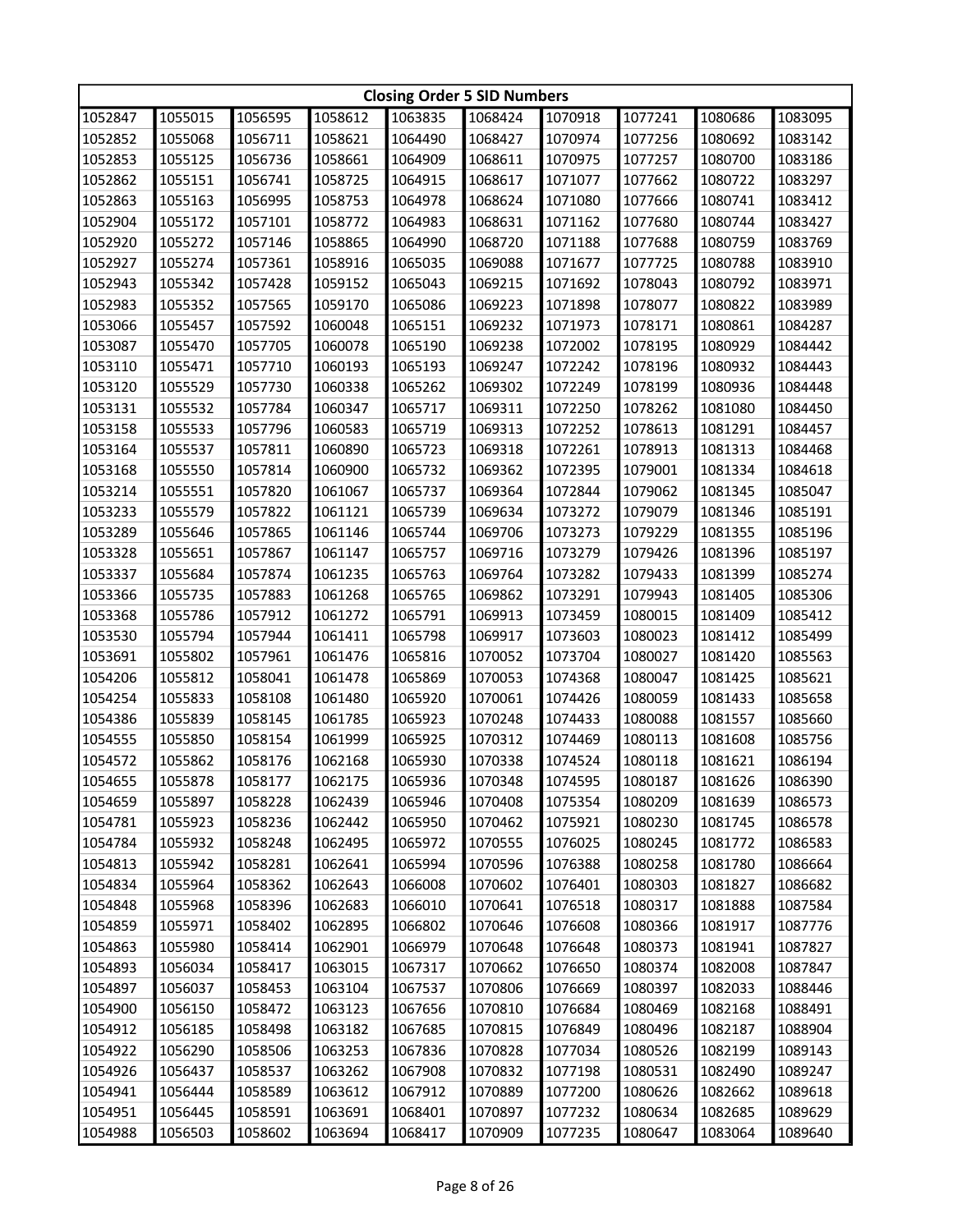|         | <b>Closing Order 5 SID Numbers</b> |         |         |         |         |         |         |         |         |  |
|---------|------------------------------------|---------|---------|---------|---------|---------|---------|---------|---------|--|
| 1052847 | 1055015                            | 1056595 | 1058612 | 1063835 | 1068424 | 1070918 | 1077241 | 1080686 | 1083095 |  |
| 1052852 | 1055068                            | 1056711 | 1058621 | 1064490 | 1068427 | 1070974 | 1077256 | 1080692 | 1083142 |  |
| 1052853 | 1055125                            | 1056736 | 1058661 | 1064909 | 1068611 | 1070975 | 1077257 | 1080700 | 1083186 |  |
| 1052862 | 1055151                            | 1056741 | 1058725 | 1064915 | 1068617 | 1071077 | 1077662 | 1080722 | 1083297 |  |
| 1052863 | 1055163                            | 1056995 | 1058753 | 1064978 | 1068624 | 1071080 | 1077666 | 1080741 | 1083412 |  |
| 1052904 | 1055172                            | 1057101 | 1058772 | 1064983 | 1068631 | 1071162 | 1077680 | 1080744 | 1083427 |  |
| 1052920 | 1055272                            | 1057146 | 1058865 | 1064990 | 1068720 | 1071188 | 1077688 | 1080759 | 1083769 |  |
| 1052927 | 1055274                            | 1057361 | 1058916 | 1065035 | 1069088 | 1071677 | 1077725 | 1080788 | 1083910 |  |
| 1052943 | 1055342                            | 1057428 | 1059152 | 1065043 | 1069215 | 1071692 | 1078043 | 1080792 | 1083971 |  |
| 1052983 | 1055352                            | 1057565 | 1059170 | 1065086 | 1069223 | 1071898 | 1078077 | 1080822 | 1083989 |  |
| 1053066 | 1055457                            | 1057592 | 1060048 | 1065151 | 1069232 | 1071973 | 1078171 | 1080861 | 1084287 |  |
| 1053087 | 1055470                            | 1057705 | 1060078 | 1065190 | 1069238 | 1072002 | 1078195 | 1080929 | 1084442 |  |
| 1053110 | 1055471                            | 1057710 | 1060193 | 1065193 | 1069247 | 1072242 | 1078196 | 1080932 | 1084443 |  |
| 1053120 | 1055529                            | 1057730 | 1060338 | 1065262 | 1069302 | 1072249 | 1078199 | 1080936 | 1084448 |  |
| 1053131 | 1055532                            | 1057784 | 1060347 | 1065717 | 1069311 | 1072250 | 1078262 | 1081080 | 1084450 |  |
| 1053158 | 1055533                            | 1057796 | 1060583 | 1065719 | 1069313 | 1072252 | 1078613 | 1081291 | 1084457 |  |
| 1053164 | 1055537                            | 1057811 | 1060890 | 1065723 | 1069318 | 1072261 | 1078913 | 1081313 | 1084468 |  |
| 1053168 | 1055550                            | 1057814 | 1060900 | 1065732 | 1069362 | 1072395 | 1079001 | 1081334 | 1084618 |  |
| 1053214 | 1055551                            | 1057820 | 1061067 | 1065737 | 1069364 | 1072844 | 1079062 | 1081345 | 1085047 |  |
| 1053233 | 1055579                            | 1057822 | 1061121 | 1065739 | 1069634 | 1073272 | 1079079 | 1081346 | 1085191 |  |
| 1053289 | 1055646                            | 1057865 | 1061146 | 1065744 | 1069706 | 1073273 | 1079229 | 1081355 | 1085196 |  |
| 1053328 | 1055651                            | 1057867 | 1061147 | 1065757 | 1069716 | 1073279 | 1079426 | 1081396 | 1085197 |  |
| 1053337 | 1055684                            | 1057874 | 1061235 | 1065763 | 1069764 | 1073282 | 1079433 | 1081399 | 1085274 |  |
| 1053366 | 1055735                            | 1057883 | 1061268 | 1065765 | 1069862 | 1073291 | 1079943 | 1081405 | 1085306 |  |
| 1053368 | 1055786                            | 1057912 | 1061272 | 1065791 | 1069913 | 1073459 | 1080015 | 1081409 | 1085412 |  |
| 1053530 | 1055794                            | 1057944 | 1061411 | 1065798 | 1069917 | 1073603 | 1080023 | 1081412 | 1085499 |  |
| 1053691 | 1055802                            | 1057961 | 1061476 | 1065816 | 1070052 | 1073704 | 1080027 | 1081420 | 1085563 |  |
| 1054206 | 1055812                            | 1058041 | 1061478 | 1065869 | 1070053 | 1074368 | 1080047 | 1081425 | 1085621 |  |
| 1054254 | 1055833                            | 1058108 | 1061480 | 1065920 | 1070061 | 1074426 | 1080059 | 1081433 | 1085658 |  |
| 1054386 | 1055839                            | 1058145 | 1061785 | 1065923 | 1070248 | 1074433 | 1080088 | 1081557 | 1085660 |  |
| 1054555 | 1055850                            | 1058154 | 1061999 | 1065925 | 1070312 | 1074469 | 1080113 | 1081608 | 1085756 |  |
| 1054572 | 1055862                            | 1058176 | 1062168 | 1065930 | 1070338 | 1074524 | 1080118 | 1081621 | 1086194 |  |
| 1054655 | 1055878                            | 1058177 | 1062175 | 1065936 | 1070348 | 1074595 | 1080187 | 1081626 | 1086390 |  |
| 1054659 | 1055897                            | 1058228 | 1062439 | 1065946 | 1070408 | 1075354 | 1080209 | 1081639 | 1086573 |  |
| 1054781 | 1055923                            | 1058236 | 1062442 | 1065950 | 1070462 | 1075921 | 1080230 | 1081745 | 1086578 |  |
| 1054784 | 1055932                            | 1058248 | 1062495 | 1065972 | 1070555 | 1076025 | 1080245 | 1081772 | 1086583 |  |
| 1054813 | 1055942                            | 1058281 | 1062641 | 1065994 | 1070596 | 1076388 | 1080258 | 1081780 | 1086664 |  |
| 1054834 | 1055964                            | 1058362 | 1062643 | 1066008 | 1070602 | 1076401 | 1080303 | 1081827 | 1086682 |  |
| 1054848 | 1055968                            | 1058396 | 1062683 | 1066010 | 1070641 | 1076518 | 1080317 | 1081888 | 1087584 |  |
| 1054859 | 1055971                            | 1058402 | 1062895 | 1066802 | 1070646 | 1076608 | 1080366 | 1081917 | 1087776 |  |
| 1054863 | 1055980                            | 1058414 | 1062901 | 1066979 | 1070648 | 1076648 | 1080373 | 1081941 | 1087827 |  |
| 1054893 | 1056034                            | 1058417 | 1063015 | 1067317 | 1070662 | 1076650 | 1080374 | 1082008 | 1087847 |  |
| 1054897 | 1056037                            | 1058453 | 1063104 | 1067537 | 1070806 | 1076669 | 1080397 | 1082033 | 1088446 |  |
| 1054900 | 1056150                            | 1058472 | 1063123 | 1067656 | 1070810 | 1076684 | 1080469 | 1082168 | 1088491 |  |
| 1054912 | 1056185                            | 1058498 | 1063182 | 1067685 | 1070815 | 1076849 | 1080496 | 1082187 | 1088904 |  |
| 1054922 | 1056290                            | 1058506 | 1063253 | 1067836 | 1070828 | 1077034 | 1080526 | 1082199 | 1089143 |  |
| 1054926 | 1056437                            | 1058537 | 1063262 | 1067908 | 1070832 | 1077198 | 1080531 | 1082490 | 1089247 |  |
| 1054941 | 1056444                            | 1058589 | 1063612 | 1067912 | 1070889 | 1077200 | 1080626 | 1082662 | 1089618 |  |
| 1054951 | 1056445                            | 1058591 | 1063691 | 1068401 | 1070897 | 1077232 | 1080634 | 1082685 | 1089629 |  |
| 1054988 | 1056503                            | 1058602 | 1063694 | 1068417 | 1070909 | 1077235 | 1080647 | 1083064 | 1089640 |  |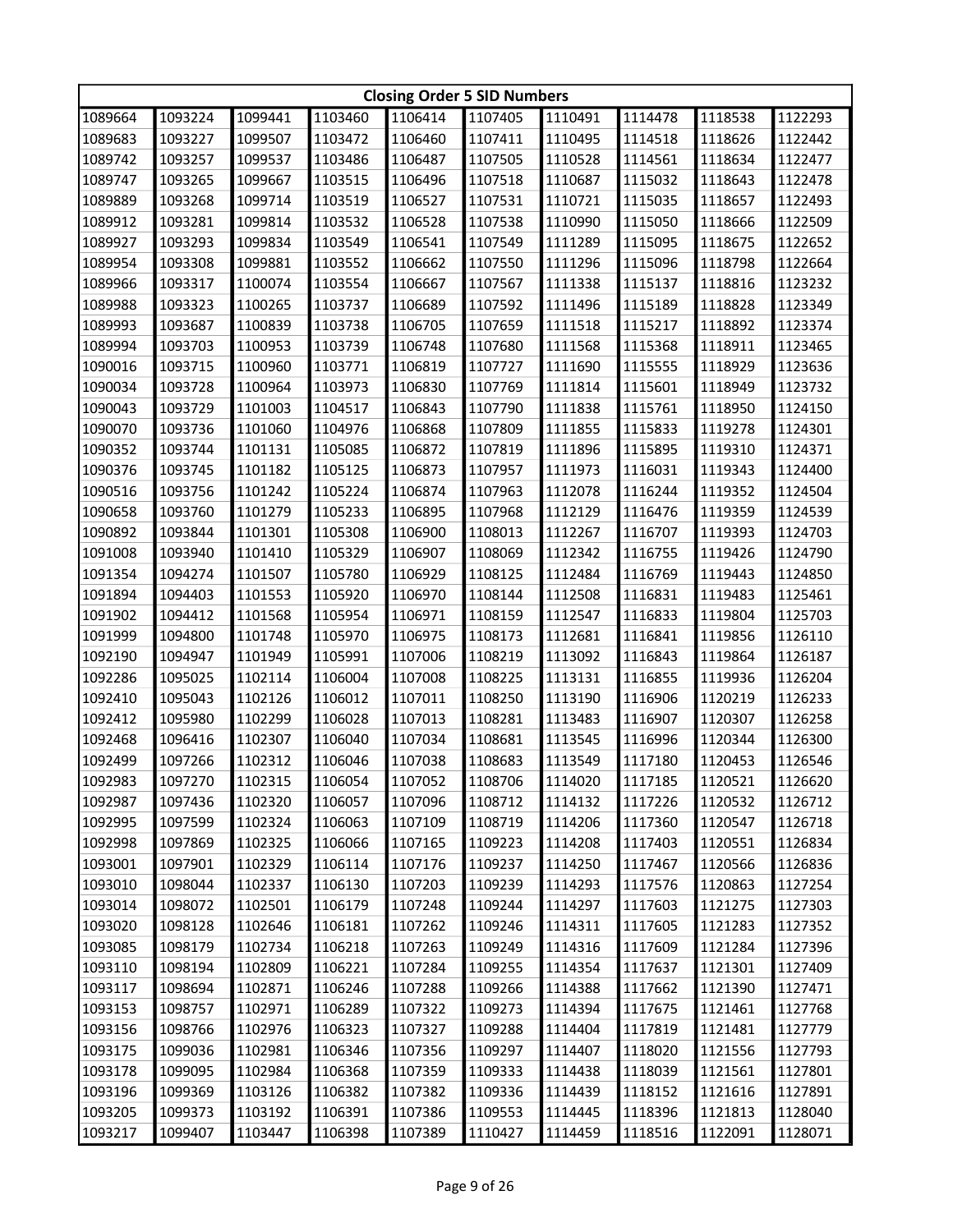|         | <b>Closing Order 5 SID Numbers</b> |         |         |         |         |         |         |         |         |  |
|---------|------------------------------------|---------|---------|---------|---------|---------|---------|---------|---------|--|
| 1089664 | 1093224                            | 1099441 | 1103460 | 1106414 | 1107405 | 1110491 | 1114478 | 1118538 | 1122293 |  |
| 1089683 | 1093227                            | 1099507 | 1103472 | 1106460 | 1107411 | 1110495 | 1114518 | 1118626 | 1122442 |  |
| 1089742 | 1093257                            | 1099537 | 1103486 | 1106487 | 1107505 | 1110528 | 1114561 | 1118634 | 1122477 |  |
| 1089747 | 1093265                            | 1099667 | 1103515 | 1106496 | 1107518 | 1110687 | 1115032 | 1118643 | 1122478 |  |
| 1089889 | 1093268                            | 1099714 | 1103519 | 1106527 | 1107531 | 1110721 | 1115035 | 1118657 | 1122493 |  |
| 1089912 | 1093281                            | 1099814 | 1103532 | 1106528 | 1107538 | 1110990 | 1115050 | 1118666 | 1122509 |  |
| 1089927 | 1093293                            | 1099834 | 1103549 | 1106541 | 1107549 | 1111289 | 1115095 | 1118675 | 1122652 |  |
| 1089954 | 1093308                            | 1099881 | 1103552 | 1106662 | 1107550 | 1111296 | 1115096 | 1118798 | 1122664 |  |
| 1089966 | 1093317                            | 1100074 | 1103554 | 1106667 | 1107567 | 1111338 | 1115137 | 1118816 | 1123232 |  |
| 1089988 | 1093323                            | 1100265 | 1103737 | 1106689 | 1107592 | 1111496 | 1115189 | 1118828 | 1123349 |  |
| 1089993 | 1093687                            | 1100839 | 1103738 | 1106705 | 1107659 | 1111518 | 1115217 | 1118892 | 1123374 |  |
| 1089994 | 1093703                            | 1100953 | 1103739 | 1106748 | 1107680 | 1111568 | 1115368 | 1118911 | 1123465 |  |
| 1090016 | 1093715                            | 1100960 | 1103771 | 1106819 | 1107727 | 1111690 | 1115555 | 1118929 | 1123636 |  |
| 1090034 | 1093728                            | 1100964 | 1103973 | 1106830 | 1107769 | 1111814 | 1115601 | 1118949 | 1123732 |  |
| 1090043 | 1093729                            | 1101003 | 1104517 | 1106843 | 1107790 | 1111838 | 1115761 | 1118950 | 1124150 |  |
| 1090070 | 1093736                            | 1101060 | 1104976 | 1106868 | 1107809 | 1111855 | 1115833 | 1119278 | 1124301 |  |
| 1090352 | 1093744                            | 1101131 | 1105085 | 1106872 | 1107819 | 1111896 | 1115895 | 1119310 | 1124371 |  |
| 1090376 | 1093745                            | 1101182 | 1105125 | 1106873 | 1107957 | 1111973 | 1116031 | 1119343 | 1124400 |  |
| 1090516 | 1093756                            | 1101242 | 1105224 | 1106874 | 1107963 | 1112078 | 1116244 | 1119352 | 1124504 |  |
| 1090658 | 1093760                            | 1101279 | 1105233 | 1106895 | 1107968 | 1112129 | 1116476 | 1119359 | 1124539 |  |
| 1090892 | 1093844                            | 1101301 | 1105308 | 1106900 | 1108013 | 1112267 | 1116707 | 1119393 | 1124703 |  |
| 1091008 | 1093940                            | 1101410 | 1105329 | 1106907 | 1108069 | 1112342 | 1116755 | 1119426 | 1124790 |  |
| 1091354 | 1094274                            | 1101507 | 1105780 | 1106929 | 1108125 | 1112484 | 1116769 | 1119443 | 1124850 |  |
| 1091894 | 1094403                            | 1101553 | 1105920 | 1106970 | 1108144 | 1112508 | 1116831 | 1119483 | 1125461 |  |
| 1091902 | 1094412                            | 1101568 | 1105954 | 1106971 | 1108159 | 1112547 | 1116833 | 1119804 | 1125703 |  |
| 1091999 | 1094800                            | 1101748 | 1105970 | 1106975 | 1108173 | 1112681 | 1116841 | 1119856 | 1126110 |  |
| 1092190 | 1094947                            | 1101949 | 1105991 | 1107006 | 1108219 | 1113092 | 1116843 | 1119864 | 1126187 |  |
| 1092286 | 1095025                            | 1102114 | 1106004 | 1107008 | 1108225 | 1113131 | 1116855 | 1119936 | 1126204 |  |
| 1092410 | 1095043                            | 1102126 | 1106012 | 1107011 | 1108250 | 1113190 | 1116906 | 1120219 | 1126233 |  |
| 1092412 | 1095980                            | 1102299 | 1106028 | 1107013 | 1108281 | 1113483 | 1116907 | 1120307 | 1126258 |  |
| 1092468 | 1096416                            | 1102307 | 1106040 | 1107034 | 1108681 | 1113545 | 1116996 | 1120344 | 1126300 |  |
| 1092499 | 1097266                            | 1102312 | 1106046 | 1107038 | 1108683 | 1113549 | 1117180 | 1120453 | 1126546 |  |
| 1092983 | 1097270                            | 1102315 | 1106054 | 1107052 | 1108706 | 1114020 | 1117185 | 1120521 | 1126620 |  |
| 1092987 | 1097436                            | 1102320 | 1106057 | 1107096 | 1108712 | 1114132 | 1117226 | 1120532 | 1126712 |  |
| 1092995 | 1097599                            | 1102324 | 1106063 | 1107109 | 1108719 | 1114206 | 1117360 | 1120547 | 1126718 |  |
| 1092998 | 1097869                            | 1102325 | 1106066 | 1107165 | 1109223 | 1114208 | 1117403 | 1120551 | 1126834 |  |
| 1093001 | 1097901                            | 1102329 | 1106114 | 1107176 | 1109237 | 1114250 | 1117467 | 1120566 | 1126836 |  |
| 1093010 | 1098044                            | 1102337 | 1106130 | 1107203 | 1109239 | 1114293 | 1117576 | 1120863 | 1127254 |  |
| 1093014 | 1098072                            | 1102501 | 1106179 | 1107248 | 1109244 | 1114297 | 1117603 | 1121275 | 1127303 |  |
| 1093020 | 1098128                            | 1102646 | 1106181 | 1107262 | 1109246 | 1114311 | 1117605 | 1121283 | 1127352 |  |
| 1093085 | 1098179                            | 1102734 | 1106218 | 1107263 | 1109249 | 1114316 | 1117609 | 1121284 | 1127396 |  |
| 1093110 | 1098194                            | 1102809 | 1106221 | 1107284 | 1109255 | 1114354 | 1117637 | 1121301 | 1127409 |  |
| 1093117 | 1098694                            | 1102871 | 1106246 | 1107288 | 1109266 | 1114388 | 1117662 | 1121390 | 1127471 |  |
| 1093153 | 1098757                            | 1102971 | 1106289 | 1107322 | 1109273 | 1114394 | 1117675 | 1121461 | 1127768 |  |
| 1093156 | 1098766                            | 1102976 | 1106323 | 1107327 | 1109288 | 1114404 | 1117819 | 1121481 | 1127779 |  |
| 1093175 | 1099036                            | 1102981 | 1106346 | 1107356 | 1109297 | 1114407 | 1118020 | 1121556 | 1127793 |  |
| 1093178 | 1099095                            | 1102984 | 1106368 | 1107359 | 1109333 | 1114438 | 1118039 | 1121561 | 1127801 |  |
| 1093196 | 1099369                            | 1103126 | 1106382 | 1107382 | 1109336 | 1114439 | 1118152 | 1121616 | 1127891 |  |
| 1093205 | 1099373                            | 1103192 | 1106391 | 1107386 | 1109553 | 1114445 | 1118396 | 1121813 | 1128040 |  |
| 1093217 | 1099407                            | 1103447 | 1106398 | 1107389 | 1110427 | 1114459 | 1118516 | 1122091 | 1128071 |  |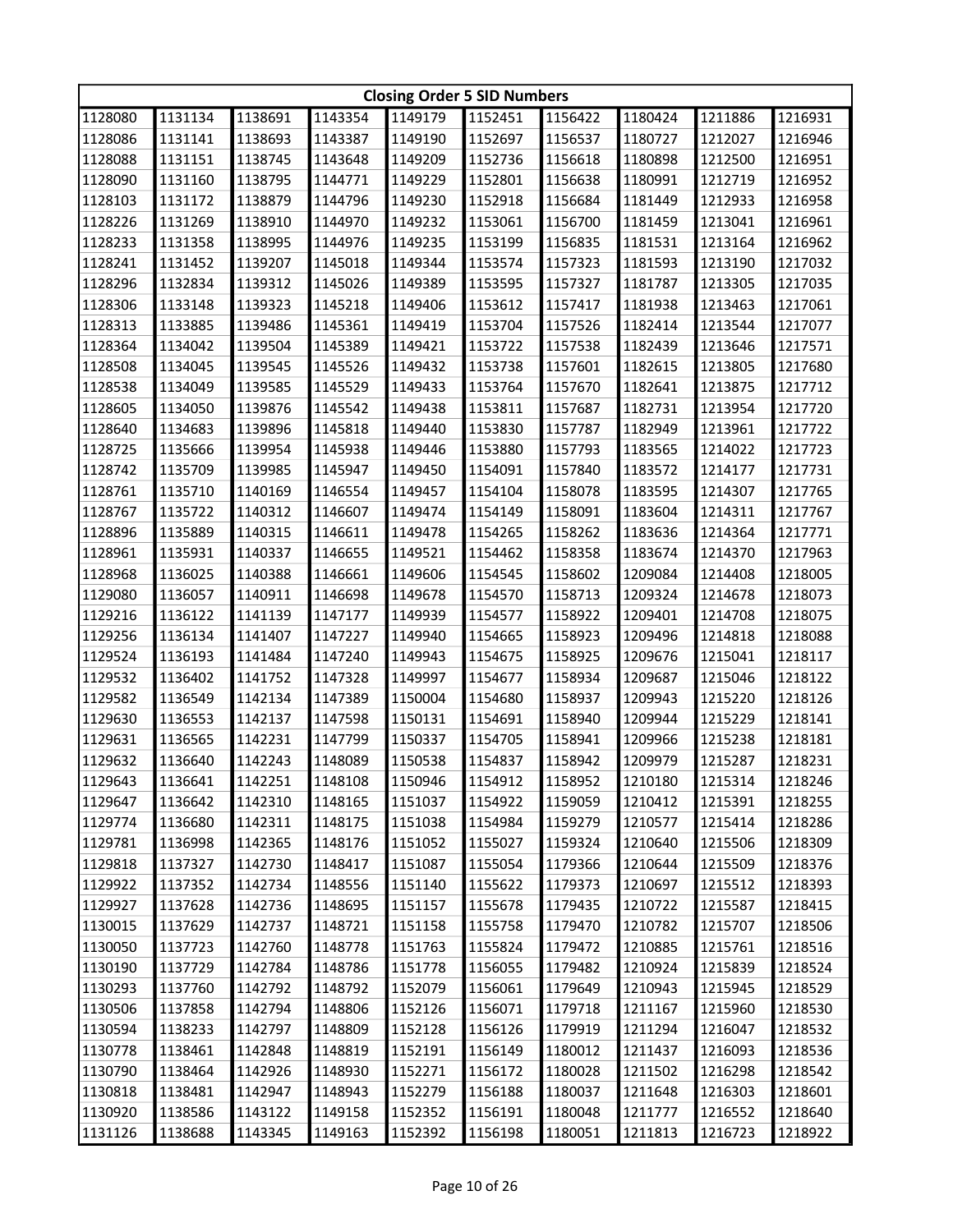|         | <b>Closing Order 5 SID Numbers</b> |         |         |         |         |         |         |         |         |  |
|---------|------------------------------------|---------|---------|---------|---------|---------|---------|---------|---------|--|
| 1128080 | 1131134                            | 1138691 | 1143354 | 1149179 | 1152451 | 1156422 | 1180424 | 1211886 | 1216931 |  |
| 1128086 | 1131141                            | 1138693 | 1143387 | 1149190 | 1152697 | 1156537 | 1180727 | 1212027 | 1216946 |  |
| 1128088 | 1131151                            | 1138745 | 1143648 | 1149209 | 1152736 | 1156618 | 1180898 | 1212500 | 1216951 |  |
| 1128090 | 1131160                            | 1138795 | 1144771 | 1149229 | 1152801 | 1156638 | 1180991 | 1212719 | 1216952 |  |
| 1128103 | 1131172                            | 1138879 | 1144796 | 1149230 | 1152918 | 1156684 | 1181449 | 1212933 | 1216958 |  |
| 1128226 | 1131269                            | 1138910 | 1144970 | 1149232 | 1153061 | 1156700 | 1181459 | 1213041 | 1216961 |  |
| 1128233 | 1131358                            | 1138995 | 1144976 | 1149235 | 1153199 | 1156835 | 1181531 | 1213164 | 1216962 |  |
| 1128241 | 1131452                            | 1139207 | 1145018 | 1149344 | 1153574 | 1157323 | 1181593 | 1213190 | 1217032 |  |
| 1128296 | 1132834                            | 1139312 | 1145026 | 1149389 | 1153595 | 1157327 | 1181787 | 1213305 | 1217035 |  |
| 1128306 | 1133148                            | 1139323 | 1145218 | 1149406 | 1153612 | 1157417 | 1181938 | 1213463 | 1217061 |  |
| 1128313 | 1133885                            | 1139486 | 1145361 | 1149419 | 1153704 | 1157526 | 1182414 | 1213544 | 1217077 |  |
| 1128364 | 1134042                            | 1139504 | 1145389 | 1149421 | 1153722 | 1157538 | 1182439 | 1213646 | 1217571 |  |
| 1128508 | 1134045                            | 1139545 | 1145526 | 1149432 | 1153738 | 1157601 | 1182615 | 1213805 | 1217680 |  |
| 1128538 | 1134049                            | 1139585 | 1145529 | 1149433 | 1153764 | 1157670 | 1182641 | 1213875 | 1217712 |  |
| 1128605 | 1134050                            | 1139876 | 1145542 | 1149438 | 1153811 | 1157687 | 1182731 | 1213954 | 1217720 |  |
| 1128640 | 1134683                            | 1139896 | 1145818 | 1149440 | 1153830 | 1157787 | 1182949 | 1213961 | 1217722 |  |
| 1128725 | 1135666                            | 1139954 | 1145938 | 1149446 | 1153880 | 1157793 | 1183565 | 1214022 | 1217723 |  |
| 1128742 | 1135709                            | 1139985 | 1145947 | 1149450 | 1154091 | 1157840 | 1183572 | 1214177 | 1217731 |  |
| 1128761 | 1135710                            | 1140169 | 1146554 | 1149457 | 1154104 | 1158078 | 1183595 | 1214307 | 1217765 |  |
| 1128767 | 1135722                            | 1140312 | 1146607 | 1149474 | 1154149 | 1158091 | 1183604 | 1214311 | 1217767 |  |
| 1128896 | 1135889                            | 1140315 | 1146611 | 1149478 | 1154265 | 1158262 | 1183636 | 1214364 | 1217771 |  |
| 1128961 | 1135931                            | 1140337 | 1146655 | 1149521 | 1154462 | 1158358 | 1183674 | 1214370 | 1217963 |  |
| 1128968 | 1136025                            | 1140388 | 1146661 | 1149606 | 1154545 | 1158602 | 1209084 | 1214408 | 1218005 |  |
| 1129080 | 1136057                            | 1140911 | 1146698 | 1149678 | 1154570 | 1158713 | 1209324 | 1214678 | 1218073 |  |
| 1129216 | 1136122                            | 1141139 | 1147177 | 1149939 | 1154577 | 1158922 | 1209401 | 1214708 | 1218075 |  |
| 1129256 | 1136134                            | 1141407 | 1147227 | 1149940 | 1154665 | 1158923 | 1209496 | 1214818 | 1218088 |  |
| 1129524 | 1136193                            | 1141484 | 1147240 | 1149943 | 1154675 | 1158925 | 1209676 | 1215041 | 1218117 |  |
| 1129532 | 1136402                            | 1141752 | 1147328 | 1149997 | 1154677 | 1158934 | 1209687 | 1215046 | 1218122 |  |
| 1129582 | 1136549                            | 1142134 | 1147389 | 1150004 | 1154680 | 1158937 | 1209943 | 1215220 | 1218126 |  |
| 1129630 | 1136553                            | 1142137 | 1147598 | 1150131 | 1154691 | 1158940 | 1209944 | 1215229 | 1218141 |  |
| 1129631 | 1136565                            | 1142231 | 1147799 | 1150337 | 1154705 | 1158941 | 1209966 | 1215238 | 1218181 |  |
| 1129632 | 1136640                            | 1142243 | 1148089 | 1150538 | 1154837 | 1158942 | 1209979 | 1215287 | 1218231 |  |
| 1129643 | 1136641                            | 1142251 | 1148108 | 1150946 | 1154912 | 1158952 | 1210180 | 1215314 | 1218246 |  |
| 1129647 | 1136642                            | 1142310 | 1148165 | 1151037 | 1154922 | 1159059 | 1210412 | 1215391 | 1218255 |  |
| 1129774 | 1136680                            | 1142311 | 1148175 | 1151038 | 1154984 | 1159279 | 1210577 | 1215414 | 1218286 |  |
| 1129781 | 1136998                            | 1142365 | 1148176 | 1151052 | 1155027 | 1159324 | 1210640 | 1215506 | 1218309 |  |
| 1129818 | 1137327                            | 1142730 | 1148417 | 1151087 | 1155054 | 1179366 | 1210644 | 1215509 | 1218376 |  |
| 1129922 | 1137352                            | 1142734 | 1148556 | 1151140 | 1155622 | 1179373 | 1210697 | 1215512 | 1218393 |  |
| 1129927 | 1137628                            | 1142736 | 1148695 | 1151157 | 1155678 | 1179435 | 1210722 | 1215587 | 1218415 |  |
| 1130015 | 1137629                            | 1142737 | 1148721 | 1151158 | 1155758 | 1179470 | 1210782 | 1215707 | 1218506 |  |
| 1130050 | 1137723                            | 1142760 | 1148778 | 1151763 | 1155824 | 1179472 | 1210885 | 1215761 | 1218516 |  |
| 1130190 | 1137729                            | 1142784 | 1148786 | 1151778 | 1156055 | 1179482 | 1210924 | 1215839 | 1218524 |  |
| 1130293 | 1137760                            | 1142792 | 1148792 | 1152079 | 1156061 | 1179649 | 1210943 | 1215945 | 1218529 |  |
| 1130506 | 1137858                            | 1142794 | 1148806 | 1152126 | 1156071 | 1179718 | 1211167 | 1215960 | 1218530 |  |
| 1130594 | 1138233                            | 1142797 | 1148809 | 1152128 | 1156126 | 1179919 | 1211294 | 1216047 | 1218532 |  |
| 1130778 | 1138461                            | 1142848 | 1148819 | 1152191 | 1156149 | 1180012 | 1211437 | 1216093 | 1218536 |  |
| 1130790 | 1138464                            | 1142926 | 1148930 | 1152271 | 1156172 | 1180028 | 1211502 | 1216298 | 1218542 |  |
| 1130818 | 1138481                            | 1142947 | 1148943 | 1152279 | 1156188 | 1180037 | 1211648 | 1216303 | 1218601 |  |
| 1130920 | 1138586                            | 1143122 | 1149158 | 1152352 | 1156191 | 1180048 | 1211777 | 1216552 | 1218640 |  |
| 1131126 | 1138688                            | 1143345 | 1149163 | 1152392 | 1156198 | 1180051 | 1211813 | 1216723 | 1218922 |  |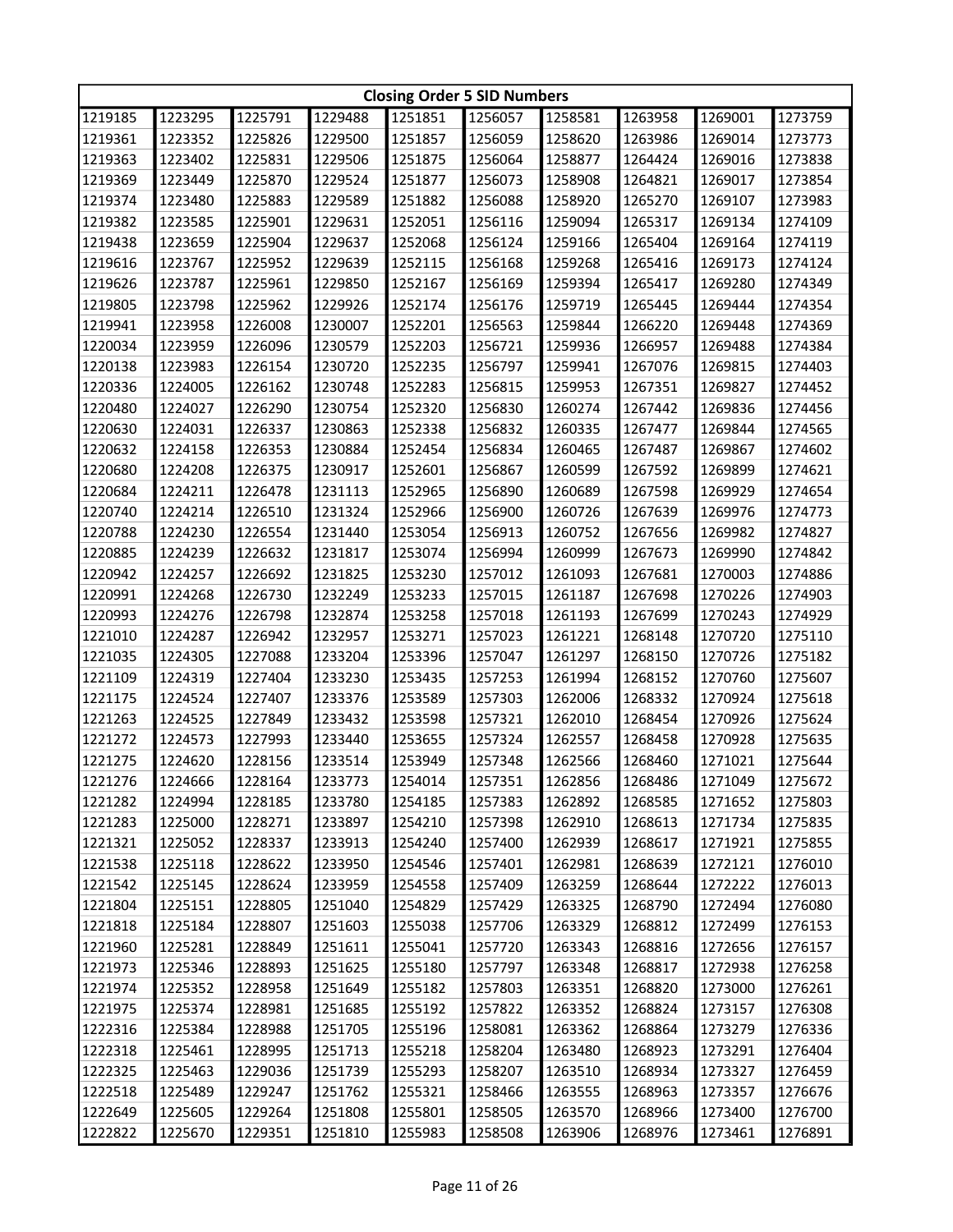|         | <b>Closing Order 5 SID Numbers</b> |         |         |         |         |         |         |         |         |  |
|---------|------------------------------------|---------|---------|---------|---------|---------|---------|---------|---------|--|
| 1219185 | 1223295                            | 1225791 | 1229488 | 1251851 | 1256057 | 1258581 | 1263958 | 1269001 | 1273759 |  |
| 1219361 | 1223352                            | 1225826 | 1229500 | 1251857 | 1256059 | 1258620 | 1263986 | 1269014 | 1273773 |  |
| 1219363 | 1223402                            | 1225831 | 1229506 | 1251875 | 1256064 | 1258877 | 1264424 | 1269016 | 1273838 |  |
| 1219369 | 1223449                            | 1225870 | 1229524 | 1251877 | 1256073 | 1258908 | 1264821 | 1269017 | 1273854 |  |
| 1219374 | 1223480                            | 1225883 | 1229589 | 1251882 | 1256088 | 1258920 | 1265270 | 1269107 | 1273983 |  |
| 1219382 | 1223585                            | 1225901 | 1229631 | 1252051 | 1256116 | 1259094 | 1265317 | 1269134 | 1274109 |  |
| 1219438 | 1223659                            | 1225904 | 1229637 | 1252068 | 1256124 | 1259166 | 1265404 | 1269164 | 1274119 |  |
| 1219616 | 1223767                            | 1225952 | 1229639 | 1252115 | 1256168 | 1259268 | 1265416 | 1269173 | 1274124 |  |
| 1219626 | 1223787                            | 1225961 | 1229850 | 1252167 | 1256169 | 1259394 | 1265417 | 1269280 | 1274349 |  |
| 1219805 | 1223798                            | 1225962 | 1229926 | 1252174 | 1256176 | 1259719 | 1265445 | 1269444 | 1274354 |  |
| 1219941 | 1223958                            | 1226008 | 1230007 | 1252201 | 1256563 | 1259844 | 1266220 | 1269448 | 1274369 |  |
| 1220034 | 1223959                            | 1226096 | 1230579 | 1252203 | 1256721 | 1259936 | 1266957 | 1269488 | 1274384 |  |
| 1220138 | 1223983                            | 1226154 | 1230720 | 1252235 | 1256797 | 1259941 | 1267076 | 1269815 | 1274403 |  |
| 1220336 | 1224005                            | 1226162 | 1230748 | 1252283 | 1256815 | 1259953 | 1267351 | 1269827 | 1274452 |  |
| 1220480 | 1224027                            | 1226290 | 1230754 | 1252320 | 1256830 | 1260274 | 1267442 | 1269836 | 1274456 |  |
| 1220630 | 1224031                            | 1226337 | 1230863 | 1252338 | 1256832 | 1260335 | 1267477 | 1269844 | 1274565 |  |
| 1220632 | 1224158                            | 1226353 | 1230884 | 1252454 | 1256834 | 1260465 | 1267487 | 1269867 | 1274602 |  |
| 1220680 | 1224208                            | 1226375 | 1230917 | 1252601 | 1256867 | 1260599 | 1267592 | 1269899 | 1274621 |  |
| 1220684 | 1224211                            | 1226478 | 1231113 | 1252965 | 1256890 | 1260689 | 1267598 | 1269929 | 1274654 |  |
| 1220740 | 1224214                            | 1226510 | 1231324 | 1252966 | 1256900 | 1260726 | 1267639 | 1269976 | 1274773 |  |
| 1220788 | 1224230                            | 1226554 | 1231440 | 1253054 | 1256913 | 1260752 | 1267656 | 1269982 | 1274827 |  |
| 1220885 | 1224239                            | 1226632 | 1231817 | 1253074 | 1256994 | 1260999 | 1267673 | 1269990 | 1274842 |  |
| 1220942 | 1224257                            | 1226692 | 1231825 | 1253230 | 1257012 | 1261093 | 1267681 | 1270003 | 1274886 |  |
| 1220991 | 1224268                            | 1226730 | 1232249 | 1253233 | 1257015 | 1261187 | 1267698 | 1270226 | 1274903 |  |
| 1220993 | 1224276                            | 1226798 | 1232874 | 1253258 | 1257018 | 1261193 | 1267699 | 1270243 | 1274929 |  |
| 1221010 | 1224287                            | 1226942 | 1232957 | 1253271 | 1257023 | 1261221 | 1268148 | 1270720 | 1275110 |  |
| 1221035 | 1224305                            | 1227088 | 1233204 | 1253396 | 1257047 | 1261297 | 1268150 | 1270726 | 1275182 |  |
| 1221109 | 1224319                            | 1227404 | 1233230 | 1253435 | 1257253 | 1261994 | 1268152 | 1270760 | 1275607 |  |
| 1221175 | 1224524                            | 1227407 | 1233376 | 1253589 | 1257303 | 1262006 | 1268332 | 1270924 | 1275618 |  |
| 1221263 | 1224525                            | 1227849 | 1233432 | 1253598 | 1257321 | 1262010 | 1268454 | 1270926 | 1275624 |  |
| 1221272 | 1224573                            | 1227993 | 1233440 | 1253655 | 1257324 | 1262557 | 1268458 | 1270928 | 1275635 |  |
| 1221275 | 1224620                            | 1228156 | 1233514 | 1253949 | 1257348 | 1262566 | 1268460 | 1271021 | 1275644 |  |
| 1221276 | 1224666                            | 1228164 | 1233773 | 1254014 | 1257351 | 1262856 | 1268486 | 1271049 | 1275672 |  |
| 1221282 | 1224994                            | 1228185 | 1233780 | 1254185 | 1257383 | 1262892 | 1268585 | 1271652 | 1275803 |  |
| 1221283 | 1225000                            | 1228271 | 1233897 | 1254210 | 1257398 | 1262910 | 1268613 | 1271734 | 1275835 |  |
| 1221321 | 1225052                            | 1228337 | 1233913 | 1254240 | 1257400 | 1262939 | 1268617 | 1271921 | 1275855 |  |
| 1221538 | 1225118                            | 1228622 | 1233950 | 1254546 | 1257401 | 1262981 | 1268639 | 1272121 | 1276010 |  |
| 1221542 | 1225145                            | 1228624 | 1233959 | 1254558 | 1257409 | 1263259 | 1268644 | 1272222 | 1276013 |  |
| 1221804 | 1225151                            | 1228805 | 1251040 | 1254829 | 1257429 | 1263325 | 1268790 | 1272494 | 1276080 |  |
| 1221818 | 1225184                            | 1228807 | 1251603 | 1255038 | 1257706 | 1263329 | 1268812 | 1272499 | 1276153 |  |
| 1221960 | 1225281                            | 1228849 | 1251611 | 1255041 | 1257720 | 1263343 | 1268816 | 1272656 | 1276157 |  |
| 1221973 | 1225346                            | 1228893 | 1251625 | 1255180 | 1257797 | 1263348 | 1268817 | 1272938 | 1276258 |  |
| 1221974 | 1225352                            | 1228958 | 1251649 | 1255182 | 1257803 | 1263351 | 1268820 | 1273000 | 1276261 |  |
| 1221975 | 1225374                            | 1228981 | 1251685 | 1255192 | 1257822 | 1263352 | 1268824 | 1273157 | 1276308 |  |
| 1222316 | 1225384                            | 1228988 | 1251705 | 1255196 | 1258081 | 1263362 | 1268864 | 1273279 | 1276336 |  |
| 1222318 | 1225461                            | 1228995 | 1251713 | 1255218 | 1258204 | 1263480 | 1268923 | 1273291 | 1276404 |  |
| 1222325 | 1225463                            | 1229036 | 1251739 | 1255293 | 1258207 | 1263510 | 1268934 | 1273327 | 1276459 |  |
| 1222518 | 1225489                            | 1229247 | 1251762 | 1255321 | 1258466 | 1263555 | 1268963 | 1273357 | 1276676 |  |
| 1222649 | 1225605                            | 1229264 | 1251808 | 1255801 | 1258505 | 1263570 | 1268966 | 1273400 | 1276700 |  |
| 1222822 | 1225670                            | 1229351 | 1251810 | 1255983 | 1258508 | 1263906 | 1268976 | 1273461 | 1276891 |  |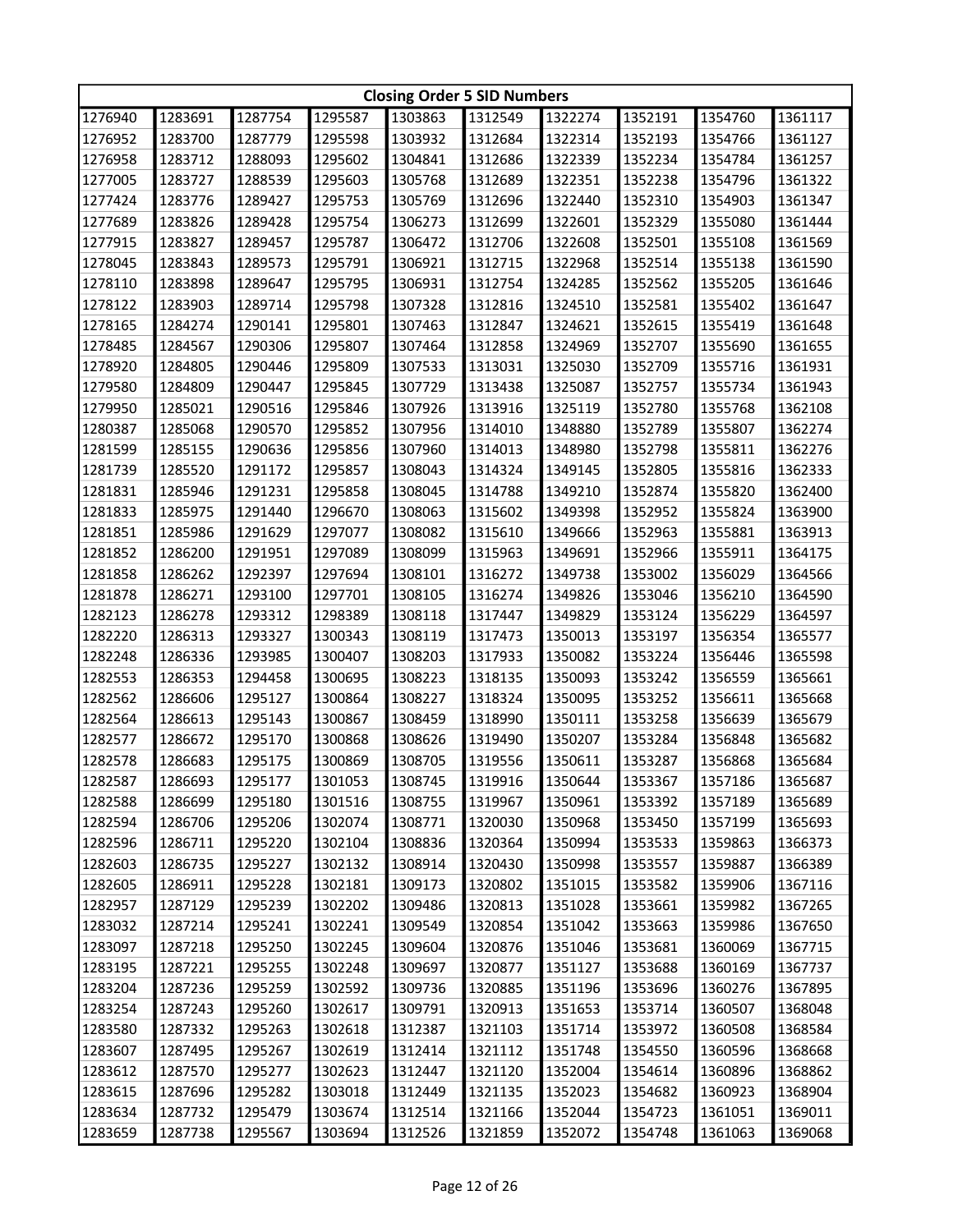|         | <b>Closing Order 5 SID Numbers</b> |         |         |         |         |         |         |         |         |  |
|---------|------------------------------------|---------|---------|---------|---------|---------|---------|---------|---------|--|
| 1276940 | 1283691                            | 1287754 | 1295587 | 1303863 | 1312549 | 1322274 | 1352191 | 1354760 | 1361117 |  |
| 1276952 | 1283700                            | 1287779 | 1295598 | 1303932 | 1312684 | 1322314 | 1352193 | 1354766 | 1361127 |  |
| 1276958 | 1283712                            | 1288093 | 1295602 | 1304841 | 1312686 | 1322339 | 1352234 | 1354784 | 1361257 |  |
| 1277005 | 1283727                            | 1288539 | 1295603 | 1305768 | 1312689 | 1322351 | 1352238 | 1354796 | 1361322 |  |
| 1277424 | 1283776                            | 1289427 | 1295753 | 1305769 | 1312696 | 1322440 | 1352310 | 1354903 | 1361347 |  |
| 1277689 | 1283826                            | 1289428 | 1295754 | 1306273 | 1312699 | 1322601 | 1352329 | 1355080 | 1361444 |  |
| 1277915 | 1283827                            | 1289457 | 1295787 | 1306472 | 1312706 | 1322608 | 1352501 | 1355108 | 1361569 |  |
| 1278045 | 1283843                            | 1289573 | 1295791 | 1306921 | 1312715 | 1322968 | 1352514 | 1355138 | 1361590 |  |
| 1278110 | 1283898                            | 1289647 | 1295795 | 1306931 | 1312754 | 1324285 | 1352562 | 1355205 | 1361646 |  |
| 1278122 | 1283903                            | 1289714 | 1295798 | 1307328 | 1312816 | 1324510 | 1352581 | 1355402 | 1361647 |  |
| 1278165 | 1284274                            | 1290141 | 1295801 | 1307463 | 1312847 | 1324621 | 1352615 | 1355419 | 1361648 |  |
| 1278485 | 1284567                            | 1290306 | 1295807 | 1307464 | 1312858 | 1324969 | 1352707 | 1355690 | 1361655 |  |
| 1278920 | 1284805                            | 1290446 | 1295809 | 1307533 | 1313031 | 1325030 | 1352709 | 1355716 | 1361931 |  |
| 1279580 | 1284809                            | 1290447 | 1295845 | 1307729 | 1313438 | 1325087 | 1352757 | 1355734 | 1361943 |  |
| 1279950 | 1285021                            | 1290516 | 1295846 | 1307926 | 1313916 | 1325119 | 1352780 | 1355768 | 1362108 |  |
| 1280387 | 1285068                            | 1290570 | 1295852 | 1307956 | 1314010 | 1348880 | 1352789 | 1355807 | 1362274 |  |
| 1281599 | 1285155                            | 1290636 | 1295856 | 1307960 | 1314013 | 1348980 | 1352798 | 1355811 | 1362276 |  |
| 1281739 | 1285520                            | 1291172 | 1295857 | 1308043 | 1314324 | 1349145 | 1352805 | 1355816 | 1362333 |  |
| 1281831 | 1285946                            | 1291231 | 1295858 | 1308045 | 1314788 | 1349210 | 1352874 | 1355820 | 1362400 |  |
| 1281833 | 1285975                            | 1291440 | 1296670 | 1308063 | 1315602 | 1349398 | 1352952 | 1355824 | 1363900 |  |
| 1281851 | 1285986                            | 1291629 | 1297077 | 1308082 | 1315610 | 1349666 | 1352963 | 1355881 | 1363913 |  |
| 1281852 | 1286200                            | 1291951 | 1297089 | 1308099 | 1315963 | 1349691 | 1352966 | 1355911 | 1364175 |  |
| 1281858 | 1286262                            | 1292397 | 1297694 | 1308101 | 1316272 | 1349738 | 1353002 | 1356029 | 1364566 |  |
| 1281878 | 1286271                            | 1293100 | 1297701 | 1308105 | 1316274 | 1349826 | 1353046 | 1356210 | 1364590 |  |
| 1282123 | 1286278                            | 1293312 | 1298389 | 1308118 | 1317447 | 1349829 | 1353124 | 1356229 | 1364597 |  |
| 1282220 | 1286313                            | 1293327 | 1300343 | 1308119 | 1317473 | 1350013 | 1353197 | 1356354 | 1365577 |  |
| 1282248 | 1286336                            | 1293985 | 1300407 | 1308203 | 1317933 | 1350082 | 1353224 | 1356446 | 1365598 |  |
| 1282553 | 1286353                            | 1294458 | 1300695 | 1308223 | 1318135 | 1350093 | 1353242 | 1356559 | 1365661 |  |
| 1282562 | 1286606                            | 1295127 | 1300864 | 1308227 | 1318324 | 1350095 | 1353252 | 1356611 | 1365668 |  |
| 1282564 | 1286613                            | 1295143 | 1300867 | 1308459 | 1318990 | 1350111 | 1353258 | 1356639 | 1365679 |  |
| 1282577 | 1286672                            | 1295170 | 1300868 | 1308626 | 1319490 | 1350207 | 1353284 | 1356848 | 1365682 |  |
| 1282578 | 1286683                            | 1295175 | 1300869 | 1308705 | 1319556 | 1350611 | 1353287 | 1356868 | 1365684 |  |
| 1282587 | 1286693                            | 1295177 | 1301053 | 1308745 | 1319916 | 1350644 | 1353367 | 1357186 | 1365687 |  |
| 1282588 | 1286699                            | 1295180 | 1301516 | 1308755 | 1319967 | 1350961 | 1353392 | 1357189 | 1365689 |  |
| 1282594 | 1286706                            | 1295206 | 1302074 | 1308771 | 1320030 | 1350968 | 1353450 | 1357199 | 1365693 |  |
| 1282596 | 1286711                            | 1295220 | 1302104 | 1308836 | 1320364 | 1350994 | 1353533 | 1359863 | 1366373 |  |
| 1282603 | 1286735                            | 1295227 | 1302132 | 1308914 | 1320430 | 1350998 | 1353557 | 1359887 | 1366389 |  |
| 1282605 | 1286911                            | 1295228 | 1302181 | 1309173 | 1320802 | 1351015 | 1353582 | 1359906 | 1367116 |  |
| 1282957 | 1287129                            | 1295239 | 1302202 | 1309486 | 1320813 | 1351028 | 1353661 | 1359982 | 1367265 |  |
| 1283032 | 1287214                            | 1295241 | 1302241 | 1309549 | 1320854 | 1351042 | 1353663 | 1359986 | 1367650 |  |
| 1283097 | 1287218                            | 1295250 | 1302245 | 1309604 | 1320876 | 1351046 | 1353681 | 1360069 | 1367715 |  |
| 1283195 | 1287221                            | 1295255 | 1302248 | 1309697 | 1320877 | 1351127 | 1353688 | 1360169 | 1367737 |  |
| 1283204 | 1287236                            | 1295259 | 1302592 | 1309736 | 1320885 | 1351196 | 1353696 | 1360276 | 1367895 |  |
| 1283254 | 1287243                            | 1295260 | 1302617 | 1309791 | 1320913 | 1351653 | 1353714 | 1360507 | 1368048 |  |
| 1283580 | 1287332                            | 1295263 | 1302618 | 1312387 | 1321103 | 1351714 | 1353972 | 1360508 | 1368584 |  |
| 1283607 | 1287495                            | 1295267 | 1302619 | 1312414 | 1321112 | 1351748 | 1354550 | 1360596 | 1368668 |  |
| 1283612 | 1287570                            | 1295277 | 1302623 | 1312447 | 1321120 | 1352004 | 1354614 | 1360896 | 1368862 |  |
| 1283615 | 1287696                            | 1295282 | 1303018 | 1312449 | 1321135 | 1352023 | 1354682 | 1360923 | 1368904 |  |
| 1283634 | 1287732                            | 1295479 | 1303674 | 1312514 | 1321166 | 1352044 | 1354723 | 1361051 | 1369011 |  |
| 1283659 | 1287738                            | 1295567 | 1303694 | 1312526 | 1321859 | 1352072 | 1354748 | 1361063 | 1369068 |  |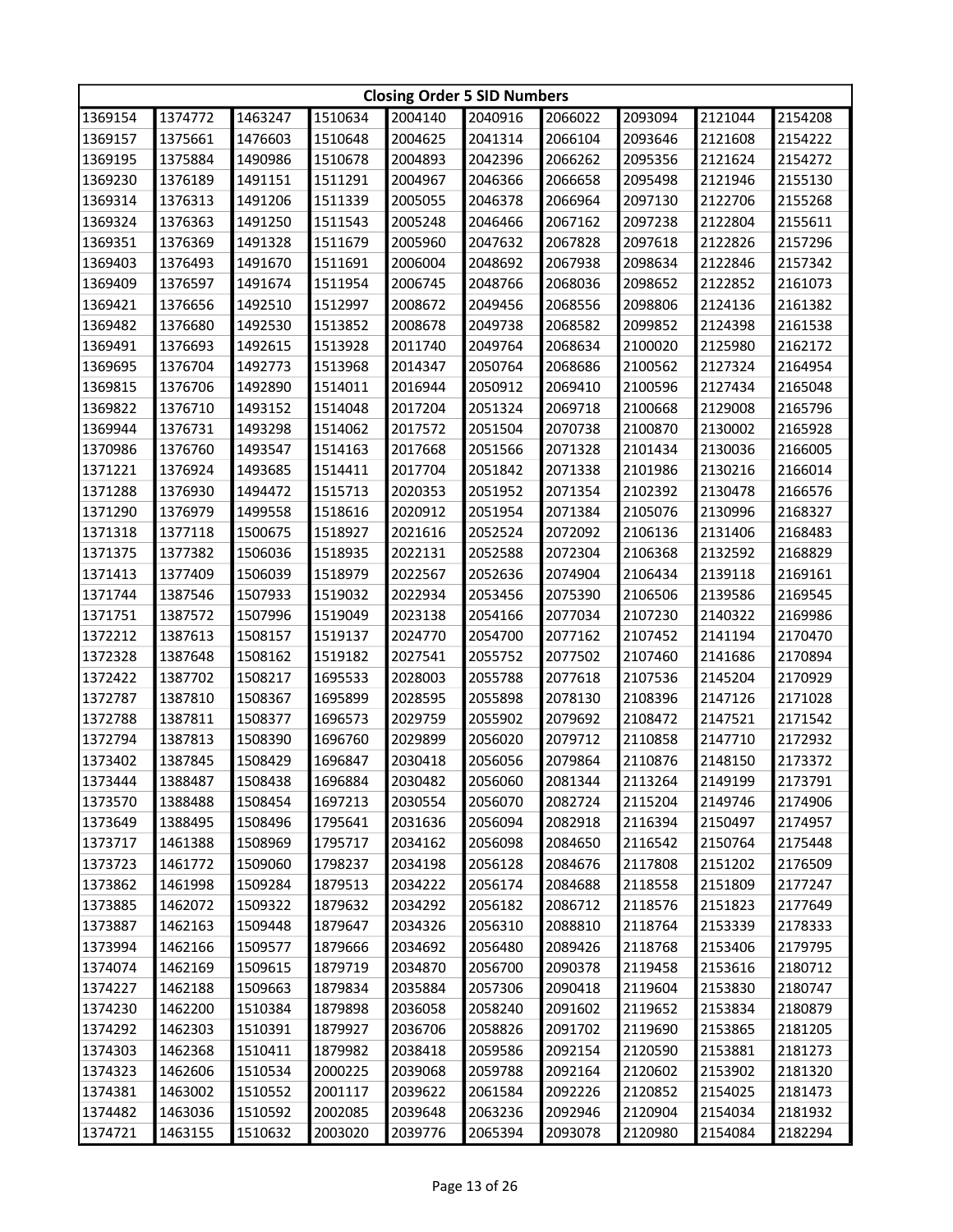|         | <b>Closing Order 5 SID Numbers</b> |         |         |         |         |         |         |         |         |  |
|---------|------------------------------------|---------|---------|---------|---------|---------|---------|---------|---------|--|
| 1369154 | 1374772                            | 1463247 | 1510634 | 2004140 | 2040916 | 2066022 | 2093094 | 2121044 | 2154208 |  |
| 1369157 | 1375661                            | 1476603 | 1510648 | 2004625 | 2041314 | 2066104 | 2093646 | 2121608 | 2154222 |  |
| 1369195 | 1375884                            | 1490986 | 1510678 | 2004893 | 2042396 | 2066262 | 2095356 | 2121624 | 2154272 |  |
| 1369230 | 1376189                            | 1491151 | 1511291 | 2004967 | 2046366 | 2066658 | 2095498 | 2121946 | 2155130 |  |
| 1369314 | 1376313                            | 1491206 | 1511339 | 2005055 | 2046378 | 2066964 | 2097130 | 2122706 | 2155268 |  |
| 1369324 | 1376363                            | 1491250 | 1511543 | 2005248 | 2046466 | 2067162 | 2097238 | 2122804 | 2155611 |  |
| 1369351 | 1376369                            | 1491328 | 1511679 | 2005960 | 2047632 | 2067828 | 2097618 | 2122826 | 2157296 |  |
| 1369403 | 1376493                            | 1491670 | 1511691 | 2006004 | 2048692 | 2067938 | 2098634 | 2122846 | 2157342 |  |
| 1369409 | 1376597                            | 1491674 | 1511954 | 2006745 | 2048766 | 2068036 | 2098652 | 2122852 | 2161073 |  |
| 1369421 | 1376656                            | 1492510 | 1512997 | 2008672 | 2049456 | 2068556 | 2098806 | 2124136 | 2161382 |  |
| 1369482 | 1376680                            | 1492530 | 1513852 | 2008678 | 2049738 | 2068582 | 2099852 | 2124398 | 2161538 |  |
| 1369491 | 1376693                            | 1492615 | 1513928 | 2011740 | 2049764 | 2068634 | 2100020 | 2125980 | 2162172 |  |
| 1369695 | 1376704                            | 1492773 | 1513968 | 2014347 | 2050764 | 2068686 | 2100562 | 2127324 | 2164954 |  |
| 1369815 | 1376706                            | 1492890 | 1514011 | 2016944 | 2050912 | 2069410 | 2100596 | 2127434 | 2165048 |  |
| 1369822 | 1376710                            | 1493152 | 1514048 | 2017204 | 2051324 | 2069718 | 2100668 | 2129008 | 2165796 |  |
| 1369944 | 1376731                            | 1493298 | 1514062 | 2017572 | 2051504 | 2070738 | 2100870 | 2130002 | 2165928 |  |
| 1370986 | 1376760                            | 1493547 | 1514163 | 2017668 | 2051566 | 2071328 | 2101434 | 2130036 | 2166005 |  |
| 1371221 | 1376924                            | 1493685 | 1514411 | 2017704 | 2051842 | 2071338 | 2101986 | 2130216 | 2166014 |  |
| 1371288 | 1376930                            | 1494472 | 1515713 | 2020353 | 2051952 | 2071354 | 2102392 | 2130478 | 2166576 |  |
| 1371290 | 1376979                            | 1499558 | 1518616 | 2020912 | 2051954 | 2071384 | 2105076 | 2130996 | 2168327 |  |
| 1371318 | 1377118                            | 1500675 | 1518927 | 2021616 | 2052524 | 2072092 | 2106136 | 2131406 | 2168483 |  |
| 1371375 | 1377382                            | 1506036 | 1518935 | 2022131 | 2052588 | 2072304 | 2106368 | 2132592 | 2168829 |  |
| 1371413 | 1377409                            | 1506039 | 1518979 | 2022567 | 2052636 | 2074904 | 2106434 | 2139118 | 2169161 |  |
| 1371744 | 1387546                            | 1507933 | 1519032 | 2022934 | 2053456 | 2075390 | 2106506 | 2139586 | 2169545 |  |
| 1371751 | 1387572                            | 1507996 | 1519049 | 2023138 | 2054166 | 2077034 | 2107230 | 2140322 | 2169986 |  |
| 1372212 | 1387613                            | 1508157 | 1519137 | 2024770 | 2054700 | 2077162 | 2107452 | 2141194 | 2170470 |  |
| 1372328 | 1387648                            | 1508162 | 1519182 | 2027541 | 2055752 | 2077502 | 2107460 | 2141686 | 2170894 |  |
| 1372422 | 1387702                            | 1508217 | 1695533 | 2028003 | 2055788 | 2077618 | 2107536 | 2145204 | 2170929 |  |
| 1372787 | 1387810                            | 1508367 | 1695899 | 2028595 | 2055898 | 2078130 | 2108396 | 2147126 | 2171028 |  |
| 1372788 | 1387811                            | 1508377 | 1696573 | 2029759 | 2055902 | 2079692 | 2108472 | 2147521 | 2171542 |  |
| 1372794 | 1387813                            | 1508390 | 1696760 | 2029899 | 2056020 | 2079712 | 2110858 | 2147710 | 2172932 |  |
| 1373402 | 1387845                            | 1508429 | 1696847 | 2030418 | 2056056 | 2079864 | 2110876 | 2148150 | 2173372 |  |
| 1373444 | 1388487                            | 1508438 | 1696884 | 2030482 | 2056060 | 2081344 | 2113264 | 2149199 | 2173791 |  |
| 1373570 | 1388488                            | 1508454 | 1697213 | 2030554 | 2056070 | 2082724 | 2115204 | 2149746 | 2174906 |  |
| 1373649 | 1388495                            | 1508496 | 1795641 | 2031636 | 2056094 | 2082918 | 2116394 | 2150497 | 2174957 |  |
| 1373717 | 1461388                            | 1508969 | 1795717 | 2034162 | 2056098 | 2084650 | 2116542 | 2150764 | 2175448 |  |
| 1373723 | 1461772                            | 1509060 | 1798237 | 2034198 | 2056128 | 2084676 | 2117808 | 2151202 | 2176509 |  |
| 1373862 | 1461998                            | 1509284 | 1879513 | 2034222 | 2056174 | 2084688 | 2118558 | 2151809 | 2177247 |  |
| 1373885 | 1462072                            | 1509322 | 1879632 | 2034292 | 2056182 | 2086712 | 2118576 | 2151823 | 2177649 |  |
| 1373887 | 1462163                            | 1509448 | 1879647 | 2034326 | 2056310 | 2088810 | 2118764 | 2153339 | 2178333 |  |
| 1373994 | 1462166                            | 1509577 | 1879666 | 2034692 | 2056480 | 2089426 | 2118768 | 2153406 | 2179795 |  |
| 1374074 | 1462169                            | 1509615 | 1879719 | 2034870 | 2056700 | 2090378 | 2119458 | 2153616 | 2180712 |  |
| 1374227 | 1462188                            | 1509663 | 1879834 | 2035884 | 2057306 | 2090418 | 2119604 | 2153830 | 2180747 |  |
| 1374230 | 1462200                            | 1510384 | 1879898 | 2036058 | 2058240 | 2091602 | 2119652 | 2153834 | 2180879 |  |
| 1374292 | 1462303                            | 1510391 | 1879927 | 2036706 | 2058826 | 2091702 | 2119690 | 2153865 | 2181205 |  |
| 1374303 | 1462368                            | 1510411 | 1879982 | 2038418 | 2059586 | 2092154 | 2120590 | 2153881 | 2181273 |  |
| 1374323 | 1462606                            | 1510534 | 2000225 | 2039068 | 2059788 | 2092164 | 2120602 | 2153902 | 2181320 |  |
| 1374381 | 1463002                            | 1510552 | 2001117 | 2039622 | 2061584 | 2092226 | 2120852 | 2154025 | 2181473 |  |
| 1374482 | 1463036                            | 1510592 | 2002085 | 2039648 | 2063236 | 2092946 | 2120904 | 2154034 | 2181932 |  |
| 1374721 | 1463155                            | 1510632 | 2003020 | 2039776 | 2065394 | 2093078 | 2120980 | 2154084 | 2182294 |  |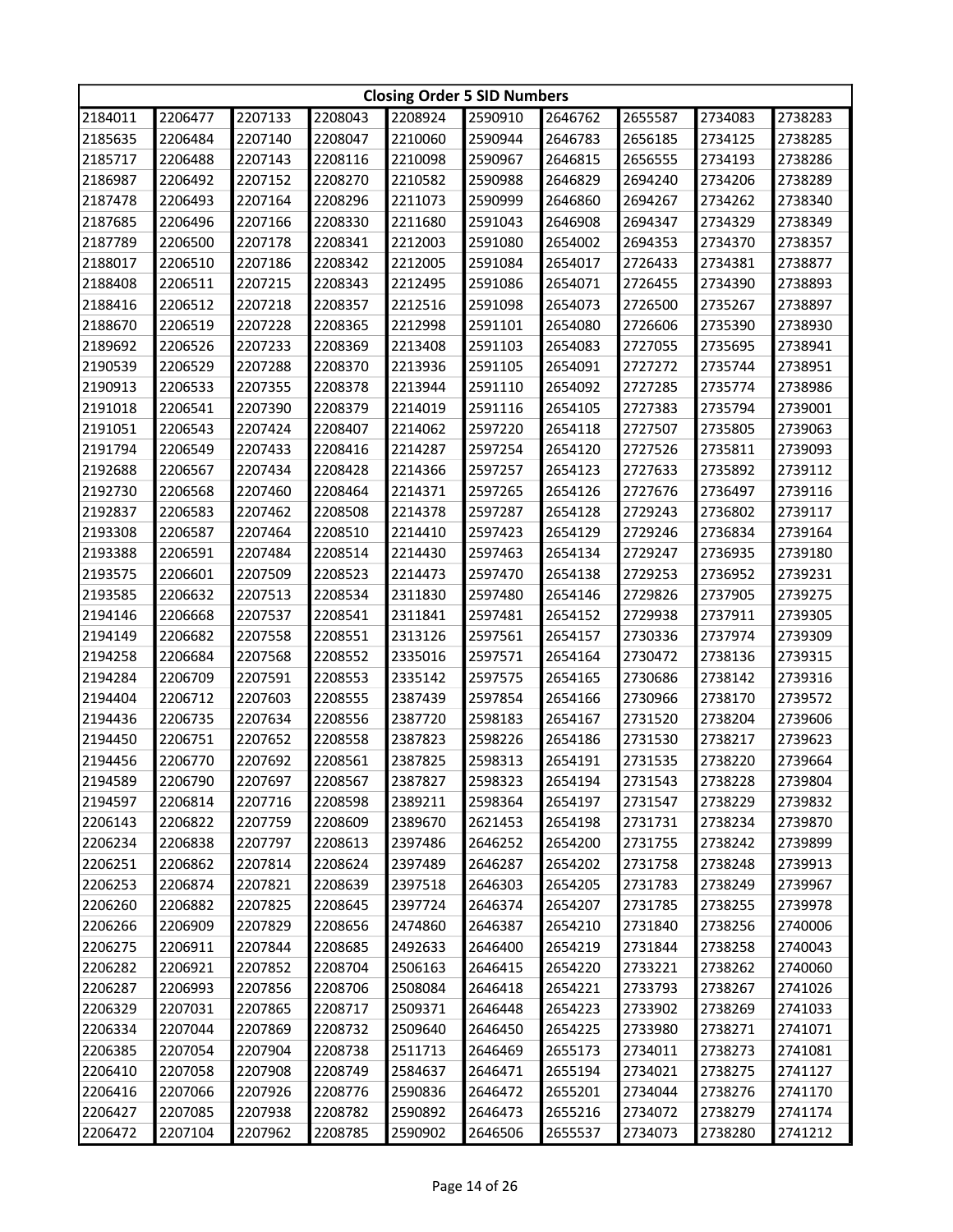|         | <b>Closing Order 5 SID Numbers</b> |                    |         |         |         |         |         |         |         |  |
|---------|------------------------------------|--------------------|---------|---------|---------|---------|---------|---------|---------|--|
| 2184011 | 2206477                            | 2207133            | 2208043 | 2208924 | 2590910 | 2646762 | 2655587 | 2734083 | 2738283 |  |
| 2185635 | 2206484                            | 2207140            | 2208047 | 2210060 | 2590944 | 2646783 | 2656185 | 2734125 | 2738285 |  |
| 2185717 | 2206488                            | 2207143            | 2208116 | 2210098 | 2590967 | 2646815 | 2656555 | 2734193 | 2738286 |  |
| 2186987 | 2206492                            | 2207152            | 2208270 | 2210582 | 2590988 | 2646829 | 2694240 | 2734206 | 2738289 |  |
| 2187478 | 2206493                            | 2207164            | 2208296 | 2211073 | 2590999 | 2646860 | 2694267 | 2734262 | 2738340 |  |
| 2187685 | 2206496                            | 2207166            | 2208330 | 2211680 | 2591043 | 2646908 | 2694347 | 2734329 | 2738349 |  |
| 2187789 | 2206500                            | 2207178            | 2208341 | 2212003 | 2591080 | 2654002 | 2694353 | 2734370 | 2738357 |  |
| 2188017 | 2206510                            | 2207186            | 2208342 | 2212005 | 2591084 | 2654017 | 2726433 | 2734381 | 2738877 |  |
| 2188408 | 2206511                            | 2207215            | 2208343 | 2212495 | 2591086 | 2654071 | 2726455 | 2734390 | 2738893 |  |
| 2188416 | 2206512                            | 2207218            | 2208357 | 2212516 | 2591098 | 2654073 | 2726500 | 2735267 | 2738897 |  |
| 2188670 | 2206519                            | 2207228            | 2208365 | 2212998 | 2591101 | 2654080 | 2726606 | 2735390 | 2738930 |  |
| 2189692 | 2206526                            | 2207233            | 2208369 | 2213408 | 2591103 | 2654083 | 2727055 | 2735695 | 2738941 |  |
| 2190539 | 2206529                            | 2207288            | 2208370 | 2213936 | 2591105 | 2654091 | 2727272 | 2735744 | 2738951 |  |
| 2190913 | 2206533                            | 2207355            | 2208378 | 2213944 | 2591110 | 2654092 | 2727285 | 2735774 | 2738986 |  |
| 2191018 | 2206541                            | 2207390            | 2208379 | 2214019 | 2591116 | 2654105 | 2727383 | 2735794 | 2739001 |  |
| 2191051 | 2206543                            | 2207424            | 2208407 | 2214062 | 2597220 | 2654118 | 2727507 | 2735805 | 2739063 |  |
| 2191794 | 2206549                            | 2207433            | 2208416 | 2214287 | 2597254 | 2654120 | 2727526 | 2735811 | 2739093 |  |
| 2192688 | 2206567                            | 2207434            | 2208428 | 2214366 | 2597257 | 2654123 | 2727633 | 2735892 | 2739112 |  |
| 2192730 | 2206568                            | 2207460            | 2208464 | 2214371 | 2597265 | 2654126 | 2727676 | 2736497 | 2739116 |  |
| 2192837 | 2206583                            | 2207462            | 2208508 | 2214378 | 2597287 | 2654128 | 2729243 | 2736802 | 2739117 |  |
| 2193308 | 2206587                            | 2207464            | 2208510 | 2214410 | 2597423 | 2654129 | 2729246 | 2736834 | 2739164 |  |
| 2193388 | 2206591                            | 2207484            | 2208514 | 2214430 | 2597463 | 2654134 | 2729247 | 2736935 | 2739180 |  |
| 2193575 | 2206601                            | 2207509            | 2208523 | 2214473 | 2597470 | 2654138 | 2729253 | 2736952 | 2739231 |  |
| 2193585 | 2206632                            | 2207513            | 2208534 | 2311830 | 2597480 | 2654146 | 2729826 | 2737905 | 2739275 |  |
| 2194146 |                                    |                    |         |         |         |         |         |         |         |  |
| 2194149 | 2206668                            | 2207537            | 2208541 | 2311841 | 2597481 | 2654152 | 2729938 | 2737911 | 2739305 |  |
|         | 2206682                            | 2207558            | 2208551 | 2313126 | 2597561 | 2654157 | 2730336 | 2737974 | 2739309 |  |
| 2194258 | 2206684                            | 2207568<br>2207591 | 2208552 | 2335016 | 2597571 | 2654164 | 2730472 | 2738136 | 2739315 |  |
| 2194284 | 2206709                            |                    | 2208553 | 2335142 | 2597575 | 2654165 | 2730686 | 2738142 | 2739316 |  |
| 2194404 | 2206712                            | 2207603            | 2208555 | 2387439 | 2597854 | 2654166 | 2730966 | 2738170 | 2739572 |  |
| 2194436 | 2206735                            | 2207634            | 2208556 | 2387720 | 2598183 | 2654167 | 2731520 | 2738204 | 2739606 |  |
| 2194450 | 2206751                            | 2207652            | 2208558 | 2387823 | 2598226 | 2654186 | 2731530 | 2738217 | 2739623 |  |
| 2194456 | 2206770                            | 2207692            | 2208561 | 2387825 | 2598313 | 2654191 | 2731535 | 2738220 | 2739664 |  |
| 2194589 | 2206790                            | 2207697            | 2208567 | 2387827 | 2598323 | 2654194 | 2731543 | 2738228 | 2739804 |  |
| 2194597 | 2206814                            | 2207716            | 2208598 | 2389211 | 2598364 | 2654197 | 2731547 | 2738229 | 2739832 |  |
| 2206143 | 2206822                            | 2207759            | 2208609 | 2389670 | 2621453 | 2654198 | 2731731 | 2738234 | 2739870 |  |
| 2206234 | 2206838                            | 2207797            | 2208613 | 2397486 | 2646252 | 2654200 | 2731755 | 2738242 | 2739899 |  |
| 2206251 | 2206862                            | 2207814            | 2208624 | 2397489 | 2646287 | 2654202 | 2731758 | 2738248 | 2739913 |  |
| 2206253 | 2206874                            | 2207821            | 2208639 | 2397518 | 2646303 | 2654205 | 2731783 | 2738249 | 2739967 |  |
| 2206260 | 2206882                            | 2207825            | 2208645 | 2397724 | 2646374 | 2654207 | 2731785 | 2738255 | 2739978 |  |
| 2206266 | 2206909                            | 2207829            | 2208656 | 2474860 | 2646387 | 2654210 | 2731840 | 2738256 | 2740006 |  |
| 2206275 | 2206911                            | 2207844            | 2208685 | 2492633 | 2646400 | 2654219 | 2731844 | 2738258 | 2740043 |  |
| 2206282 | 2206921                            | 2207852            | 2208704 | 2506163 | 2646415 | 2654220 | 2733221 | 2738262 | 2740060 |  |
| 2206287 | 2206993                            | 2207856            | 2208706 | 2508084 | 2646418 | 2654221 | 2733793 | 2738267 | 2741026 |  |
| 2206329 | 2207031                            | 2207865            | 2208717 | 2509371 | 2646448 | 2654223 | 2733902 | 2738269 | 2741033 |  |
| 2206334 | 2207044                            | 2207869            | 2208732 | 2509640 | 2646450 | 2654225 | 2733980 | 2738271 | 2741071 |  |
| 2206385 | 2207054                            | 2207904            | 2208738 | 2511713 | 2646469 | 2655173 | 2734011 | 2738273 | 2741081 |  |
| 2206410 | 2207058                            | 2207908            | 2208749 | 2584637 | 2646471 | 2655194 | 2734021 | 2738275 | 2741127 |  |
| 2206416 | 2207066                            | 2207926            | 2208776 | 2590836 | 2646472 | 2655201 | 2734044 | 2738276 | 2741170 |  |
| 2206427 | 2207085                            | 2207938            | 2208782 | 2590892 | 2646473 | 2655216 | 2734072 | 2738279 | 2741174 |  |
| 2206472 | 2207104                            | 2207962            | 2208785 | 2590902 | 2646506 | 2655537 | 2734073 | 2738280 | 2741212 |  |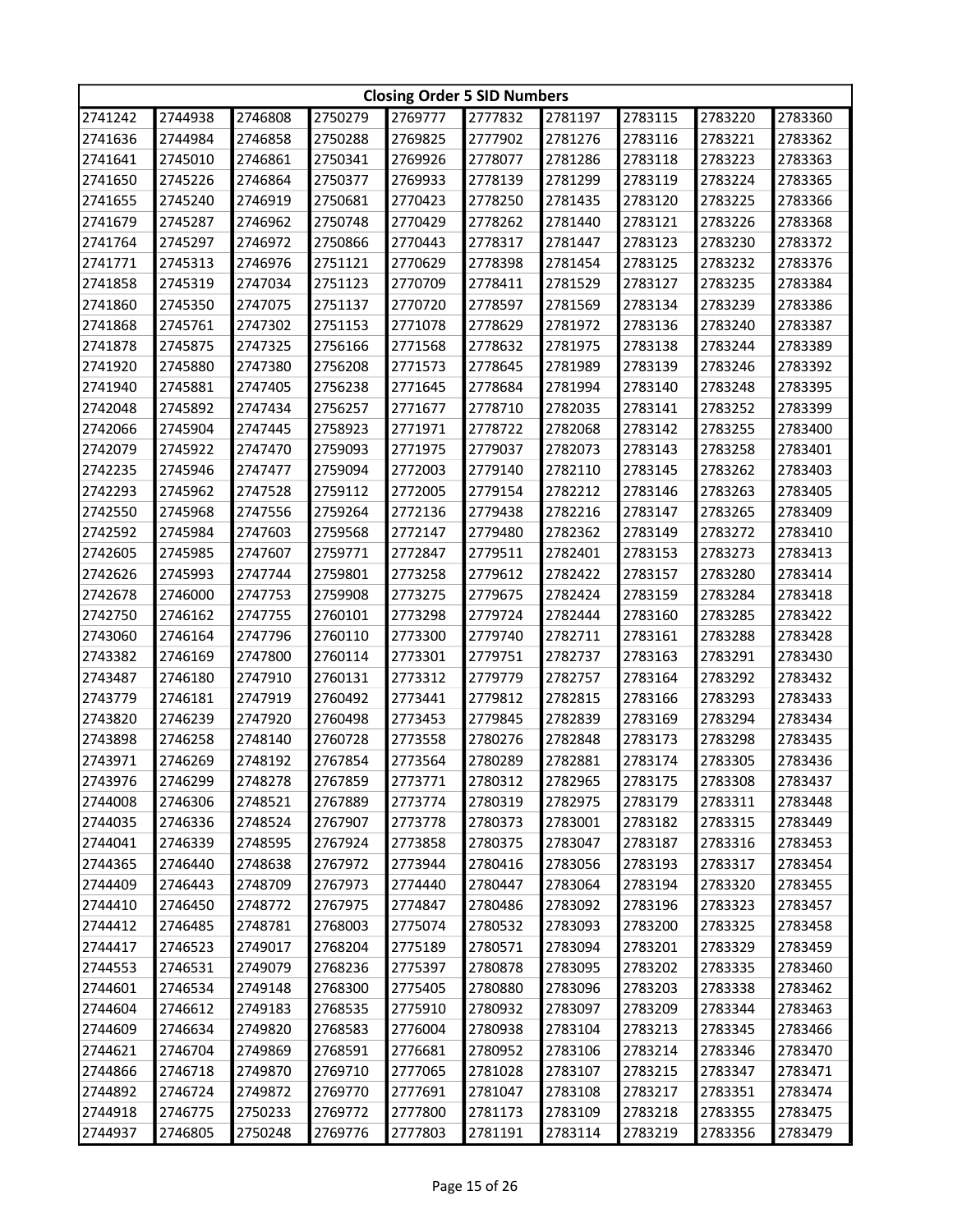| 2750279<br>2777832<br>2781197<br>2783115<br>2741242<br>2744938<br>2746808<br>2769777<br>2783220<br>2783360<br>2744984<br>2741636<br>2746858<br>2750288<br>2769825<br>2777902<br>2781276<br>2783116<br>2783221<br>2783362<br>2741641<br>2745010<br>2746861<br>2750341<br>2769926<br>2778077<br>2781286<br>2783118<br>2783223<br>2783363<br>2750377<br>2769933<br>2781299<br>2783119<br>2783224<br>2741650<br>2745226<br>2746864<br>2778139<br>2783365<br>2741655<br>2745240<br>2746919<br>2750681<br>2770423<br>2778250<br>2781435<br>2783120<br>2783225<br>2783366<br>2741679<br>2745287<br>2746962<br>2750748<br>2770429<br>2778262<br>2781440<br>2783121<br>2783226<br>2783368<br>2741764<br>2745297<br>2746972<br>2750866<br>2770443<br>2778317<br>2781447<br>2783123<br>2783230<br>2783372<br>2741771<br>2745313<br>2746976<br>2751121<br>2770629<br>2778398<br>2781454<br>2783125<br>2783232<br>2783376<br>2745319<br>2751123<br>2778411<br>2781529<br>2783127<br>2783235<br>2783384<br>2741858<br>2747034<br>2770709<br>2741860<br>2745350<br>2747075<br>2751137<br>2770720<br>2778597<br>2781569<br>2783134<br>2783239<br>2783386<br>2741868<br>2745761<br>2747302<br>2751153<br>2771078<br>2778629<br>2781972<br>2783136<br>2783240<br>2783387<br>2741878<br>2745875<br>2747325<br>2756166<br>2771568<br>2778632<br>2781975<br>2783138<br>2783244<br>2783389<br>2756208<br>2741920<br>2745880<br>2747380<br>2771573<br>2778645<br>2781989<br>2783139<br>2783246<br>2783392<br>2741940<br>2756238<br>2783140<br>2783248<br>2745881<br>2747405<br>2771645<br>2778684<br>2781994<br>2783395<br>2742048<br>2745892<br>2747434<br>2756257<br>2771677<br>2778710<br>2782035<br>2783141<br>2783252<br>2783399<br>2742066<br>2745904<br>2747445<br>2758923<br>2771971<br>2778722<br>2782068<br>2783142<br>2783255<br>2783400<br>2742079<br>2745922<br>2747470<br>2759093<br>2771975<br>2779037<br>2782073<br>2783143<br>2783258<br>2783401<br>2742235<br>2745946<br>2759094<br>2782110<br>2783262<br>2783403<br>2747477<br>2772003<br>2779140<br>2783145<br>2742293<br>2745962<br>2747528<br>2759112<br>2772005<br>2779154<br>2782212<br>2783146<br>2783263<br>2783405<br>2742550<br>2745968<br>2747556<br>2759264<br>2772136<br>2779438<br>2782216<br>2783147<br>2783265<br>2783409<br>2742592<br>2745984<br>2747603<br>2759568<br>2772147<br>2779480<br>2782362<br>2783149<br>2783272<br>2783410<br>2759771<br>2742605<br>2745985<br>2747607<br>2772847<br>2779511<br>2782401<br>2783153<br>2783273<br>2783413<br>2759801<br>2779612<br>2783157<br>2783280<br>2783414<br>2742626<br>2745993<br>2747744<br>2773258<br>2782422<br>2742678<br>2746000<br>2747753<br>2759908<br>2773275<br>2779675<br>2782424<br>2783159<br>2783284<br>2783418<br>2742750<br>2746162<br>2747755<br>2760101<br>2773298<br>2779724<br>2782444<br>2783160<br>2783285<br>2783422<br>2743060<br>2746164<br>2747796<br>2760110<br>2773300<br>2779740<br>2782711<br>2783161<br>2783288<br>2783428<br>2743382<br>2760114<br>2773301<br>2783291<br>2783430<br>2746169<br>2747800<br>2779751<br>2782737<br>2783163<br>2743487<br>2746180<br>2747910<br>2760131<br>2773312<br>2779779<br>2782757<br>2783164<br>2783292<br>2783432<br>2743779<br>2746181<br>2747919<br>2760492<br>2773441<br>2779812<br>2782815<br>2783166<br>2783293<br>2783433<br>2743820<br>2746239<br>2747920<br>2760498<br>2773453<br>2779845<br>2782839<br>2783169<br>2783294<br>2783434<br>2743898<br>2746258<br>2748140<br>2760728<br>2773558<br>2780276<br>2782848<br>2783173<br>2783298<br>2783435<br>2783436<br>2743971<br>2746269<br>2748192<br>2767854<br>2773564<br>2780289<br>2782881<br>2783174<br>2783305<br>2748278<br>2743976<br>2746299<br>2767859<br>2773771<br>2780312<br>2782965<br>2783175<br>2783308<br>2783437<br>2744008<br>2746306<br>2748521<br>2767889<br>2773774<br>2780319<br>2782975<br>2783179<br>2783311<br>2783448<br>2744035<br>2746336<br>2748524<br>2767907<br>2773778<br>2780373<br>2783001<br>2783182<br>2783315<br>2783449<br>2746339<br>2773858<br>2780375<br>2783047<br>2783316<br>2744041<br>2748595<br>2767924<br>2783187<br>2783453<br>2746440<br>2780416<br>2744365<br>2748638<br>2767972<br>2773944<br>2783056<br>2783193<br>2783317<br>2783454<br>2744409<br>2746443<br>2748709<br>2767973<br>2774440<br>2780447<br>2783064<br>2783194<br>2783320<br>2783455<br>2744410<br>2746450<br>2748772<br>2767975<br>2774847<br>2780486<br>2783092<br>2783196<br>2783323<br>2783457<br>2744412<br>2746485<br>2748781<br>2768003<br>2775074<br>2780532<br>2783093<br>2783200<br>2783325<br>2783458<br>2744417<br>2749017<br>2768204<br>2775189<br>2780571<br>2783094<br>2783201<br>2783329<br>2783459<br>2746523<br>2744553<br>2746531<br>2749079<br>2768236<br>2775397<br>2780878<br>2783095<br>2783202<br>2783335<br>2783460<br>2744601<br>2746534<br>2749148<br>2768300<br>2775405<br>2780880<br>2783096<br>2783203<br>2783338<br>2783462<br>2744604<br>2746612<br>2749183<br>2768535<br>2775910<br>2780932<br>2783097<br>2783209<br>2783344<br>2783463<br>2749820<br>2776004<br>2744609<br>2746634<br>2768583<br>2780938<br>2783104<br>2783213<br>2783345<br>2783466<br>2749869<br>2768591<br>2776681<br>2783106<br>2783346<br>2744621<br>2746704<br>2780952<br>2783214<br>2783470<br>2744866<br>2746718<br>2749870<br>2769710<br>2777065<br>2781028<br>2783107<br>2783347<br>2783471<br>2783215<br>2749872<br>2744892<br>2746724<br>2769770<br>2777691<br>2781047<br>2783108<br>2783217<br>2783351<br>2783474<br>2744918<br>2746775<br>2750233<br>2769772<br>2777800<br>2781173<br>2783109<br>2783218<br>2783355<br>2783475 |         | <b>Closing Order 5 SID Numbers</b> |         |         |         |         |         |         |         |         |  |
|------------------------------------------------------------------------------------------------------------------------------------------------------------------------------------------------------------------------------------------------------------------------------------------------------------------------------------------------------------------------------------------------------------------------------------------------------------------------------------------------------------------------------------------------------------------------------------------------------------------------------------------------------------------------------------------------------------------------------------------------------------------------------------------------------------------------------------------------------------------------------------------------------------------------------------------------------------------------------------------------------------------------------------------------------------------------------------------------------------------------------------------------------------------------------------------------------------------------------------------------------------------------------------------------------------------------------------------------------------------------------------------------------------------------------------------------------------------------------------------------------------------------------------------------------------------------------------------------------------------------------------------------------------------------------------------------------------------------------------------------------------------------------------------------------------------------------------------------------------------------------------------------------------------------------------------------------------------------------------------------------------------------------------------------------------------------------------------------------------------------------------------------------------------------------------------------------------------------------------------------------------------------------------------------------------------------------------------------------------------------------------------------------------------------------------------------------------------------------------------------------------------------------------------------------------------------------------------------------------------------------------------------------------------------------------------------------------------------------------------------------------------------------------------------------------------------------------------------------------------------------------------------------------------------------------------------------------------------------------------------------------------------------------------------------------------------------------------------------------------------------------------------------------------------------------------------------------------------------------------------------------------------------------------------------------------------------------------------------------------------------------------------------------------------------------------------------------------------------------------------------------------------------------------------------------------------------------------------------------------------------------------------------------------------------------------------------------------------------------------------------------------------------------------------------------------------------------------------------------------------------------------------------------------------------------------------------------------------------------------------------------------------------------------------------------------------------------------------------------------------------------------------------------------------------------------------------------------------------------------------------------------------------------------------------------------------------------------------------------------------------------------------------------------------------------------------------------------------------------------------------------------------------------------------------------------------------------------------------------------------------------------------------------------------------------------------------------------------------------------------------------------------------------------------------------------------------------------------------------------------------------------------------------------------------------------------------------------------------------------------------------------------------------------------------------------------------------------------------------------------------------------------------------------------------------------------------------------------------------------------------------------------------------------------------------------------------------------------------------------------------------------------------------------------------------------------------------------------------------------------------------------------------------------------------------------------------------------------------------|---------|------------------------------------|---------|---------|---------|---------|---------|---------|---------|---------|--|
|                                                                                                                                                                                                                                                                                                                                                                                                                                                                                                                                                                                                                                                                                                                                                                                                                                                                                                                                                                                                                                                                                                                                                                                                                                                                                                                                                                                                                                                                                                                                                                                                                                                                                                                                                                                                                                                                                                                                                                                                                                                                                                                                                                                                                                                                                                                                                                                                                                                                                                                                                                                                                                                                                                                                                                                                                                                                                                                                                                                                                                                                                                                                                                                                                                                                                                                                                                                                                                                                                                                                                                                                                                                                                                                                                                                                                                                                                                                                                                                                                                                                                                                                                                                                                                                                                                                                                                                                                                                                                                                                                                                                                                                                                                                                                                                                                                                                                                                                                                                                                                                                                                                                                                                                                                                                                                                                                                                                                                                                                                                                                                                                            |         |                                    |         |         |         |         |         |         |         |         |  |
|                                                                                                                                                                                                                                                                                                                                                                                                                                                                                                                                                                                                                                                                                                                                                                                                                                                                                                                                                                                                                                                                                                                                                                                                                                                                                                                                                                                                                                                                                                                                                                                                                                                                                                                                                                                                                                                                                                                                                                                                                                                                                                                                                                                                                                                                                                                                                                                                                                                                                                                                                                                                                                                                                                                                                                                                                                                                                                                                                                                                                                                                                                                                                                                                                                                                                                                                                                                                                                                                                                                                                                                                                                                                                                                                                                                                                                                                                                                                                                                                                                                                                                                                                                                                                                                                                                                                                                                                                                                                                                                                                                                                                                                                                                                                                                                                                                                                                                                                                                                                                                                                                                                                                                                                                                                                                                                                                                                                                                                                                                                                                                                                            |         |                                    |         |         |         |         |         |         |         |         |  |
|                                                                                                                                                                                                                                                                                                                                                                                                                                                                                                                                                                                                                                                                                                                                                                                                                                                                                                                                                                                                                                                                                                                                                                                                                                                                                                                                                                                                                                                                                                                                                                                                                                                                                                                                                                                                                                                                                                                                                                                                                                                                                                                                                                                                                                                                                                                                                                                                                                                                                                                                                                                                                                                                                                                                                                                                                                                                                                                                                                                                                                                                                                                                                                                                                                                                                                                                                                                                                                                                                                                                                                                                                                                                                                                                                                                                                                                                                                                                                                                                                                                                                                                                                                                                                                                                                                                                                                                                                                                                                                                                                                                                                                                                                                                                                                                                                                                                                                                                                                                                                                                                                                                                                                                                                                                                                                                                                                                                                                                                                                                                                                                                            |         |                                    |         |         |         |         |         |         |         |         |  |
|                                                                                                                                                                                                                                                                                                                                                                                                                                                                                                                                                                                                                                                                                                                                                                                                                                                                                                                                                                                                                                                                                                                                                                                                                                                                                                                                                                                                                                                                                                                                                                                                                                                                                                                                                                                                                                                                                                                                                                                                                                                                                                                                                                                                                                                                                                                                                                                                                                                                                                                                                                                                                                                                                                                                                                                                                                                                                                                                                                                                                                                                                                                                                                                                                                                                                                                                                                                                                                                                                                                                                                                                                                                                                                                                                                                                                                                                                                                                                                                                                                                                                                                                                                                                                                                                                                                                                                                                                                                                                                                                                                                                                                                                                                                                                                                                                                                                                                                                                                                                                                                                                                                                                                                                                                                                                                                                                                                                                                                                                                                                                                                                            |         |                                    |         |         |         |         |         |         |         |         |  |
|                                                                                                                                                                                                                                                                                                                                                                                                                                                                                                                                                                                                                                                                                                                                                                                                                                                                                                                                                                                                                                                                                                                                                                                                                                                                                                                                                                                                                                                                                                                                                                                                                                                                                                                                                                                                                                                                                                                                                                                                                                                                                                                                                                                                                                                                                                                                                                                                                                                                                                                                                                                                                                                                                                                                                                                                                                                                                                                                                                                                                                                                                                                                                                                                                                                                                                                                                                                                                                                                                                                                                                                                                                                                                                                                                                                                                                                                                                                                                                                                                                                                                                                                                                                                                                                                                                                                                                                                                                                                                                                                                                                                                                                                                                                                                                                                                                                                                                                                                                                                                                                                                                                                                                                                                                                                                                                                                                                                                                                                                                                                                                                                            |         |                                    |         |         |         |         |         |         |         |         |  |
|                                                                                                                                                                                                                                                                                                                                                                                                                                                                                                                                                                                                                                                                                                                                                                                                                                                                                                                                                                                                                                                                                                                                                                                                                                                                                                                                                                                                                                                                                                                                                                                                                                                                                                                                                                                                                                                                                                                                                                                                                                                                                                                                                                                                                                                                                                                                                                                                                                                                                                                                                                                                                                                                                                                                                                                                                                                                                                                                                                                                                                                                                                                                                                                                                                                                                                                                                                                                                                                                                                                                                                                                                                                                                                                                                                                                                                                                                                                                                                                                                                                                                                                                                                                                                                                                                                                                                                                                                                                                                                                                                                                                                                                                                                                                                                                                                                                                                                                                                                                                                                                                                                                                                                                                                                                                                                                                                                                                                                                                                                                                                                                                            |         |                                    |         |         |         |         |         |         |         |         |  |
|                                                                                                                                                                                                                                                                                                                                                                                                                                                                                                                                                                                                                                                                                                                                                                                                                                                                                                                                                                                                                                                                                                                                                                                                                                                                                                                                                                                                                                                                                                                                                                                                                                                                                                                                                                                                                                                                                                                                                                                                                                                                                                                                                                                                                                                                                                                                                                                                                                                                                                                                                                                                                                                                                                                                                                                                                                                                                                                                                                                                                                                                                                                                                                                                                                                                                                                                                                                                                                                                                                                                                                                                                                                                                                                                                                                                                                                                                                                                                                                                                                                                                                                                                                                                                                                                                                                                                                                                                                                                                                                                                                                                                                                                                                                                                                                                                                                                                                                                                                                                                                                                                                                                                                                                                                                                                                                                                                                                                                                                                                                                                                                                            |         |                                    |         |         |         |         |         |         |         |         |  |
|                                                                                                                                                                                                                                                                                                                                                                                                                                                                                                                                                                                                                                                                                                                                                                                                                                                                                                                                                                                                                                                                                                                                                                                                                                                                                                                                                                                                                                                                                                                                                                                                                                                                                                                                                                                                                                                                                                                                                                                                                                                                                                                                                                                                                                                                                                                                                                                                                                                                                                                                                                                                                                                                                                                                                                                                                                                                                                                                                                                                                                                                                                                                                                                                                                                                                                                                                                                                                                                                                                                                                                                                                                                                                                                                                                                                                                                                                                                                                                                                                                                                                                                                                                                                                                                                                                                                                                                                                                                                                                                                                                                                                                                                                                                                                                                                                                                                                                                                                                                                                                                                                                                                                                                                                                                                                                                                                                                                                                                                                                                                                                                                            |         |                                    |         |         |         |         |         |         |         |         |  |
|                                                                                                                                                                                                                                                                                                                                                                                                                                                                                                                                                                                                                                                                                                                                                                                                                                                                                                                                                                                                                                                                                                                                                                                                                                                                                                                                                                                                                                                                                                                                                                                                                                                                                                                                                                                                                                                                                                                                                                                                                                                                                                                                                                                                                                                                                                                                                                                                                                                                                                                                                                                                                                                                                                                                                                                                                                                                                                                                                                                                                                                                                                                                                                                                                                                                                                                                                                                                                                                                                                                                                                                                                                                                                                                                                                                                                                                                                                                                                                                                                                                                                                                                                                                                                                                                                                                                                                                                                                                                                                                                                                                                                                                                                                                                                                                                                                                                                                                                                                                                                                                                                                                                                                                                                                                                                                                                                                                                                                                                                                                                                                                                            |         |                                    |         |         |         |         |         |         |         |         |  |
|                                                                                                                                                                                                                                                                                                                                                                                                                                                                                                                                                                                                                                                                                                                                                                                                                                                                                                                                                                                                                                                                                                                                                                                                                                                                                                                                                                                                                                                                                                                                                                                                                                                                                                                                                                                                                                                                                                                                                                                                                                                                                                                                                                                                                                                                                                                                                                                                                                                                                                                                                                                                                                                                                                                                                                                                                                                                                                                                                                                                                                                                                                                                                                                                                                                                                                                                                                                                                                                                                                                                                                                                                                                                                                                                                                                                                                                                                                                                                                                                                                                                                                                                                                                                                                                                                                                                                                                                                                                                                                                                                                                                                                                                                                                                                                                                                                                                                                                                                                                                                                                                                                                                                                                                                                                                                                                                                                                                                                                                                                                                                                                                            |         |                                    |         |         |         |         |         |         |         |         |  |
|                                                                                                                                                                                                                                                                                                                                                                                                                                                                                                                                                                                                                                                                                                                                                                                                                                                                                                                                                                                                                                                                                                                                                                                                                                                                                                                                                                                                                                                                                                                                                                                                                                                                                                                                                                                                                                                                                                                                                                                                                                                                                                                                                                                                                                                                                                                                                                                                                                                                                                                                                                                                                                                                                                                                                                                                                                                                                                                                                                                                                                                                                                                                                                                                                                                                                                                                                                                                                                                                                                                                                                                                                                                                                                                                                                                                                                                                                                                                                                                                                                                                                                                                                                                                                                                                                                                                                                                                                                                                                                                                                                                                                                                                                                                                                                                                                                                                                                                                                                                                                                                                                                                                                                                                                                                                                                                                                                                                                                                                                                                                                                                                            |         |                                    |         |         |         |         |         |         |         |         |  |
|                                                                                                                                                                                                                                                                                                                                                                                                                                                                                                                                                                                                                                                                                                                                                                                                                                                                                                                                                                                                                                                                                                                                                                                                                                                                                                                                                                                                                                                                                                                                                                                                                                                                                                                                                                                                                                                                                                                                                                                                                                                                                                                                                                                                                                                                                                                                                                                                                                                                                                                                                                                                                                                                                                                                                                                                                                                                                                                                                                                                                                                                                                                                                                                                                                                                                                                                                                                                                                                                                                                                                                                                                                                                                                                                                                                                                                                                                                                                                                                                                                                                                                                                                                                                                                                                                                                                                                                                                                                                                                                                                                                                                                                                                                                                                                                                                                                                                                                                                                                                                                                                                                                                                                                                                                                                                                                                                                                                                                                                                                                                                                                                            |         |                                    |         |         |         |         |         |         |         |         |  |
|                                                                                                                                                                                                                                                                                                                                                                                                                                                                                                                                                                                                                                                                                                                                                                                                                                                                                                                                                                                                                                                                                                                                                                                                                                                                                                                                                                                                                                                                                                                                                                                                                                                                                                                                                                                                                                                                                                                                                                                                                                                                                                                                                                                                                                                                                                                                                                                                                                                                                                                                                                                                                                                                                                                                                                                                                                                                                                                                                                                                                                                                                                                                                                                                                                                                                                                                                                                                                                                                                                                                                                                                                                                                                                                                                                                                                                                                                                                                                                                                                                                                                                                                                                                                                                                                                                                                                                                                                                                                                                                                                                                                                                                                                                                                                                                                                                                                                                                                                                                                                                                                                                                                                                                                                                                                                                                                                                                                                                                                                                                                                                                                            |         |                                    |         |         |         |         |         |         |         |         |  |
|                                                                                                                                                                                                                                                                                                                                                                                                                                                                                                                                                                                                                                                                                                                                                                                                                                                                                                                                                                                                                                                                                                                                                                                                                                                                                                                                                                                                                                                                                                                                                                                                                                                                                                                                                                                                                                                                                                                                                                                                                                                                                                                                                                                                                                                                                                                                                                                                                                                                                                                                                                                                                                                                                                                                                                                                                                                                                                                                                                                                                                                                                                                                                                                                                                                                                                                                                                                                                                                                                                                                                                                                                                                                                                                                                                                                                                                                                                                                                                                                                                                                                                                                                                                                                                                                                                                                                                                                                                                                                                                                                                                                                                                                                                                                                                                                                                                                                                                                                                                                                                                                                                                                                                                                                                                                                                                                                                                                                                                                                                                                                                                                            |         |                                    |         |         |         |         |         |         |         |         |  |
|                                                                                                                                                                                                                                                                                                                                                                                                                                                                                                                                                                                                                                                                                                                                                                                                                                                                                                                                                                                                                                                                                                                                                                                                                                                                                                                                                                                                                                                                                                                                                                                                                                                                                                                                                                                                                                                                                                                                                                                                                                                                                                                                                                                                                                                                                                                                                                                                                                                                                                                                                                                                                                                                                                                                                                                                                                                                                                                                                                                                                                                                                                                                                                                                                                                                                                                                                                                                                                                                                                                                                                                                                                                                                                                                                                                                                                                                                                                                                                                                                                                                                                                                                                                                                                                                                                                                                                                                                                                                                                                                                                                                                                                                                                                                                                                                                                                                                                                                                                                                                                                                                                                                                                                                                                                                                                                                                                                                                                                                                                                                                                                                            |         |                                    |         |         |         |         |         |         |         |         |  |
|                                                                                                                                                                                                                                                                                                                                                                                                                                                                                                                                                                                                                                                                                                                                                                                                                                                                                                                                                                                                                                                                                                                                                                                                                                                                                                                                                                                                                                                                                                                                                                                                                                                                                                                                                                                                                                                                                                                                                                                                                                                                                                                                                                                                                                                                                                                                                                                                                                                                                                                                                                                                                                                                                                                                                                                                                                                                                                                                                                                                                                                                                                                                                                                                                                                                                                                                                                                                                                                                                                                                                                                                                                                                                                                                                                                                                                                                                                                                                                                                                                                                                                                                                                                                                                                                                                                                                                                                                                                                                                                                                                                                                                                                                                                                                                                                                                                                                                                                                                                                                                                                                                                                                                                                                                                                                                                                                                                                                                                                                                                                                                                                            |         |                                    |         |         |         |         |         |         |         |         |  |
|                                                                                                                                                                                                                                                                                                                                                                                                                                                                                                                                                                                                                                                                                                                                                                                                                                                                                                                                                                                                                                                                                                                                                                                                                                                                                                                                                                                                                                                                                                                                                                                                                                                                                                                                                                                                                                                                                                                                                                                                                                                                                                                                                                                                                                                                                                                                                                                                                                                                                                                                                                                                                                                                                                                                                                                                                                                                                                                                                                                                                                                                                                                                                                                                                                                                                                                                                                                                                                                                                                                                                                                                                                                                                                                                                                                                                                                                                                                                                                                                                                                                                                                                                                                                                                                                                                                                                                                                                                                                                                                                                                                                                                                                                                                                                                                                                                                                                                                                                                                                                                                                                                                                                                                                                                                                                                                                                                                                                                                                                                                                                                                                            |         |                                    |         |         |         |         |         |         |         |         |  |
|                                                                                                                                                                                                                                                                                                                                                                                                                                                                                                                                                                                                                                                                                                                                                                                                                                                                                                                                                                                                                                                                                                                                                                                                                                                                                                                                                                                                                                                                                                                                                                                                                                                                                                                                                                                                                                                                                                                                                                                                                                                                                                                                                                                                                                                                                                                                                                                                                                                                                                                                                                                                                                                                                                                                                                                                                                                                                                                                                                                                                                                                                                                                                                                                                                                                                                                                                                                                                                                                                                                                                                                                                                                                                                                                                                                                                                                                                                                                                                                                                                                                                                                                                                                                                                                                                                                                                                                                                                                                                                                                                                                                                                                                                                                                                                                                                                                                                                                                                                                                                                                                                                                                                                                                                                                                                                                                                                                                                                                                                                                                                                                                            |         |                                    |         |         |         |         |         |         |         |         |  |
|                                                                                                                                                                                                                                                                                                                                                                                                                                                                                                                                                                                                                                                                                                                                                                                                                                                                                                                                                                                                                                                                                                                                                                                                                                                                                                                                                                                                                                                                                                                                                                                                                                                                                                                                                                                                                                                                                                                                                                                                                                                                                                                                                                                                                                                                                                                                                                                                                                                                                                                                                                                                                                                                                                                                                                                                                                                                                                                                                                                                                                                                                                                                                                                                                                                                                                                                                                                                                                                                                                                                                                                                                                                                                                                                                                                                                                                                                                                                                                                                                                                                                                                                                                                                                                                                                                                                                                                                                                                                                                                                                                                                                                                                                                                                                                                                                                                                                                                                                                                                                                                                                                                                                                                                                                                                                                                                                                                                                                                                                                                                                                                                            |         |                                    |         |         |         |         |         |         |         |         |  |
|                                                                                                                                                                                                                                                                                                                                                                                                                                                                                                                                                                                                                                                                                                                                                                                                                                                                                                                                                                                                                                                                                                                                                                                                                                                                                                                                                                                                                                                                                                                                                                                                                                                                                                                                                                                                                                                                                                                                                                                                                                                                                                                                                                                                                                                                                                                                                                                                                                                                                                                                                                                                                                                                                                                                                                                                                                                                                                                                                                                                                                                                                                                                                                                                                                                                                                                                                                                                                                                                                                                                                                                                                                                                                                                                                                                                                                                                                                                                                                                                                                                                                                                                                                                                                                                                                                                                                                                                                                                                                                                                                                                                                                                                                                                                                                                                                                                                                                                                                                                                                                                                                                                                                                                                                                                                                                                                                                                                                                                                                                                                                                                                            |         |                                    |         |         |         |         |         |         |         |         |  |
|                                                                                                                                                                                                                                                                                                                                                                                                                                                                                                                                                                                                                                                                                                                                                                                                                                                                                                                                                                                                                                                                                                                                                                                                                                                                                                                                                                                                                                                                                                                                                                                                                                                                                                                                                                                                                                                                                                                                                                                                                                                                                                                                                                                                                                                                                                                                                                                                                                                                                                                                                                                                                                                                                                                                                                                                                                                                                                                                                                                                                                                                                                                                                                                                                                                                                                                                                                                                                                                                                                                                                                                                                                                                                                                                                                                                                                                                                                                                                                                                                                                                                                                                                                                                                                                                                                                                                                                                                                                                                                                                                                                                                                                                                                                                                                                                                                                                                                                                                                                                                                                                                                                                                                                                                                                                                                                                                                                                                                                                                                                                                                                                            |         |                                    |         |         |         |         |         |         |         |         |  |
|                                                                                                                                                                                                                                                                                                                                                                                                                                                                                                                                                                                                                                                                                                                                                                                                                                                                                                                                                                                                                                                                                                                                                                                                                                                                                                                                                                                                                                                                                                                                                                                                                                                                                                                                                                                                                                                                                                                                                                                                                                                                                                                                                                                                                                                                                                                                                                                                                                                                                                                                                                                                                                                                                                                                                                                                                                                                                                                                                                                                                                                                                                                                                                                                                                                                                                                                                                                                                                                                                                                                                                                                                                                                                                                                                                                                                                                                                                                                                                                                                                                                                                                                                                                                                                                                                                                                                                                                                                                                                                                                                                                                                                                                                                                                                                                                                                                                                                                                                                                                                                                                                                                                                                                                                                                                                                                                                                                                                                                                                                                                                                                                            |         |                                    |         |         |         |         |         |         |         |         |  |
|                                                                                                                                                                                                                                                                                                                                                                                                                                                                                                                                                                                                                                                                                                                                                                                                                                                                                                                                                                                                                                                                                                                                                                                                                                                                                                                                                                                                                                                                                                                                                                                                                                                                                                                                                                                                                                                                                                                                                                                                                                                                                                                                                                                                                                                                                                                                                                                                                                                                                                                                                                                                                                                                                                                                                                                                                                                                                                                                                                                                                                                                                                                                                                                                                                                                                                                                                                                                                                                                                                                                                                                                                                                                                                                                                                                                                                                                                                                                                                                                                                                                                                                                                                                                                                                                                                                                                                                                                                                                                                                                                                                                                                                                                                                                                                                                                                                                                                                                                                                                                                                                                                                                                                                                                                                                                                                                                                                                                                                                                                                                                                                                            |         |                                    |         |         |         |         |         |         |         |         |  |
|                                                                                                                                                                                                                                                                                                                                                                                                                                                                                                                                                                                                                                                                                                                                                                                                                                                                                                                                                                                                                                                                                                                                                                                                                                                                                                                                                                                                                                                                                                                                                                                                                                                                                                                                                                                                                                                                                                                                                                                                                                                                                                                                                                                                                                                                                                                                                                                                                                                                                                                                                                                                                                                                                                                                                                                                                                                                                                                                                                                                                                                                                                                                                                                                                                                                                                                                                                                                                                                                                                                                                                                                                                                                                                                                                                                                                                                                                                                                                                                                                                                                                                                                                                                                                                                                                                                                                                                                                                                                                                                                                                                                                                                                                                                                                                                                                                                                                                                                                                                                                                                                                                                                                                                                                                                                                                                                                                                                                                                                                                                                                                                                            |         |                                    |         |         |         |         |         |         |         |         |  |
|                                                                                                                                                                                                                                                                                                                                                                                                                                                                                                                                                                                                                                                                                                                                                                                                                                                                                                                                                                                                                                                                                                                                                                                                                                                                                                                                                                                                                                                                                                                                                                                                                                                                                                                                                                                                                                                                                                                                                                                                                                                                                                                                                                                                                                                                                                                                                                                                                                                                                                                                                                                                                                                                                                                                                                                                                                                                                                                                                                                                                                                                                                                                                                                                                                                                                                                                                                                                                                                                                                                                                                                                                                                                                                                                                                                                                                                                                                                                                                                                                                                                                                                                                                                                                                                                                                                                                                                                                                                                                                                                                                                                                                                                                                                                                                                                                                                                                                                                                                                                                                                                                                                                                                                                                                                                                                                                                                                                                                                                                                                                                                                                            |         |                                    |         |         |         |         |         |         |         |         |  |
|                                                                                                                                                                                                                                                                                                                                                                                                                                                                                                                                                                                                                                                                                                                                                                                                                                                                                                                                                                                                                                                                                                                                                                                                                                                                                                                                                                                                                                                                                                                                                                                                                                                                                                                                                                                                                                                                                                                                                                                                                                                                                                                                                                                                                                                                                                                                                                                                                                                                                                                                                                                                                                                                                                                                                                                                                                                                                                                                                                                                                                                                                                                                                                                                                                                                                                                                                                                                                                                                                                                                                                                                                                                                                                                                                                                                                                                                                                                                                                                                                                                                                                                                                                                                                                                                                                                                                                                                                                                                                                                                                                                                                                                                                                                                                                                                                                                                                                                                                                                                                                                                                                                                                                                                                                                                                                                                                                                                                                                                                                                                                                                                            |         |                                    |         |         |         |         |         |         |         |         |  |
|                                                                                                                                                                                                                                                                                                                                                                                                                                                                                                                                                                                                                                                                                                                                                                                                                                                                                                                                                                                                                                                                                                                                                                                                                                                                                                                                                                                                                                                                                                                                                                                                                                                                                                                                                                                                                                                                                                                                                                                                                                                                                                                                                                                                                                                                                                                                                                                                                                                                                                                                                                                                                                                                                                                                                                                                                                                                                                                                                                                                                                                                                                                                                                                                                                                                                                                                                                                                                                                                                                                                                                                                                                                                                                                                                                                                                                                                                                                                                                                                                                                                                                                                                                                                                                                                                                                                                                                                                                                                                                                                                                                                                                                                                                                                                                                                                                                                                                                                                                                                                                                                                                                                                                                                                                                                                                                                                                                                                                                                                                                                                                                                            |         |                                    |         |         |         |         |         |         |         |         |  |
|                                                                                                                                                                                                                                                                                                                                                                                                                                                                                                                                                                                                                                                                                                                                                                                                                                                                                                                                                                                                                                                                                                                                                                                                                                                                                                                                                                                                                                                                                                                                                                                                                                                                                                                                                                                                                                                                                                                                                                                                                                                                                                                                                                                                                                                                                                                                                                                                                                                                                                                                                                                                                                                                                                                                                                                                                                                                                                                                                                                                                                                                                                                                                                                                                                                                                                                                                                                                                                                                                                                                                                                                                                                                                                                                                                                                                                                                                                                                                                                                                                                                                                                                                                                                                                                                                                                                                                                                                                                                                                                                                                                                                                                                                                                                                                                                                                                                                                                                                                                                                                                                                                                                                                                                                                                                                                                                                                                                                                                                                                                                                                                                            |         |                                    |         |         |         |         |         |         |         |         |  |
|                                                                                                                                                                                                                                                                                                                                                                                                                                                                                                                                                                                                                                                                                                                                                                                                                                                                                                                                                                                                                                                                                                                                                                                                                                                                                                                                                                                                                                                                                                                                                                                                                                                                                                                                                                                                                                                                                                                                                                                                                                                                                                                                                                                                                                                                                                                                                                                                                                                                                                                                                                                                                                                                                                                                                                                                                                                                                                                                                                                                                                                                                                                                                                                                                                                                                                                                                                                                                                                                                                                                                                                                                                                                                                                                                                                                                                                                                                                                                                                                                                                                                                                                                                                                                                                                                                                                                                                                                                                                                                                                                                                                                                                                                                                                                                                                                                                                                                                                                                                                                                                                                                                                                                                                                                                                                                                                                                                                                                                                                                                                                                                                            |         |                                    |         |         |         |         |         |         |         |         |  |
|                                                                                                                                                                                                                                                                                                                                                                                                                                                                                                                                                                                                                                                                                                                                                                                                                                                                                                                                                                                                                                                                                                                                                                                                                                                                                                                                                                                                                                                                                                                                                                                                                                                                                                                                                                                                                                                                                                                                                                                                                                                                                                                                                                                                                                                                                                                                                                                                                                                                                                                                                                                                                                                                                                                                                                                                                                                                                                                                                                                                                                                                                                                                                                                                                                                                                                                                                                                                                                                                                                                                                                                                                                                                                                                                                                                                                                                                                                                                                                                                                                                                                                                                                                                                                                                                                                                                                                                                                                                                                                                                                                                                                                                                                                                                                                                                                                                                                                                                                                                                                                                                                                                                                                                                                                                                                                                                                                                                                                                                                                                                                                                                            |         |                                    |         |         |         |         |         |         |         |         |  |
|                                                                                                                                                                                                                                                                                                                                                                                                                                                                                                                                                                                                                                                                                                                                                                                                                                                                                                                                                                                                                                                                                                                                                                                                                                                                                                                                                                                                                                                                                                                                                                                                                                                                                                                                                                                                                                                                                                                                                                                                                                                                                                                                                                                                                                                                                                                                                                                                                                                                                                                                                                                                                                                                                                                                                                                                                                                                                                                                                                                                                                                                                                                                                                                                                                                                                                                                                                                                                                                                                                                                                                                                                                                                                                                                                                                                                                                                                                                                                                                                                                                                                                                                                                                                                                                                                                                                                                                                                                                                                                                                                                                                                                                                                                                                                                                                                                                                                                                                                                                                                                                                                                                                                                                                                                                                                                                                                                                                                                                                                                                                                                                                            |         |                                    |         |         |         |         |         |         |         |         |  |
|                                                                                                                                                                                                                                                                                                                                                                                                                                                                                                                                                                                                                                                                                                                                                                                                                                                                                                                                                                                                                                                                                                                                                                                                                                                                                                                                                                                                                                                                                                                                                                                                                                                                                                                                                                                                                                                                                                                                                                                                                                                                                                                                                                                                                                                                                                                                                                                                                                                                                                                                                                                                                                                                                                                                                                                                                                                                                                                                                                                                                                                                                                                                                                                                                                                                                                                                                                                                                                                                                                                                                                                                                                                                                                                                                                                                                                                                                                                                                                                                                                                                                                                                                                                                                                                                                                                                                                                                                                                                                                                                                                                                                                                                                                                                                                                                                                                                                                                                                                                                                                                                                                                                                                                                                                                                                                                                                                                                                                                                                                                                                                                                            |         |                                    |         |         |         |         |         |         |         |         |  |
|                                                                                                                                                                                                                                                                                                                                                                                                                                                                                                                                                                                                                                                                                                                                                                                                                                                                                                                                                                                                                                                                                                                                                                                                                                                                                                                                                                                                                                                                                                                                                                                                                                                                                                                                                                                                                                                                                                                                                                                                                                                                                                                                                                                                                                                                                                                                                                                                                                                                                                                                                                                                                                                                                                                                                                                                                                                                                                                                                                                                                                                                                                                                                                                                                                                                                                                                                                                                                                                                                                                                                                                                                                                                                                                                                                                                                                                                                                                                                                                                                                                                                                                                                                                                                                                                                                                                                                                                                                                                                                                                                                                                                                                                                                                                                                                                                                                                                                                                                                                                                                                                                                                                                                                                                                                                                                                                                                                                                                                                                                                                                                                                            |         |                                    |         |         |         |         |         |         |         |         |  |
|                                                                                                                                                                                                                                                                                                                                                                                                                                                                                                                                                                                                                                                                                                                                                                                                                                                                                                                                                                                                                                                                                                                                                                                                                                                                                                                                                                                                                                                                                                                                                                                                                                                                                                                                                                                                                                                                                                                                                                                                                                                                                                                                                                                                                                                                                                                                                                                                                                                                                                                                                                                                                                                                                                                                                                                                                                                                                                                                                                                                                                                                                                                                                                                                                                                                                                                                                                                                                                                                                                                                                                                                                                                                                                                                                                                                                                                                                                                                                                                                                                                                                                                                                                                                                                                                                                                                                                                                                                                                                                                                                                                                                                                                                                                                                                                                                                                                                                                                                                                                                                                                                                                                                                                                                                                                                                                                                                                                                                                                                                                                                                                                            |         |                                    |         |         |         |         |         |         |         |         |  |
|                                                                                                                                                                                                                                                                                                                                                                                                                                                                                                                                                                                                                                                                                                                                                                                                                                                                                                                                                                                                                                                                                                                                                                                                                                                                                                                                                                                                                                                                                                                                                                                                                                                                                                                                                                                                                                                                                                                                                                                                                                                                                                                                                                                                                                                                                                                                                                                                                                                                                                                                                                                                                                                                                                                                                                                                                                                                                                                                                                                                                                                                                                                                                                                                                                                                                                                                                                                                                                                                                                                                                                                                                                                                                                                                                                                                                                                                                                                                                                                                                                                                                                                                                                                                                                                                                                                                                                                                                                                                                                                                                                                                                                                                                                                                                                                                                                                                                                                                                                                                                                                                                                                                                                                                                                                                                                                                                                                                                                                                                                                                                                                                            |         |                                    |         |         |         |         |         |         |         |         |  |
|                                                                                                                                                                                                                                                                                                                                                                                                                                                                                                                                                                                                                                                                                                                                                                                                                                                                                                                                                                                                                                                                                                                                                                                                                                                                                                                                                                                                                                                                                                                                                                                                                                                                                                                                                                                                                                                                                                                                                                                                                                                                                                                                                                                                                                                                                                                                                                                                                                                                                                                                                                                                                                                                                                                                                                                                                                                                                                                                                                                                                                                                                                                                                                                                                                                                                                                                                                                                                                                                                                                                                                                                                                                                                                                                                                                                                                                                                                                                                                                                                                                                                                                                                                                                                                                                                                                                                                                                                                                                                                                                                                                                                                                                                                                                                                                                                                                                                                                                                                                                                                                                                                                                                                                                                                                                                                                                                                                                                                                                                                                                                                                                            |         |                                    |         |         |         |         |         |         |         |         |  |
|                                                                                                                                                                                                                                                                                                                                                                                                                                                                                                                                                                                                                                                                                                                                                                                                                                                                                                                                                                                                                                                                                                                                                                                                                                                                                                                                                                                                                                                                                                                                                                                                                                                                                                                                                                                                                                                                                                                                                                                                                                                                                                                                                                                                                                                                                                                                                                                                                                                                                                                                                                                                                                                                                                                                                                                                                                                                                                                                                                                                                                                                                                                                                                                                                                                                                                                                                                                                                                                                                                                                                                                                                                                                                                                                                                                                                                                                                                                                                                                                                                                                                                                                                                                                                                                                                                                                                                                                                                                                                                                                                                                                                                                                                                                                                                                                                                                                                                                                                                                                                                                                                                                                                                                                                                                                                                                                                                                                                                                                                                                                                                                                            |         |                                    |         |         |         |         |         |         |         |         |  |
|                                                                                                                                                                                                                                                                                                                                                                                                                                                                                                                                                                                                                                                                                                                                                                                                                                                                                                                                                                                                                                                                                                                                                                                                                                                                                                                                                                                                                                                                                                                                                                                                                                                                                                                                                                                                                                                                                                                                                                                                                                                                                                                                                                                                                                                                                                                                                                                                                                                                                                                                                                                                                                                                                                                                                                                                                                                                                                                                                                                                                                                                                                                                                                                                                                                                                                                                                                                                                                                                                                                                                                                                                                                                                                                                                                                                                                                                                                                                                                                                                                                                                                                                                                                                                                                                                                                                                                                                                                                                                                                                                                                                                                                                                                                                                                                                                                                                                                                                                                                                                                                                                                                                                                                                                                                                                                                                                                                                                                                                                                                                                                                                            |         |                                    |         |         |         |         |         |         |         |         |  |
|                                                                                                                                                                                                                                                                                                                                                                                                                                                                                                                                                                                                                                                                                                                                                                                                                                                                                                                                                                                                                                                                                                                                                                                                                                                                                                                                                                                                                                                                                                                                                                                                                                                                                                                                                                                                                                                                                                                                                                                                                                                                                                                                                                                                                                                                                                                                                                                                                                                                                                                                                                                                                                                                                                                                                                                                                                                                                                                                                                                                                                                                                                                                                                                                                                                                                                                                                                                                                                                                                                                                                                                                                                                                                                                                                                                                                                                                                                                                                                                                                                                                                                                                                                                                                                                                                                                                                                                                                                                                                                                                                                                                                                                                                                                                                                                                                                                                                                                                                                                                                                                                                                                                                                                                                                                                                                                                                                                                                                                                                                                                                                                                            |         |                                    |         |         |         |         |         |         |         |         |  |
|                                                                                                                                                                                                                                                                                                                                                                                                                                                                                                                                                                                                                                                                                                                                                                                                                                                                                                                                                                                                                                                                                                                                                                                                                                                                                                                                                                                                                                                                                                                                                                                                                                                                                                                                                                                                                                                                                                                                                                                                                                                                                                                                                                                                                                                                                                                                                                                                                                                                                                                                                                                                                                                                                                                                                                                                                                                                                                                                                                                                                                                                                                                                                                                                                                                                                                                                                                                                                                                                                                                                                                                                                                                                                                                                                                                                                                                                                                                                                                                                                                                                                                                                                                                                                                                                                                                                                                                                                                                                                                                                                                                                                                                                                                                                                                                                                                                                                                                                                                                                                                                                                                                                                                                                                                                                                                                                                                                                                                                                                                                                                                                                            |         |                                    |         |         |         |         |         |         |         |         |  |
|                                                                                                                                                                                                                                                                                                                                                                                                                                                                                                                                                                                                                                                                                                                                                                                                                                                                                                                                                                                                                                                                                                                                                                                                                                                                                                                                                                                                                                                                                                                                                                                                                                                                                                                                                                                                                                                                                                                                                                                                                                                                                                                                                                                                                                                                                                                                                                                                                                                                                                                                                                                                                                                                                                                                                                                                                                                                                                                                                                                                                                                                                                                                                                                                                                                                                                                                                                                                                                                                                                                                                                                                                                                                                                                                                                                                                                                                                                                                                                                                                                                                                                                                                                                                                                                                                                                                                                                                                                                                                                                                                                                                                                                                                                                                                                                                                                                                                                                                                                                                                                                                                                                                                                                                                                                                                                                                                                                                                                                                                                                                                                                                            |         |                                    |         |         |         |         |         |         |         |         |  |
|                                                                                                                                                                                                                                                                                                                                                                                                                                                                                                                                                                                                                                                                                                                                                                                                                                                                                                                                                                                                                                                                                                                                                                                                                                                                                                                                                                                                                                                                                                                                                                                                                                                                                                                                                                                                                                                                                                                                                                                                                                                                                                                                                                                                                                                                                                                                                                                                                                                                                                                                                                                                                                                                                                                                                                                                                                                                                                                                                                                                                                                                                                                                                                                                                                                                                                                                                                                                                                                                                                                                                                                                                                                                                                                                                                                                                                                                                                                                                                                                                                                                                                                                                                                                                                                                                                                                                                                                                                                                                                                                                                                                                                                                                                                                                                                                                                                                                                                                                                                                                                                                                                                                                                                                                                                                                                                                                                                                                                                                                                                                                                                                            |         |                                    |         |         |         |         |         |         |         |         |  |
|                                                                                                                                                                                                                                                                                                                                                                                                                                                                                                                                                                                                                                                                                                                                                                                                                                                                                                                                                                                                                                                                                                                                                                                                                                                                                                                                                                                                                                                                                                                                                                                                                                                                                                                                                                                                                                                                                                                                                                                                                                                                                                                                                                                                                                                                                                                                                                                                                                                                                                                                                                                                                                                                                                                                                                                                                                                                                                                                                                                                                                                                                                                                                                                                                                                                                                                                                                                                                                                                                                                                                                                                                                                                                                                                                                                                                                                                                                                                                                                                                                                                                                                                                                                                                                                                                                                                                                                                                                                                                                                                                                                                                                                                                                                                                                                                                                                                                                                                                                                                                                                                                                                                                                                                                                                                                                                                                                                                                                                                                                                                                                                                            |         |                                    |         |         |         |         |         |         |         |         |  |
|                                                                                                                                                                                                                                                                                                                                                                                                                                                                                                                                                                                                                                                                                                                                                                                                                                                                                                                                                                                                                                                                                                                                                                                                                                                                                                                                                                                                                                                                                                                                                                                                                                                                                                                                                                                                                                                                                                                                                                                                                                                                                                                                                                                                                                                                                                                                                                                                                                                                                                                                                                                                                                                                                                                                                                                                                                                                                                                                                                                                                                                                                                                                                                                                                                                                                                                                                                                                                                                                                                                                                                                                                                                                                                                                                                                                                                                                                                                                                                                                                                                                                                                                                                                                                                                                                                                                                                                                                                                                                                                                                                                                                                                                                                                                                                                                                                                                                                                                                                                                                                                                                                                                                                                                                                                                                                                                                                                                                                                                                                                                                                                                            |         |                                    |         |         |         |         |         |         |         |         |  |
|                                                                                                                                                                                                                                                                                                                                                                                                                                                                                                                                                                                                                                                                                                                                                                                                                                                                                                                                                                                                                                                                                                                                                                                                                                                                                                                                                                                                                                                                                                                                                                                                                                                                                                                                                                                                                                                                                                                                                                                                                                                                                                                                                                                                                                                                                                                                                                                                                                                                                                                                                                                                                                                                                                                                                                                                                                                                                                                                                                                                                                                                                                                                                                                                                                                                                                                                                                                                                                                                                                                                                                                                                                                                                                                                                                                                                                                                                                                                                                                                                                                                                                                                                                                                                                                                                                                                                                                                                                                                                                                                                                                                                                                                                                                                                                                                                                                                                                                                                                                                                                                                                                                                                                                                                                                                                                                                                                                                                                                                                                                                                                                                            |         |                                    |         |         |         |         |         |         |         |         |  |
|                                                                                                                                                                                                                                                                                                                                                                                                                                                                                                                                                                                                                                                                                                                                                                                                                                                                                                                                                                                                                                                                                                                                                                                                                                                                                                                                                                                                                                                                                                                                                                                                                                                                                                                                                                                                                                                                                                                                                                                                                                                                                                                                                                                                                                                                                                                                                                                                                                                                                                                                                                                                                                                                                                                                                                                                                                                                                                                                                                                                                                                                                                                                                                                                                                                                                                                                                                                                                                                                                                                                                                                                                                                                                                                                                                                                                                                                                                                                                                                                                                                                                                                                                                                                                                                                                                                                                                                                                                                                                                                                                                                                                                                                                                                                                                                                                                                                                                                                                                                                                                                                                                                                                                                                                                                                                                                                                                                                                                                                                                                                                                                                            |         |                                    |         |         |         |         |         |         |         |         |  |
|                                                                                                                                                                                                                                                                                                                                                                                                                                                                                                                                                                                                                                                                                                                                                                                                                                                                                                                                                                                                                                                                                                                                                                                                                                                                                                                                                                                                                                                                                                                                                                                                                                                                                                                                                                                                                                                                                                                                                                                                                                                                                                                                                                                                                                                                                                                                                                                                                                                                                                                                                                                                                                                                                                                                                                                                                                                                                                                                                                                                                                                                                                                                                                                                                                                                                                                                                                                                                                                                                                                                                                                                                                                                                                                                                                                                                                                                                                                                                                                                                                                                                                                                                                                                                                                                                                                                                                                                                                                                                                                                                                                                                                                                                                                                                                                                                                                                                                                                                                                                                                                                                                                                                                                                                                                                                                                                                                                                                                                                                                                                                                                                            |         |                                    |         |         |         |         |         |         |         |         |  |
|                                                                                                                                                                                                                                                                                                                                                                                                                                                                                                                                                                                                                                                                                                                                                                                                                                                                                                                                                                                                                                                                                                                                                                                                                                                                                                                                                                                                                                                                                                                                                                                                                                                                                                                                                                                                                                                                                                                                                                                                                                                                                                                                                                                                                                                                                                                                                                                                                                                                                                                                                                                                                                                                                                                                                                                                                                                                                                                                                                                                                                                                                                                                                                                                                                                                                                                                                                                                                                                                                                                                                                                                                                                                                                                                                                                                                                                                                                                                                                                                                                                                                                                                                                                                                                                                                                                                                                                                                                                                                                                                                                                                                                                                                                                                                                                                                                                                                                                                                                                                                                                                                                                                                                                                                                                                                                                                                                                                                                                                                                                                                                                                            |         |                                    |         |         |         |         |         |         |         |         |  |
|                                                                                                                                                                                                                                                                                                                                                                                                                                                                                                                                                                                                                                                                                                                                                                                                                                                                                                                                                                                                                                                                                                                                                                                                                                                                                                                                                                                                                                                                                                                                                                                                                                                                                                                                                                                                                                                                                                                                                                                                                                                                                                                                                                                                                                                                                                                                                                                                                                                                                                                                                                                                                                                                                                                                                                                                                                                                                                                                                                                                                                                                                                                                                                                                                                                                                                                                                                                                                                                                                                                                                                                                                                                                                                                                                                                                                                                                                                                                                                                                                                                                                                                                                                                                                                                                                                                                                                                                                                                                                                                                                                                                                                                                                                                                                                                                                                                                                                                                                                                                                                                                                                                                                                                                                                                                                                                                                                                                                                                                                                                                                                                                            |         |                                    |         |         |         |         |         |         |         |         |  |
|                                                                                                                                                                                                                                                                                                                                                                                                                                                                                                                                                                                                                                                                                                                                                                                                                                                                                                                                                                                                                                                                                                                                                                                                                                                                                                                                                                                                                                                                                                                                                                                                                                                                                                                                                                                                                                                                                                                                                                                                                                                                                                                                                                                                                                                                                                                                                                                                                                                                                                                                                                                                                                                                                                                                                                                                                                                                                                                                                                                                                                                                                                                                                                                                                                                                                                                                                                                                                                                                                                                                                                                                                                                                                                                                                                                                                                                                                                                                                                                                                                                                                                                                                                                                                                                                                                                                                                                                                                                                                                                                                                                                                                                                                                                                                                                                                                                                                                                                                                                                                                                                                                                                                                                                                                                                                                                                                                                                                                                                                                                                                                                                            | 2744937 | 2746805                            | 2750248 | 2769776 | 2777803 | 2781191 | 2783114 | 2783219 | 2783356 | 2783479 |  |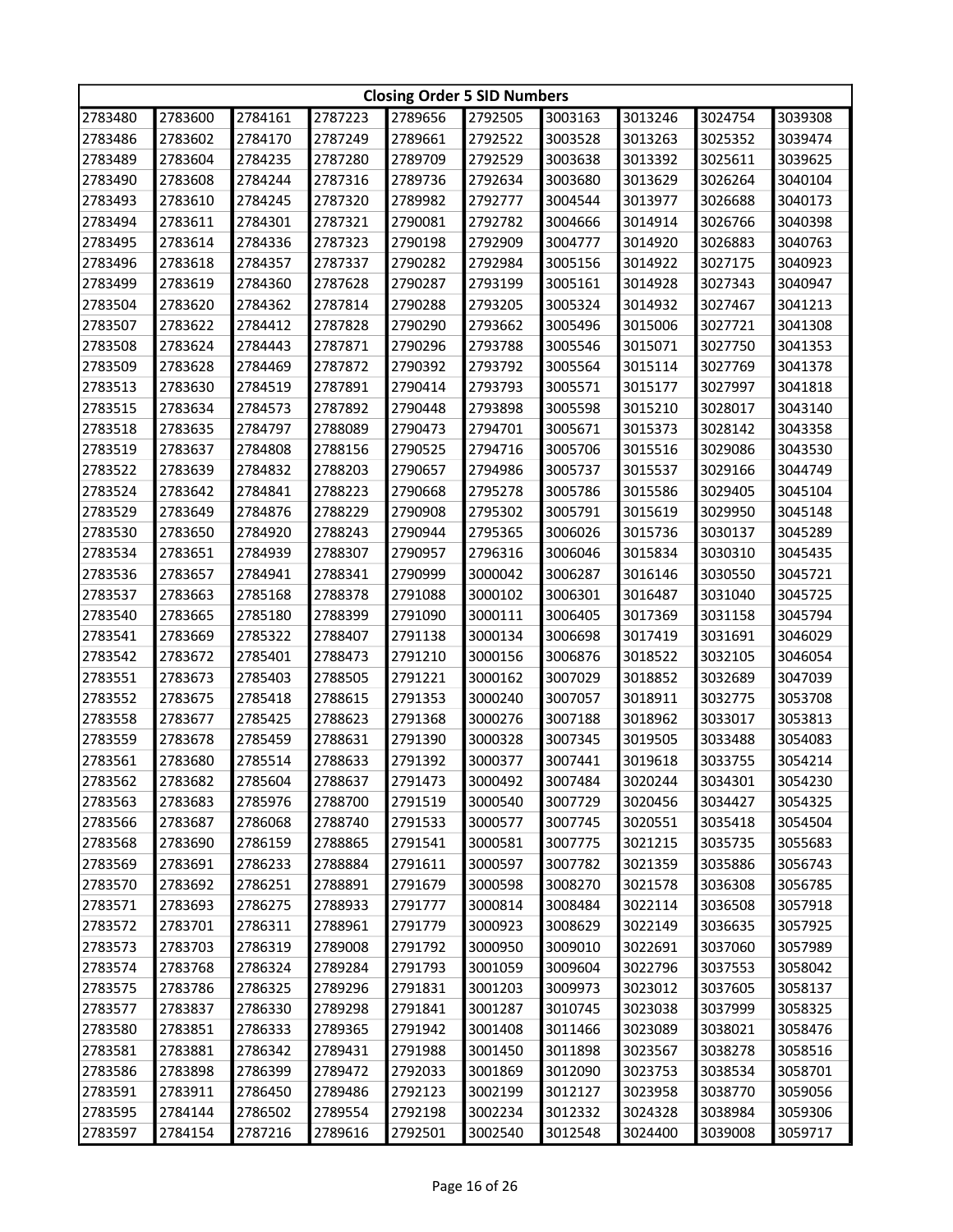|         | <b>Closing Order 5 SID Numbers</b> |         |         |         |         |         |         |         |         |  |
|---------|------------------------------------|---------|---------|---------|---------|---------|---------|---------|---------|--|
| 2783480 | 2783600                            | 2784161 | 2787223 | 2789656 | 2792505 | 3003163 | 3013246 | 3024754 | 3039308 |  |
| 2783486 | 2783602                            | 2784170 | 2787249 | 2789661 | 2792522 | 3003528 | 3013263 | 3025352 | 3039474 |  |
| 2783489 | 2783604                            | 2784235 | 2787280 | 2789709 | 2792529 | 3003638 | 3013392 | 3025611 | 3039625 |  |
| 2783490 | 2783608                            | 2784244 | 2787316 | 2789736 | 2792634 | 3003680 | 3013629 | 3026264 | 3040104 |  |
| 2783493 | 2783610                            | 2784245 | 2787320 | 2789982 | 2792777 | 3004544 | 3013977 | 3026688 | 3040173 |  |
| 2783494 | 2783611                            | 2784301 | 2787321 | 2790081 | 2792782 | 3004666 | 3014914 | 3026766 | 3040398 |  |
| 2783495 | 2783614                            | 2784336 | 2787323 | 2790198 | 2792909 | 3004777 | 3014920 | 3026883 | 3040763 |  |
| 2783496 | 2783618                            | 2784357 | 2787337 | 2790282 | 2792984 | 3005156 | 3014922 | 3027175 | 3040923 |  |
| 2783499 | 2783619                            | 2784360 | 2787628 | 2790287 | 2793199 | 3005161 | 3014928 | 3027343 | 3040947 |  |
| 2783504 | 2783620                            | 2784362 | 2787814 | 2790288 | 2793205 | 3005324 | 3014932 | 3027467 | 3041213 |  |
| 2783507 | 2783622                            | 2784412 | 2787828 | 2790290 | 2793662 | 3005496 | 3015006 | 3027721 | 3041308 |  |
| 2783508 | 2783624                            | 2784443 | 2787871 | 2790296 | 2793788 | 3005546 | 3015071 | 3027750 | 3041353 |  |
| 2783509 | 2783628                            | 2784469 | 2787872 | 2790392 | 2793792 | 3005564 | 3015114 | 3027769 | 3041378 |  |
| 2783513 | 2783630                            | 2784519 | 2787891 | 2790414 | 2793793 | 3005571 | 3015177 | 3027997 | 3041818 |  |
| 2783515 | 2783634                            | 2784573 | 2787892 | 2790448 | 2793898 | 3005598 | 3015210 | 3028017 | 3043140 |  |
| 2783518 | 2783635                            | 2784797 | 2788089 | 2790473 | 2794701 | 3005671 | 3015373 | 3028142 | 3043358 |  |
| 2783519 | 2783637                            | 2784808 | 2788156 | 2790525 | 2794716 | 3005706 | 3015516 | 3029086 | 3043530 |  |
| 2783522 | 2783639                            | 2784832 | 2788203 | 2790657 | 2794986 | 3005737 | 3015537 | 3029166 | 3044749 |  |
| 2783524 | 2783642                            | 2784841 | 2788223 | 2790668 | 2795278 | 3005786 | 3015586 | 3029405 | 3045104 |  |
| 2783529 | 2783649                            | 2784876 | 2788229 | 2790908 | 2795302 | 3005791 | 3015619 | 3029950 | 3045148 |  |
| 2783530 | 2783650                            | 2784920 | 2788243 | 2790944 | 2795365 | 3006026 | 3015736 | 3030137 | 3045289 |  |
| 2783534 | 2783651                            | 2784939 | 2788307 | 2790957 | 2796316 | 3006046 | 3015834 | 3030310 | 3045435 |  |
| 2783536 | 2783657                            | 2784941 | 2788341 | 2790999 | 3000042 | 3006287 | 3016146 | 3030550 | 3045721 |  |
| 2783537 | 2783663                            | 2785168 | 2788378 | 2791088 | 3000102 | 3006301 | 3016487 | 3031040 | 3045725 |  |
| 2783540 | 2783665                            | 2785180 | 2788399 | 2791090 | 3000111 | 3006405 | 3017369 | 3031158 | 3045794 |  |
| 2783541 | 2783669                            | 2785322 | 2788407 | 2791138 | 3000134 | 3006698 | 3017419 | 3031691 | 3046029 |  |
| 2783542 | 2783672                            | 2785401 | 2788473 | 2791210 | 3000156 | 3006876 | 3018522 | 3032105 | 3046054 |  |
| 2783551 | 2783673                            | 2785403 | 2788505 | 2791221 | 3000162 | 3007029 | 3018852 | 3032689 | 3047039 |  |
| 2783552 | 2783675                            | 2785418 | 2788615 | 2791353 | 3000240 | 3007057 | 3018911 | 3032775 | 3053708 |  |
| 2783558 | 2783677                            | 2785425 | 2788623 | 2791368 | 3000276 | 3007188 | 3018962 | 3033017 | 3053813 |  |
| 2783559 | 2783678                            | 2785459 | 2788631 | 2791390 | 3000328 | 3007345 | 3019505 | 3033488 | 3054083 |  |
| 2783561 | 2783680                            | 2785514 | 2788633 | 2791392 | 3000377 | 3007441 | 3019618 | 3033755 | 3054214 |  |
| 2783562 | 2783682                            | 2785604 | 2788637 | 2791473 | 3000492 | 3007484 | 3020244 | 3034301 | 3054230 |  |
| 2783563 | 2783683                            | 2785976 | 2788700 | 2791519 | 3000540 | 3007729 | 3020456 | 3034427 | 3054325 |  |
| 2783566 | 2783687                            | 2786068 | 2788740 | 2791533 | 3000577 | 3007745 | 3020551 | 3035418 | 3054504 |  |
| 2783568 | 2783690                            | 2786159 | 2788865 | 2791541 | 3000581 | 3007775 | 3021215 | 3035735 | 3055683 |  |
| 2783569 | 2783691                            | 2786233 | 2788884 | 2791611 | 3000597 | 3007782 | 3021359 | 3035886 | 3056743 |  |
| 2783570 | 2783692                            | 2786251 | 2788891 | 2791679 | 3000598 | 3008270 | 3021578 | 3036308 | 3056785 |  |
| 2783571 | 2783693                            | 2786275 | 2788933 | 2791777 | 3000814 | 3008484 | 3022114 | 3036508 | 3057918 |  |
| 2783572 | 2783701                            | 2786311 | 2788961 | 2791779 | 3000923 | 3008629 | 3022149 | 3036635 | 3057925 |  |
| 2783573 | 2783703                            | 2786319 | 2789008 | 2791792 | 3000950 | 3009010 | 3022691 | 3037060 | 3057989 |  |
| 2783574 | 2783768                            | 2786324 | 2789284 | 2791793 | 3001059 | 3009604 | 3022796 | 3037553 | 3058042 |  |
| 2783575 | 2783786                            | 2786325 | 2789296 | 2791831 | 3001203 | 3009973 | 3023012 | 3037605 | 3058137 |  |
| 2783577 | 2783837                            | 2786330 | 2789298 | 2791841 | 3001287 | 3010745 | 3023038 | 3037999 | 3058325 |  |
| 2783580 | 2783851                            | 2786333 | 2789365 | 2791942 | 3001408 | 3011466 | 3023089 | 3038021 | 3058476 |  |
| 2783581 | 2783881                            | 2786342 | 2789431 | 2791988 | 3001450 | 3011898 | 3023567 | 3038278 | 3058516 |  |
| 2783586 | 2783898                            | 2786399 | 2789472 | 2792033 | 3001869 | 3012090 | 3023753 | 3038534 | 3058701 |  |
| 2783591 | 2783911                            | 2786450 | 2789486 | 2792123 | 3002199 | 3012127 | 3023958 | 3038770 | 3059056 |  |
| 2783595 | 2784144                            | 2786502 | 2789554 | 2792198 | 3002234 | 3012332 | 3024328 | 3038984 | 3059306 |  |
| 2783597 | 2784154                            | 2787216 | 2789616 | 2792501 | 3002540 | 3012548 | 3024400 | 3039008 | 3059717 |  |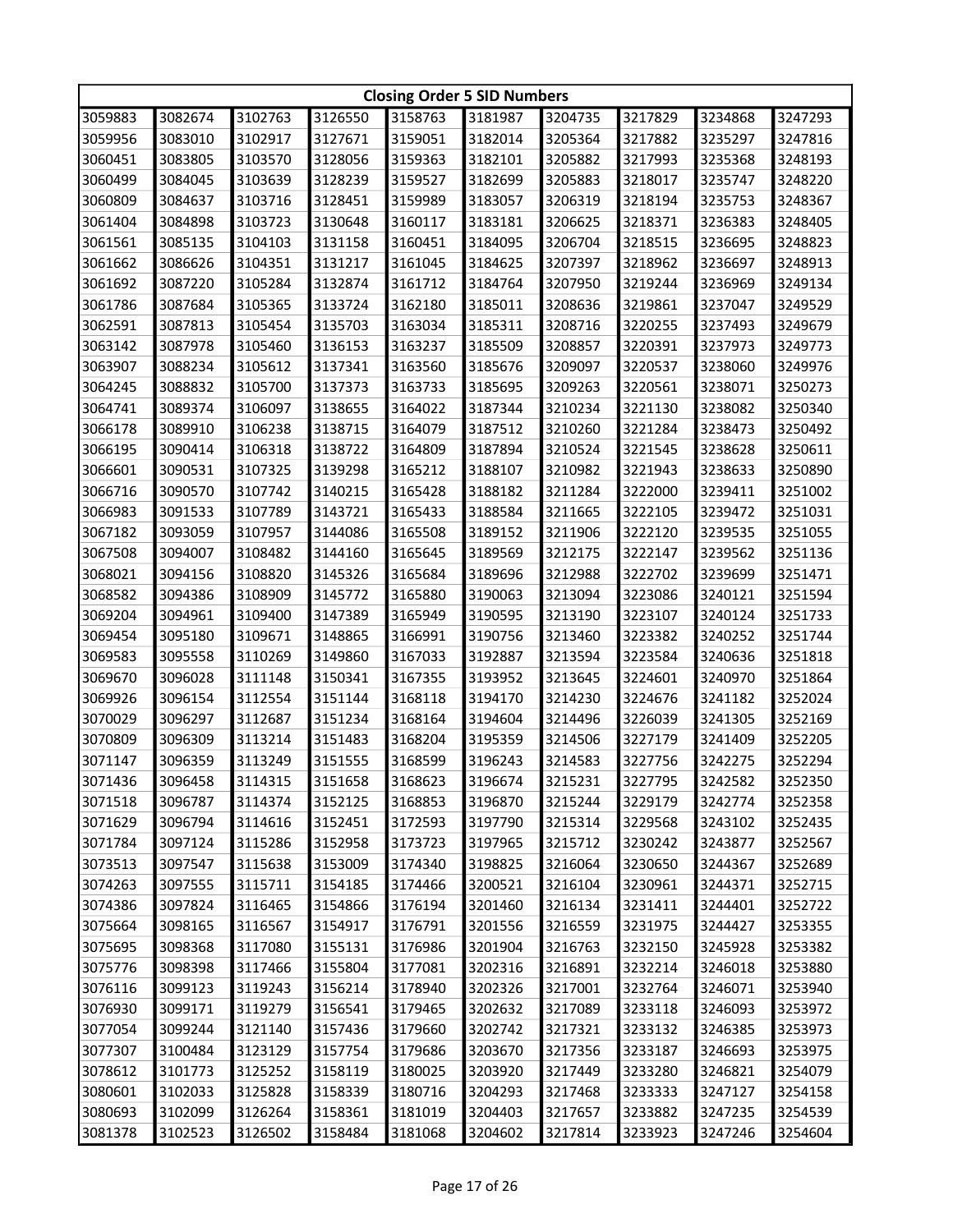|         | <b>Closing Order 5 SID Numbers</b> |         |         |         |         |         |         |         |         |  |
|---------|------------------------------------|---------|---------|---------|---------|---------|---------|---------|---------|--|
| 3059883 | 3082674                            | 3102763 | 3126550 | 3158763 | 3181987 | 3204735 | 3217829 | 3234868 | 3247293 |  |
| 3059956 | 3083010                            | 3102917 | 3127671 | 3159051 | 3182014 | 3205364 | 3217882 | 3235297 | 3247816 |  |
| 3060451 | 3083805                            | 3103570 | 3128056 | 3159363 | 3182101 | 3205882 | 3217993 | 3235368 | 3248193 |  |
| 3060499 | 3084045                            | 3103639 | 3128239 | 3159527 | 3182699 | 3205883 | 3218017 | 3235747 | 3248220 |  |
| 3060809 | 3084637                            | 3103716 | 3128451 | 3159989 | 3183057 | 3206319 | 3218194 | 3235753 | 3248367 |  |
| 3061404 | 3084898                            | 3103723 | 3130648 | 3160117 | 3183181 | 3206625 | 3218371 | 3236383 | 3248405 |  |
| 3061561 | 3085135                            | 3104103 | 3131158 | 3160451 | 3184095 | 3206704 | 3218515 | 3236695 | 3248823 |  |
| 3061662 | 3086626                            | 3104351 | 3131217 | 3161045 | 3184625 | 3207397 | 3218962 | 3236697 | 3248913 |  |
| 3061692 | 3087220                            | 3105284 | 3132874 | 3161712 | 3184764 | 3207950 | 3219244 | 3236969 | 3249134 |  |
| 3061786 | 3087684                            | 3105365 | 3133724 | 3162180 | 3185011 | 3208636 | 3219861 | 3237047 | 3249529 |  |
| 3062591 | 3087813                            | 3105454 | 3135703 | 3163034 | 3185311 | 3208716 | 3220255 | 3237493 | 3249679 |  |
| 3063142 | 3087978                            | 3105460 | 3136153 | 3163237 | 3185509 | 3208857 | 3220391 | 3237973 | 3249773 |  |
| 3063907 | 3088234                            | 3105612 | 3137341 | 3163560 | 3185676 | 3209097 | 3220537 | 3238060 | 3249976 |  |
| 3064245 | 3088832                            | 3105700 | 3137373 | 3163733 | 3185695 | 3209263 | 3220561 | 3238071 | 3250273 |  |
| 3064741 | 3089374                            | 3106097 | 3138655 | 3164022 | 3187344 | 3210234 | 3221130 | 3238082 | 3250340 |  |
| 3066178 | 3089910                            | 3106238 | 3138715 | 3164079 | 3187512 | 3210260 | 3221284 | 3238473 | 3250492 |  |
| 3066195 | 3090414                            | 3106318 | 3138722 | 3164809 | 3187894 | 3210524 | 3221545 | 3238628 | 3250611 |  |
| 3066601 | 3090531                            | 3107325 | 3139298 | 3165212 | 3188107 | 3210982 | 3221943 | 3238633 | 3250890 |  |
| 3066716 | 3090570                            | 3107742 | 3140215 | 3165428 | 3188182 | 3211284 | 3222000 | 3239411 | 3251002 |  |
| 3066983 | 3091533                            | 3107789 | 3143721 | 3165433 | 3188584 | 3211665 | 3222105 | 3239472 | 3251031 |  |
| 3067182 | 3093059                            | 3107957 | 3144086 | 3165508 | 3189152 | 3211906 | 3222120 | 3239535 | 3251055 |  |
| 3067508 | 3094007                            | 3108482 | 3144160 | 3165645 | 3189569 | 3212175 | 3222147 | 3239562 | 3251136 |  |
| 3068021 | 3094156                            | 3108820 | 3145326 | 3165684 | 3189696 | 3212988 | 3222702 | 3239699 | 3251471 |  |
| 3068582 | 3094386                            | 3108909 | 3145772 | 3165880 | 3190063 | 3213094 | 3223086 | 3240121 | 3251594 |  |
| 3069204 | 3094961                            | 3109400 | 3147389 | 3165949 | 3190595 | 3213190 | 3223107 | 3240124 | 3251733 |  |
| 3069454 | 3095180                            | 3109671 | 3148865 | 3166991 | 3190756 | 3213460 | 3223382 | 3240252 | 3251744 |  |
| 3069583 | 3095558                            | 3110269 | 3149860 | 3167033 | 3192887 | 3213594 | 3223584 | 3240636 | 3251818 |  |
| 3069670 | 3096028                            | 3111148 | 3150341 | 3167355 | 3193952 | 3213645 | 3224601 | 3240970 | 3251864 |  |
| 3069926 | 3096154                            | 3112554 | 3151144 | 3168118 | 3194170 | 3214230 | 3224676 | 3241182 | 3252024 |  |
| 3070029 | 3096297                            | 3112687 | 3151234 | 3168164 | 3194604 | 3214496 | 3226039 | 3241305 | 3252169 |  |
| 3070809 | 3096309                            | 3113214 | 3151483 | 3168204 | 3195359 | 3214506 | 3227179 | 3241409 | 3252205 |  |
| 3071147 | 3096359                            | 3113249 | 3151555 | 3168599 | 3196243 | 3214583 | 3227756 | 3242275 | 3252294 |  |
| 3071436 | 3096458                            | 3114315 | 3151658 | 3168623 | 3196674 | 3215231 | 3227795 | 3242582 | 3252350 |  |
| 3071518 | 3096787                            | 3114374 | 3152125 | 3168853 | 3196870 | 3215244 | 3229179 | 3242774 | 3252358 |  |
| 3071629 | 3096794                            | 3114616 | 3152451 | 3172593 | 3197790 | 3215314 | 3229568 | 3243102 | 3252435 |  |
| 3071784 | 3097124                            | 3115286 | 3152958 | 3173723 | 3197965 | 3215712 | 3230242 | 3243877 | 3252567 |  |
| 3073513 | 3097547                            | 3115638 | 3153009 | 3174340 | 3198825 | 3216064 | 3230650 | 3244367 | 3252689 |  |
| 3074263 | 3097555                            | 3115711 | 3154185 | 3174466 | 3200521 | 3216104 | 3230961 | 3244371 | 3252715 |  |
| 3074386 | 3097824                            | 3116465 | 3154866 | 3176194 | 3201460 | 3216134 | 3231411 | 3244401 | 3252722 |  |
| 3075664 | 3098165                            | 3116567 | 3154917 | 3176791 | 3201556 | 3216559 | 3231975 | 3244427 | 3253355 |  |
| 3075695 | 3098368                            | 3117080 | 3155131 | 3176986 | 3201904 | 3216763 | 3232150 | 3245928 | 3253382 |  |
| 3075776 | 3098398                            | 3117466 | 3155804 | 3177081 | 3202316 | 3216891 | 3232214 | 3246018 | 3253880 |  |
| 3076116 | 3099123                            | 3119243 | 3156214 | 3178940 | 3202326 | 3217001 | 3232764 | 3246071 | 3253940 |  |
| 3076930 | 3099171                            | 3119279 | 3156541 | 3179465 | 3202632 | 3217089 | 3233118 | 3246093 | 3253972 |  |
| 3077054 | 3099244                            | 3121140 | 3157436 | 3179660 | 3202742 | 3217321 | 3233132 | 3246385 | 3253973 |  |
| 3077307 | 3100484                            | 3123129 | 3157754 | 3179686 | 3203670 | 3217356 | 3233187 | 3246693 | 3253975 |  |
| 3078612 | 3101773                            | 3125252 | 3158119 | 3180025 | 3203920 | 3217449 | 3233280 | 3246821 | 3254079 |  |
| 3080601 | 3102033                            | 3125828 | 3158339 | 3180716 | 3204293 | 3217468 | 3233333 | 3247127 | 3254158 |  |
| 3080693 | 3102099                            | 3126264 | 3158361 | 3181019 | 3204403 | 3217657 | 3233882 | 3247235 | 3254539 |  |
| 3081378 | 3102523                            | 3126502 | 3158484 | 3181068 | 3204602 | 3217814 | 3233923 | 3247246 | 3254604 |  |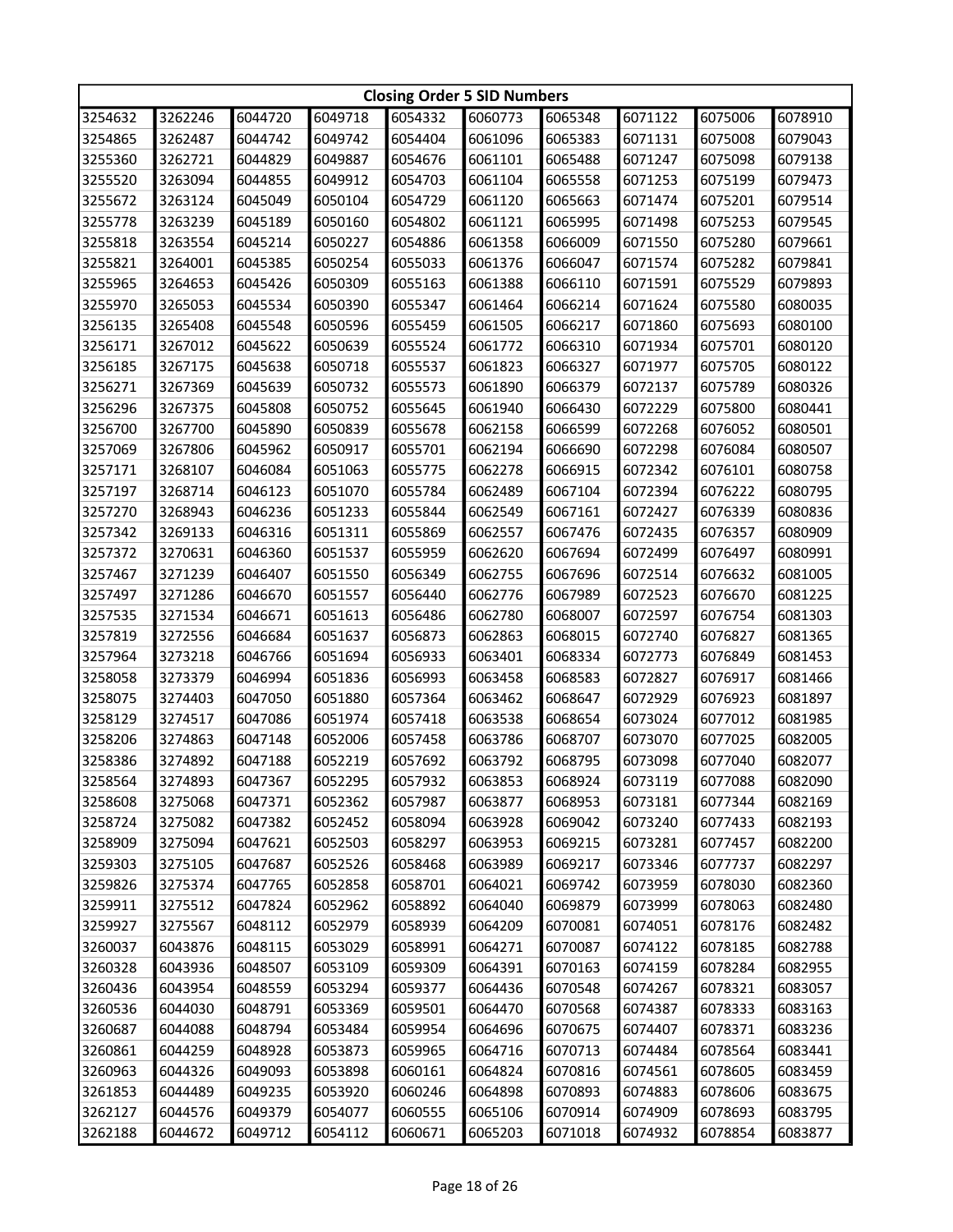|         | <b>Closing Order 5 SID Numbers</b> |         |         |         |         |         |         |         |         |  |
|---------|------------------------------------|---------|---------|---------|---------|---------|---------|---------|---------|--|
| 3254632 | 3262246                            | 6044720 | 6049718 | 6054332 | 6060773 | 6065348 | 6071122 | 6075006 | 6078910 |  |
| 3254865 | 3262487                            | 6044742 | 6049742 | 6054404 | 6061096 | 6065383 | 6071131 | 6075008 | 6079043 |  |
| 3255360 | 3262721                            | 6044829 | 6049887 | 6054676 | 6061101 | 6065488 | 6071247 | 6075098 | 6079138 |  |
| 3255520 | 3263094                            | 6044855 | 6049912 | 6054703 | 6061104 | 6065558 | 6071253 | 6075199 | 6079473 |  |
| 3255672 | 3263124                            | 6045049 | 6050104 | 6054729 | 6061120 | 6065663 | 6071474 | 6075201 | 6079514 |  |
| 3255778 | 3263239                            | 6045189 | 6050160 | 6054802 | 6061121 | 6065995 | 6071498 | 6075253 | 6079545 |  |
| 3255818 | 3263554                            | 6045214 | 6050227 | 6054886 | 6061358 | 6066009 | 6071550 | 6075280 | 6079661 |  |
| 3255821 | 3264001                            | 6045385 | 6050254 | 6055033 | 6061376 | 6066047 | 6071574 | 6075282 | 6079841 |  |
| 3255965 | 3264653                            | 6045426 | 6050309 | 6055163 | 6061388 | 6066110 | 6071591 | 6075529 | 6079893 |  |
| 3255970 | 3265053                            | 6045534 | 6050390 | 6055347 | 6061464 | 6066214 | 6071624 | 6075580 | 6080035 |  |
| 3256135 | 3265408                            | 6045548 | 6050596 | 6055459 | 6061505 | 6066217 | 6071860 | 6075693 | 6080100 |  |
| 3256171 | 3267012                            | 6045622 | 6050639 | 6055524 | 6061772 | 6066310 | 6071934 | 6075701 | 6080120 |  |
| 3256185 | 3267175                            | 6045638 | 6050718 | 6055537 | 6061823 | 6066327 | 6071977 | 6075705 | 6080122 |  |
| 3256271 | 3267369                            | 6045639 | 6050732 | 6055573 | 6061890 | 6066379 | 6072137 | 6075789 | 6080326 |  |
| 3256296 | 3267375                            | 6045808 | 6050752 | 6055645 | 6061940 | 6066430 | 6072229 | 6075800 | 6080441 |  |
| 3256700 | 3267700                            | 6045890 | 6050839 | 6055678 | 6062158 | 6066599 | 6072268 | 6076052 | 6080501 |  |
| 3257069 | 3267806                            | 6045962 | 6050917 | 6055701 | 6062194 | 6066690 | 6072298 | 6076084 | 6080507 |  |
| 3257171 | 3268107                            | 6046084 | 6051063 | 6055775 | 6062278 | 6066915 | 6072342 | 6076101 | 6080758 |  |
| 3257197 | 3268714                            | 6046123 | 6051070 | 6055784 | 6062489 | 6067104 | 6072394 | 6076222 | 6080795 |  |
| 3257270 | 3268943                            | 6046236 | 6051233 | 6055844 | 6062549 | 6067161 | 6072427 | 6076339 | 6080836 |  |
| 3257342 | 3269133                            | 6046316 | 6051311 | 6055869 | 6062557 | 6067476 | 6072435 | 6076357 | 6080909 |  |
| 3257372 | 3270631                            | 6046360 | 6051537 | 6055959 | 6062620 | 6067694 | 6072499 | 6076497 | 6080991 |  |
| 3257467 | 3271239                            | 6046407 | 6051550 | 6056349 | 6062755 | 6067696 | 6072514 | 6076632 | 6081005 |  |
| 3257497 | 3271286                            | 6046670 | 6051557 | 6056440 | 6062776 | 6067989 | 6072523 | 6076670 | 6081225 |  |
| 3257535 | 3271534                            | 6046671 | 6051613 | 6056486 | 6062780 | 6068007 | 6072597 | 6076754 | 6081303 |  |
| 3257819 | 3272556                            | 6046684 | 6051637 | 6056873 | 6062863 | 6068015 | 6072740 | 6076827 | 6081365 |  |
| 3257964 | 3273218                            | 6046766 | 6051694 | 6056933 | 6063401 | 6068334 | 6072773 | 6076849 | 6081453 |  |
| 3258058 | 3273379                            | 6046994 | 6051836 | 6056993 | 6063458 | 6068583 | 6072827 | 6076917 | 6081466 |  |
| 3258075 | 3274403                            | 6047050 | 6051880 | 6057364 | 6063462 | 6068647 | 6072929 | 6076923 | 6081897 |  |
| 3258129 | 3274517                            | 6047086 | 6051974 | 6057418 | 6063538 | 6068654 | 6073024 | 6077012 | 6081985 |  |
| 3258206 | 3274863                            | 6047148 | 6052006 | 6057458 | 6063786 | 6068707 | 6073070 | 6077025 | 6082005 |  |
| 3258386 | 3274892                            | 6047188 | 6052219 | 6057692 | 6063792 | 6068795 | 6073098 | 6077040 | 6082077 |  |
| 3258564 | 3274893                            | 6047367 | 6052295 | 6057932 | 6063853 | 6068924 | 6073119 | 6077088 | 6082090 |  |
| 3258608 | 3275068                            | 6047371 | 6052362 | 6057987 | 6063877 | 6068953 | 6073181 | 6077344 | 6082169 |  |
| 3258724 | 3275082                            | 6047382 | 6052452 | 6058094 | 6063928 | 6069042 | 6073240 | 6077433 | 6082193 |  |
| 3258909 | 3275094                            | 6047621 | 6052503 | 6058297 | 6063953 | 6069215 | 6073281 | 6077457 | 6082200 |  |
| 3259303 | 3275105                            | 6047687 | 6052526 | 6058468 | 6063989 | 6069217 | 6073346 | 6077737 | 6082297 |  |
| 3259826 | 3275374                            | 6047765 | 6052858 | 6058701 | 6064021 | 6069742 | 6073959 | 6078030 | 6082360 |  |
| 3259911 | 3275512                            | 6047824 | 6052962 | 6058892 | 6064040 | 6069879 | 6073999 | 6078063 | 6082480 |  |
| 3259927 | 3275567                            | 6048112 | 6052979 | 6058939 | 6064209 | 6070081 | 6074051 | 6078176 | 6082482 |  |
| 3260037 |                                    | 6048115 |         | 6058991 |         |         |         | 6078185 | 6082788 |  |
|         | 6043876                            |         | 6053029 |         | 6064271 | 6070087 | 6074122 |         |         |  |
| 3260328 | 6043936                            | 6048507 | 6053109 | 6059309 | 6064391 | 6070163 | 6074159 | 6078284 | 6082955 |  |
| 3260436 | 6043954                            | 6048559 | 6053294 | 6059377 | 6064436 | 6070548 | 6074267 | 6078321 | 6083057 |  |
| 3260536 | 6044030                            | 6048791 | 6053369 | 6059501 | 6064470 | 6070568 | 6074387 | 6078333 | 6083163 |  |
| 3260687 | 6044088                            | 6048794 | 6053484 | 6059954 | 6064696 | 6070675 | 6074407 | 6078371 | 6083236 |  |
| 3260861 | 6044259                            | 6048928 | 6053873 | 6059965 | 6064716 | 6070713 | 6074484 | 6078564 | 6083441 |  |
| 3260963 | 6044326                            | 6049093 | 6053898 | 6060161 | 6064824 | 6070816 | 6074561 | 6078605 | 6083459 |  |
| 3261853 | 6044489                            | 6049235 | 6053920 | 6060246 | 6064898 | 6070893 | 6074883 | 6078606 | 6083675 |  |
| 3262127 | 6044576                            | 6049379 | 6054077 | 6060555 | 6065106 | 6070914 | 6074909 | 6078693 | 6083795 |  |
| 3262188 | 6044672                            | 6049712 | 6054112 | 6060671 | 6065203 | 6071018 | 6074932 | 6078854 | 6083877 |  |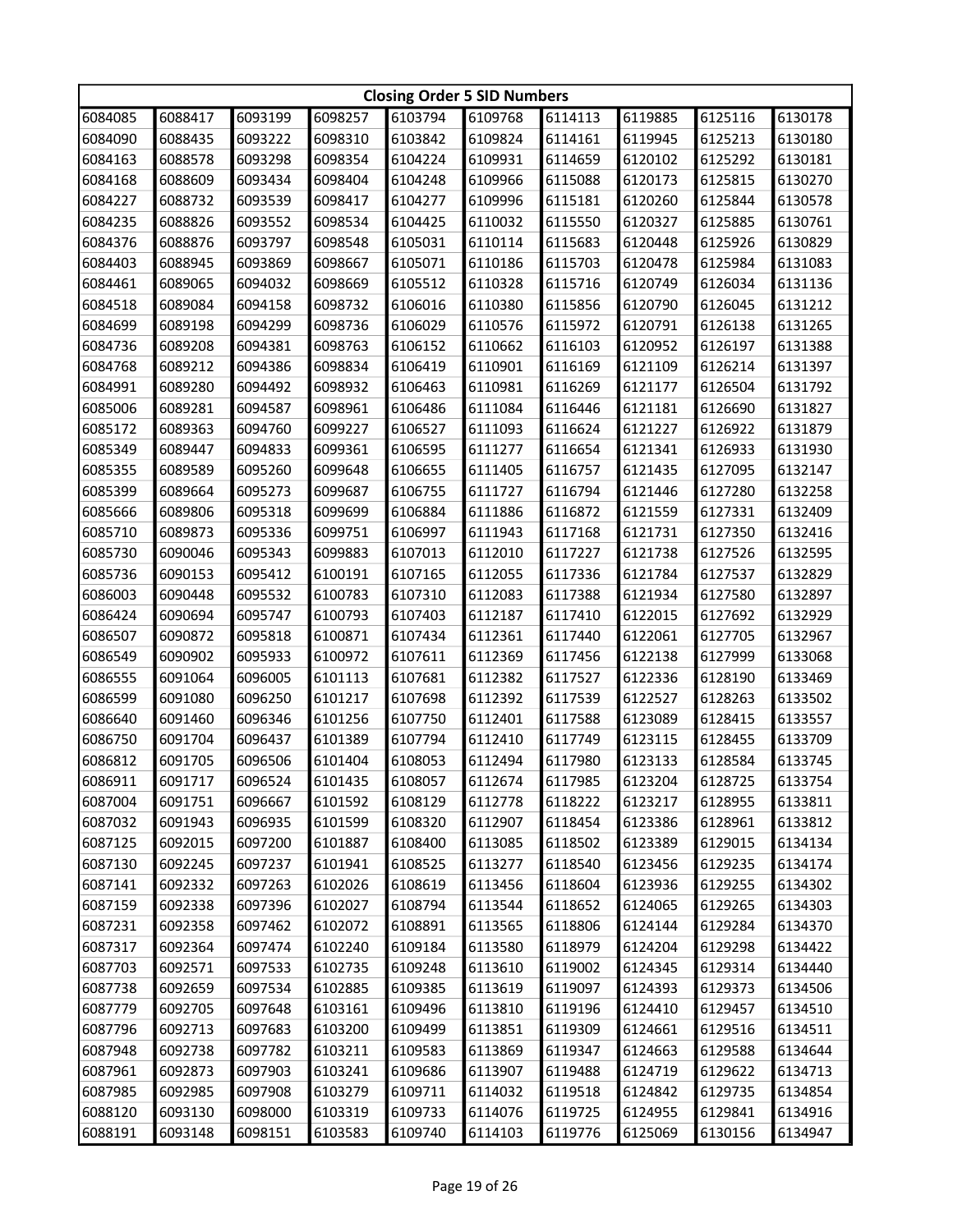|         | <b>Closing Order 5 SID Numbers</b> |         |         |         |         |         |         |         |         |  |
|---------|------------------------------------|---------|---------|---------|---------|---------|---------|---------|---------|--|
| 6084085 | 6088417                            | 6093199 | 6098257 | 6103794 | 6109768 | 6114113 | 6119885 | 6125116 | 6130178 |  |
| 6084090 | 6088435                            | 6093222 | 6098310 | 6103842 | 6109824 | 6114161 | 6119945 | 6125213 | 6130180 |  |
| 6084163 | 6088578                            | 6093298 | 6098354 | 6104224 | 6109931 | 6114659 | 6120102 | 6125292 | 6130181 |  |
| 6084168 | 6088609                            | 6093434 | 6098404 | 6104248 | 6109966 | 6115088 | 6120173 | 6125815 | 6130270 |  |
| 6084227 | 6088732                            | 6093539 | 6098417 | 6104277 | 6109996 | 6115181 | 6120260 | 6125844 | 6130578 |  |
| 6084235 | 6088826                            | 6093552 | 6098534 | 6104425 | 6110032 | 6115550 | 6120327 | 6125885 | 6130761 |  |
| 6084376 | 6088876                            | 6093797 | 6098548 | 6105031 | 6110114 | 6115683 | 6120448 | 6125926 | 6130829 |  |
| 6084403 | 6088945                            | 6093869 | 6098667 | 6105071 | 6110186 | 6115703 | 6120478 | 6125984 | 6131083 |  |
| 6084461 | 6089065                            | 6094032 | 6098669 | 6105512 | 6110328 | 6115716 | 6120749 | 6126034 | 6131136 |  |
| 6084518 | 6089084                            | 6094158 | 6098732 | 6106016 | 6110380 | 6115856 | 6120790 | 6126045 | 6131212 |  |
| 6084699 | 6089198                            | 6094299 | 6098736 | 6106029 | 6110576 | 6115972 | 6120791 | 6126138 | 6131265 |  |
| 6084736 | 6089208                            | 6094381 | 6098763 | 6106152 | 6110662 | 6116103 | 6120952 | 6126197 | 6131388 |  |
| 6084768 | 6089212                            | 6094386 | 6098834 | 6106419 | 6110901 | 6116169 | 6121109 | 6126214 | 6131397 |  |
| 6084991 | 6089280                            | 6094492 | 6098932 | 6106463 | 6110981 | 6116269 | 6121177 | 6126504 | 6131792 |  |
| 6085006 | 6089281                            | 6094587 | 6098961 | 6106486 | 6111084 | 6116446 | 6121181 | 6126690 | 6131827 |  |
| 6085172 | 6089363                            | 6094760 | 6099227 | 6106527 | 6111093 | 6116624 | 6121227 | 6126922 | 6131879 |  |
| 6085349 | 6089447                            | 6094833 | 6099361 | 6106595 | 6111277 | 6116654 | 6121341 | 6126933 | 6131930 |  |
| 6085355 | 6089589                            | 6095260 | 6099648 | 6106655 | 6111405 | 6116757 | 6121435 | 6127095 | 6132147 |  |
| 6085399 | 6089664                            | 6095273 | 6099687 | 6106755 | 6111727 | 6116794 | 6121446 | 6127280 | 6132258 |  |
| 6085666 | 6089806                            | 6095318 | 6099699 | 6106884 | 6111886 | 6116872 | 6121559 | 6127331 | 6132409 |  |
| 6085710 | 6089873                            | 6095336 | 6099751 | 6106997 | 6111943 | 6117168 | 6121731 | 6127350 | 6132416 |  |
| 6085730 | 6090046                            | 6095343 | 6099883 | 6107013 | 6112010 | 6117227 | 6121738 | 6127526 | 6132595 |  |
| 6085736 | 6090153                            | 6095412 | 6100191 | 6107165 | 6112055 | 6117336 | 6121784 | 6127537 | 6132829 |  |
| 6086003 | 6090448                            | 6095532 | 6100783 | 6107310 | 6112083 | 6117388 | 6121934 | 6127580 | 6132897 |  |
| 6086424 | 6090694                            | 6095747 | 6100793 | 6107403 | 6112187 | 6117410 | 6122015 | 6127692 | 6132929 |  |
| 6086507 | 6090872                            | 6095818 | 6100871 | 6107434 | 6112361 | 6117440 | 6122061 | 6127705 | 6132967 |  |
| 6086549 | 6090902                            | 6095933 | 6100972 | 6107611 | 6112369 | 6117456 | 6122138 | 6127999 | 6133068 |  |
| 6086555 | 6091064                            | 6096005 | 6101113 | 6107681 | 6112382 | 6117527 | 6122336 | 6128190 | 6133469 |  |
| 6086599 | 6091080                            | 6096250 | 6101217 | 6107698 | 6112392 | 6117539 | 6122527 | 6128263 | 6133502 |  |
| 6086640 | 6091460                            | 6096346 | 6101256 | 6107750 | 6112401 | 6117588 | 6123089 | 6128415 | 6133557 |  |
| 6086750 | 6091704                            | 6096437 | 6101389 | 6107794 | 6112410 | 6117749 | 6123115 | 6128455 | 6133709 |  |
| 6086812 | 6091705                            | 6096506 | 6101404 | 6108053 | 6112494 | 6117980 | 6123133 | 6128584 | 6133745 |  |
| 6086911 | 6091717                            | 6096524 | 6101435 | 6108057 | 6112674 | 6117985 | 6123204 | 6128725 | 6133754 |  |
| 6087004 | 6091751                            | 6096667 | 6101592 | 6108129 | 6112778 | 6118222 | 6123217 | 6128955 | 6133811 |  |
| 6087032 | 6091943                            | 6096935 | 6101599 | 6108320 | 6112907 | 6118454 | 6123386 | 6128961 | 6133812 |  |
| 6087125 | 6092015                            | 6097200 | 6101887 | 6108400 | 6113085 | 6118502 | 6123389 | 6129015 | 6134134 |  |
| 6087130 | 6092245                            | 6097237 | 6101941 | 6108525 | 6113277 | 6118540 | 6123456 | 6129235 | 6134174 |  |
| 6087141 | 6092332                            | 6097263 | 6102026 | 6108619 | 6113456 | 6118604 | 6123936 | 6129255 | 6134302 |  |
| 6087159 | 6092338                            | 6097396 | 6102027 | 6108794 | 6113544 | 6118652 | 6124065 | 6129265 | 6134303 |  |
| 6087231 | 6092358                            | 6097462 | 6102072 | 6108891 | 6113565 | 6118806 | 6124144 | 6129284 | 6134370 |  |
| 6087317 | 6092364                            | 6097474 | 6102240 | 6109184 | 6113580 | 6118979 | 6124204 | 6129298 | 6134422 |  |
| 6087703 | 6092571                            | 6097533 | 6102735 | 6109248 | 6113610 | 6119002 | 6124345 | 6129314 | 6134440 |  |
| 6087738 | 6092659                            | 6097534 | 6102885 | 6109385 | 6113619 | 6119097 | 6124393 | 6129373 | 6134506 |  |
| 6087779 | 6092705                            | 6097648 | 6103161 | 6109496 | 6113810 | 6119196 | 6124410 | 6129457 | 6134510 |  |
| 6087796 | 6092713                            | 6097683 | 6103200 | 6109499 | 6113851 | 6119309 | 6124661 | 6129516 | 6134511 |  |
| 6087948 | 6092738                            | 6097782 | 6103211 | 6109583 | 6113869 | 6119347 | 6124663 | 6129588 | 6134644 |  |
| 6087961 | 6092873                            | 6097903 | 6103241 | 6109686 | 6113907 | 6119488 | 6124719 | 6129622 | 6134713 |  |
| 6087985 | 6092985                            | 6097908 | 6103279 | 6109711 | 6114032 | 6119518 | 6124842 | 6129735 | 6134854 |  |
| 6088120 | 6093130                            | 6098000 | 6103319 | 6109733 | 6114076 | 6119725 | 6124955 | 6129841 | 6134916 |  |
| 6088191 | 6093148                            | 6098151 | 6103583 | 6109740 | 6114103 | 6119776 | 6125069 | 6130156 | 6134947 |  |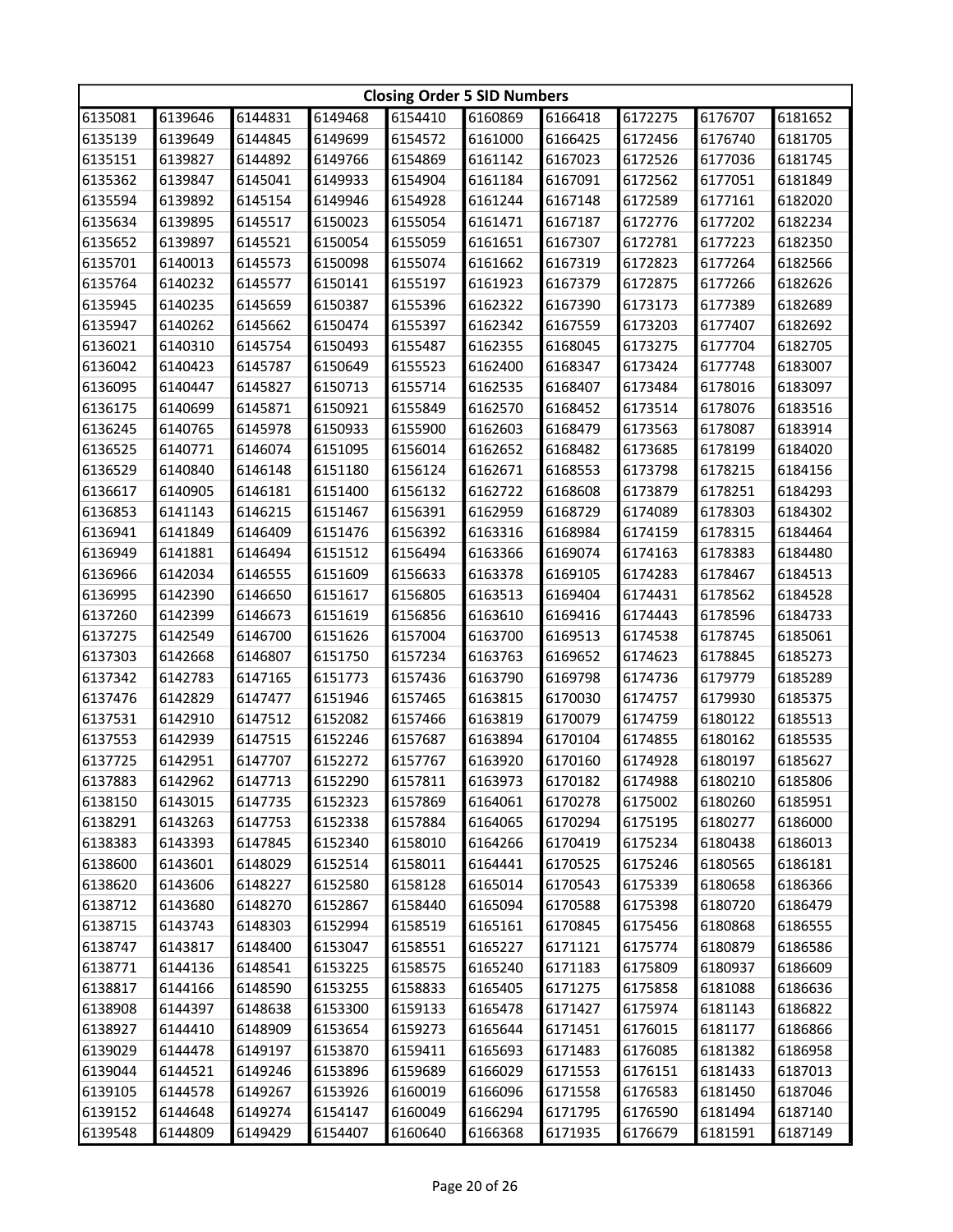|         | <b>Closing Order 5 SID Numbers</b> |         |         |         |         |         |         |         |         |  |
|---------|------------------------------------|---------|---------|---------|---------|---------|---------|---------|---------|--|
| 6135081 | 6139646                            | 6144831 | 6149468 | 6154410 | 6160869 | 6166418 | 6172275 | 6176707 | 6181652 |  |
| 6135139 | 6139649                            | 6144845 | 6149699 | 6154572 | 6161000 | 6166425 | 6172456 | 6176740 | 6181705 |  |
| 6135151 | 6139827                            | 6144892 | 6149766 | 6154869 | 6161142 | 6167023 | 6172526 | 6177036 | 6181745 |  |
| 6135362 | 6139847                            | 6145041 | 6149933 | 6154904 | 6161184 | 6167091 | 6172562 | 6177051 | 6181849 |  |
| 6135594 | 6139892                            | 6145154 | 6149946 | 6154928 | 6161244 | 6167148 | 6172589 | 6177161 | 6182020 |  |
| 6135634 | 6139895                            | 6145517 | 6150023 | 6155054 | 6161471 | 6167187 | 6172776 | 6177202 | 6182234 |  |
| 6135652 | 6139897                            | 6145521 | 6150054 | 6155059 | 6161651 | 6167307 | 6172781 | 6177223 | 6182350 |  |
| 6135701 | 6140013                            | 6145573 | 6150098 | 6155074 | 6161662 | 6167319 | 6172823 | 6177264 | 6182566 |  |
| 6135764 | 6140232                            | 6145577 | 6150141 | 6155197 | 6161923 | 6167379 | 6172875 | 6177266 | 6182626 |  |
| 6135945 | 6140235                            | 6145659 | 6150387 | 6155396 | 6162322 | 6167390 | 6173173 | 6177389 | 6182689 |  |
| 6135947 | 6140262                            | 6145662 | 6150474 | 6155397 | 6162342 | 6167559 | 6173203 | 6177407 | 6182692 |  |
| 6136021 | 6140310                            | 6145754 | 6150493 | 6155487 | 6162355 | 6168045 | 6173275 | 6177704 | 6182705 |  |
| 6136042 | 6140423                            | 6145787 | 6150649 | 6155523 | 6162400 | 6168347 | 6173424 | 6177748 | 6183007 |  |
| 6136095 | 6140447                            | 6145827 | 6150713 | 6155714 | 6162535 | 6168407 | 6173484 | 6178016 | 6183097 |  |
| 6136175 | 6140699                            | 6145871 | 6150921 | 6155849 | 6162570 | 6168452 | 6173514 | 6178076 | 6183516 |  |
| 6136245 | 6140765                            | 6145978 | 6150933 | 6155900 | 6162603 | 6168479 | 6173563 | 6178087 | 6183914 |  |
| 6136525 | 6140771                            | 6146074 | 6151095 | 6156014 | 6162652 | 6168482 | 6173685 | 6178199 | 6184020 |  |
| 6136529 | 6140840                            | 6146148 | 6151180 | 6156124 | 6162671 | 6168553 | 6173798 | 6178215 | 6184156 |  |
| 6136617 | 6140905                            | 6146181 | 6151400 | 6156132 | 6162722 | 6168608 | 6173879 | 6178251 | 6184293 |  |
| 6136853 | 6141143                            | 6146215 | 6151467 | 6156391 | 6162959 | 6168729 | 6174089 | 6178303 | 6184302 |  |
| 6136941 | 6141849                            | 6146409 | 6151476 | 6156392 | 6163316 | 6168984 | 6174159 | 6178315 | 6184464 |  |
| 6136949 | 6141881                            | 6146494 | 6151512 | 6156494 | 6163366 | 6169074 | 6174163 | 6178383 | 6184480 |  |
| 6136966 | 6142034                            | 6146555 | 6151609 | 6156633 | 6163378 | 6169105 | 6174283 | 6178467 | 6184513 |  |
| 6136995 | 6142390                            | 6146650 | 6151617 | 6156805 | 6163513 | 6169404 | 6174431 | 6178562 | 6184528 |  |
| 6137260 | 6142399                            | 6146673 | 6151619 | 6156856 | 6163610 | 6169416 | 6174443 | 6178596 | 6184733 |  |
| 6137275 | 6142549                            | 6146700 | 6151626 | 6157004 | 6163700 | 6169513 | 6174538 | 6178745 | 6185061 |  |
| 6137303 | 6142668                            | 6146807 | 6151750 | 6157234 | 6163763 | 6169652 | 6174623 | 6178845 | 6185273 |  |
| 6137342 | 6142783                            | 6147165 | 6151773 | 6157436 | 6163790 | 6169798 | 6174736 | 6179779 | 6185289 |  |
| 6137476 | 6142829                            | 6147477 | 6151946 | 6157465 | 6163815 | 6170030 | 6174757 | 6179930 | 6185375 |  |
| 6137531 | 6142910                            | 6147512 | 6152082 | 6157466 | 6163819 | 6170079 | 6174759 | 6180122 | 6185513 |  |
| 6137553 | 6142939                            | 6147515 | 6152246 | 6157687 | 6163894 | 6170104 | 6174855 | 6180162 | 6185535 |  |
| 6137725 | 6142951                            | 6147707 | 6152272 | 6157767 | 6163920 | 6170160 | 6174928 | 6180197 | 6185627 |  |
| 6137883 | 6142962                            | 6147713 | 6152290 | 6157811 | 6163973 | 6170182 | 6174988 | 6180210 | 6185806 |  |
| 6138150 | 6143015                            | 6147735 | 6152323 | 6157869 | 6164061 | 6170278 | 6175002 | 6180260 | 6185951 |  |
| 6138291 | 6143263                            | 6147753 | 6152338 | 6157884 | 6164065 | 6170294 | 6175195 | 6180277 | 6186000 |  |
| 6138383 | 6143393                            | 6147845 | 6152340 | 6158010 | 6164266 | 6170419 | 6175234 | 6180438 | 6186013 |  |
| 6138600 | 6143601                            | 6148029 | 6152514 | 6158011 | 6164441 | 6170525 | 6175246 | 6180565 | 6186181 |  |
| 6138620 | 6143606                            | 6148227 | 6152580 | 6158128 | 6165014 | 6170543 | 6175339 | 6180658 | 6186366 |  |
| 6138712 | 6143680                            | 6148270 | 6152867 | 6158440 | 6165094 | 6170588 | 6175398 | 6180720 | 6186479 |  |
| 6138715 | 6143743                            | 6148303 | 6152994 | 6158519 | 6165161 | 6170845 | 6175456 | 6180868 | 6186555 |  |
| 6138747 | 6143817                            | 6148400 | 6153047 | 6158551 | 6165227 | 6171121 | 6175774 | 6180879 | 6186586 |  |
| 6138771 | 6144136                            | 6148541 | 6153225 | 6158575 | 6165240 | 6171183 | 6175809 | 6180937 | 6186609 |  |
| 6138817 | 6144166                            | 6148590 | 6153255 | 6158833 | 6165405 | 6171275 | 6175858 | 6181088 | 6186636 |  |
| 6138908 | 6144397                            | 6148638 | 6153300 | 6159133 | 6165478 | 6171427 | 6175974 | 6181143 | 6186822 |  |
| 6138927 | 6144410                            | 6148909 | 6153654 | 6159273 | 6165644 | 6171451 | 6176015 | 6181177 | 6186866 |  |
| 6139029 | 6144478                            | 6149197 | 6153870 | 6159411 | 6165693 | 6171483 | 6176085 | 6181382 | 6186958 |  |
| 6139044 | 6144521                            | 6149246 | 6153896 | 6159689 | 6166029 | 6171553 | 6176151 | 6181433 | 6187013 |  |
| 6139105 | 6144578                            | 6149267 | 6153926 | 6160019 | 6166096 | 6171558 | 6176583 | 6181450 | 6187046 |  |
| 6139152 | 6144648                            | 6149274 | 6154147 | 6160049 | 6166294 | 6171795 | 6176590 | 6181494 | 6187140 |  |
| 6139548 | 6144809                            | 6149429 | 6154407 | 6160640 | 6166368 | 6171935 | 6176679 | 6181591 | 6187149 |  |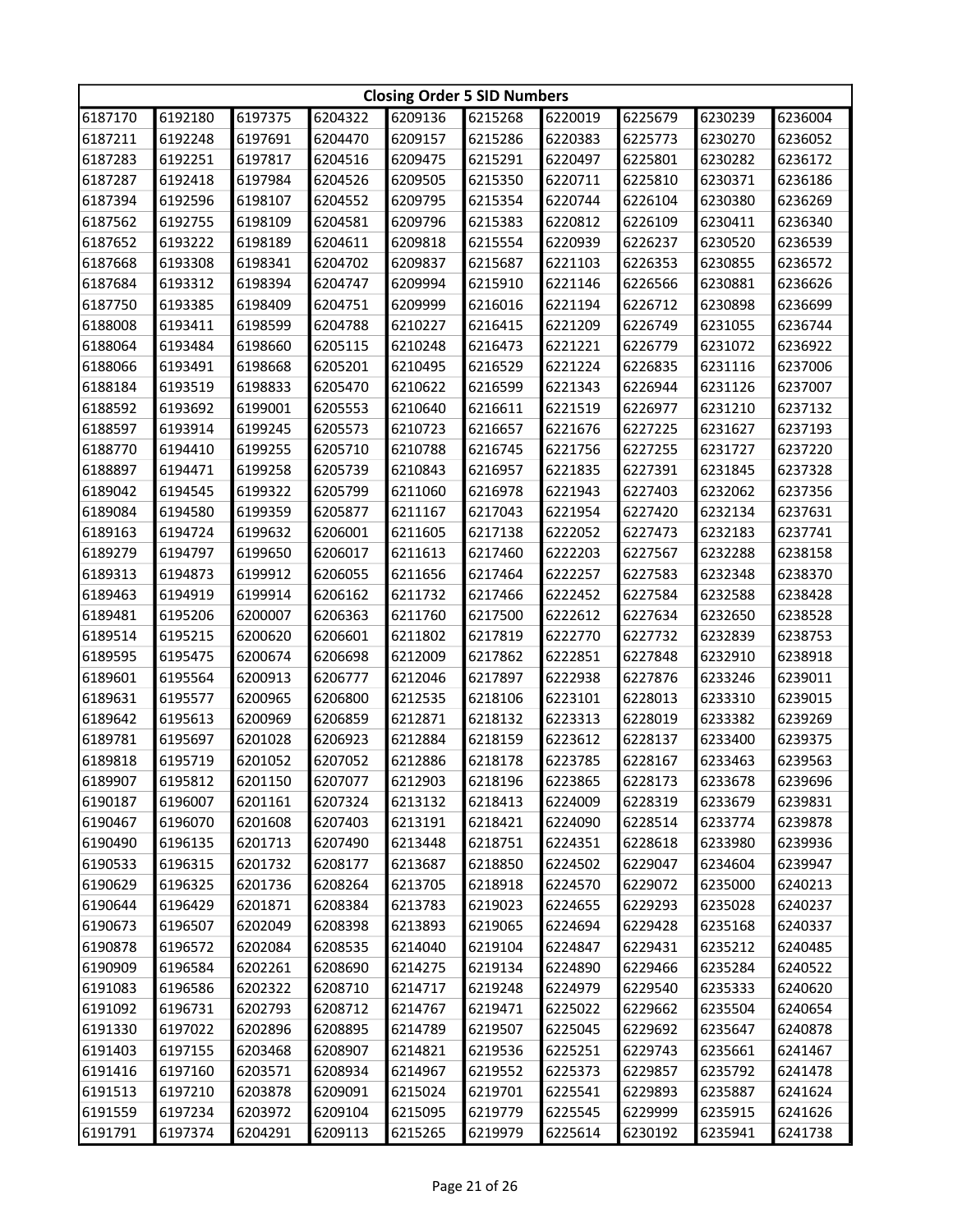|         | <b>Closing Order 5 SID Numbers</b> |         |         |         |         |         |         |         |         |  |
|---------|------------------------------------|---------|---------|---------|---------|---------|---------|---------|---------|--|
| 6187170 | 6192180                            | 6197375 | 6204322 | 6209136 | 6215268 | 6220019 | 6225679 | 6230239 | 6236004 |  |
| 6187211 | 6192248                            | 6197691 | 6204470 | 6209157 | 6215286 | 6220383 | 6225773 | 6230270 | 6236052 |  |
| 6187283 | 6192251                            | 6197817 | 6204516 | 6209475 | 6215291 | 6220497 | 6225801 | 6230282 | 6236172 |  |
| 6187287 | 6192418                            | 6197984 | 6204526 | 6209505 | 6215350 | 6220711 | 6225810 | 6230371 | 6236186 |  |
| 6187394 | 6192596                            | 6198107 | 6204552 | 6209795 | 6215354 | 6220744 | 6226104 | 6230380 | 6236269 |  |
| 6187562 | 6192755                            | 6198109 | 6204581 | 6209796 | 6215383 | 6220812 | 6226109 | 6230411 | 6236340 |  |
| 6187652 | 6193222                            | 6198189 | 6204611 | 6209818 | 6215554 | 6220939 | 6226237 | 6230520 | 6236539 |  |
| 6187668 | 6193308                            | 6198341 | 6204702 | 6209837 | 6215687 | 6221103 | 6226353 | 6230855 | 6236572 |  |
| 6187684 | 6193312                            | 6198394 | 6204747 | 6209994 | 6215910 | 6221146 | 6226566 | 6230881 | 6236626 |  |
| 6187750 | 6193385                            | 6198409 | 6204751 | 6209999 | 6216016 | 6221194 | 6226712 | 6230898 | 6236699 |  |
| 6188008 | 6193411                            | 6198599 | 6204788 | 6210227 | 6216415 | 6221209 | 6226749 | 6231055 | 6236744 |  |
| 6188064 | 6193484                            | 6198660 | 6205115 | 6210248 | 6216473 | 6221221 | 6226779 | 6231072 | 6236922 |  |
| 6188066 | 6193491                            | 6198668 | 6205201 | 6210495 | 6216529 | 6221224 | 6226835 | 6231116 | 6237006 |  |
| 6188184 | 6193519                            | 6198833 | 6205470 | 6210622 | 6216599 | 6221343 | 6226944 | 6231126 | 6237007 |  |
| 6188592 | 6193692                            | 6199001 | 6205553 | 6210640 | 6216611 | 6221519 | 6226977 | 6231210 | 6237132 |  |
| 6188597 | 6193914                            | 6199245 | 6205573 | 6210723 | 6216657 | 6221676 | 6227225 | 6231627 | 6237193 |  |
| 6188770 | 6194410                            | 6199255 | 6205710 | 6210788 | 6216745 | 6221756 | 6227255 | 6231727 | 6237220 |  |
| 6188897 | 6194471                            | 6199258 | 6205739 | 6210843 | 6216957 | 6221835 | 6227391 | 6231845 | 6237328 |  |
| 6189042 | 6194545                            | 6199322 | 6205799 | 6211060 | 6216978 | 6221943 | 6227403 | 6232062 | 6237356 |  |
| 6189084 | 6194580                            | 6199359 | 6205877 | 6211167 | 6217043 | 6221954 | 6227420 | 6232134 | 6237631 |  |
| 6189163 | 6194724                            | 6199632 | 6206001 | 6211605 | 6217138 | 6222052 | 6227473 | 6232183 | 6237741 |  |
| 6189279 | 6194797                            | 6199650 | 6206017 | 6211613 | 6217460 | 6222203 | 6227567 | 6232288 | 6238158 |  |
| 6189313 | 6194873                            | 6199912 | 6206055 | 6211656 | 6217464 | 6222257 | 6227583 | 6232348 | 6238370 |  |
| 6189463 | 6194919                            | 6199914 | 6206162 | 6211732 | 6217466 | 6222452 | 6227584 | 6232588 | 6238428 |  |
| 6189481 | 6195206                            | 6200007 | 6206363 | 6211760 | 6217500 | 6222612 | 6227634 | 6232650 | 6238528 |  |
| 6189514 | 6195215                            | 6200620 | 6206601 | 6211802 | 6217819 | 6222770 | 6227732 | 6232839 | 6238753 |  |
| 6189595 | 6195475                            | 6200674 | 6206698 | 6212009 | 6217862 | 6222851 | 6227848 | 6232910 | 6238918 |  |
| 6189601 | 6195564                            | 6200913 | 6206777 | 6212046 | 6217897 | 6222938 | 6227876 | 6233246 | 6239011 |  |
| 6189631 | 6195577                            | 6200965 | 6206800 | 6212535 | 6218106 | 6223101 | 6228013 | 6233310 | 6239015 |  |
| 6189642 | 6195613                            | 6200969 | 6206859 | 6212871 | 6218132 | 6223313 | 6228019 | 6233382 | 6239269 |  |
| 6189781 | 6195697                            | 6201028 | 6206923 | 6212884 | 6218159 | 6223612 | 6228137 | 6233400 | 6239375 |  |
| 6189818 | 6195719                            | 6201052 | 6207052 | 6212886 | 6218178 | 6223785 | 6228167 | 6233463 | 6239563 |  |
| 6189907 | 6195812                            | 6201150 | 6207077 | 6212903 | 6218196 | 6223865 | 6228173 | 6233678 | 6239696 |  |
| 6190187 | 6196007                            | 6201161 | 6207324 | 6213132 | 6218413 | 6224009 | 6228319 | 6233679 | 6239831 |  |
| 6190467 | 6196070                            | 6201608 | 6207403 | 6213191 | 6218421 | 6224090 | 6228514 | 6233774 | 6239878 |  |
| 6190490 | 6196135                            | 6201713 | 6207490 | 6213448 | 6218751 | 6224351 | 6228618 | 6233980 | 6239936 |  |
| 6190533 | 6196315                            | 6201732 | 6208177 | 6213687 | 6218850 | 6224502 | 6229047 | 6234604 | 6239947 |  |
| 6190629 | 6196325                            | 6201736 | 6208264 | 6213705 | 6218918 | 6224570 | 6229072 | 6235000 | 6240213 |  |
| 6190644 | 6196429                            | 6201871 | 6208384 | 6213783 | 6219023 | 6224655 | 6229293 | 6235028 | 6240237 |  |
| 6190673 | 6196507                            | 6202049 | 6208398 | 6213893 | 6219065 | 6224694 | 6229428 | 6235168 | 6240337 |  |
| 6190878 | 6196572                            | 6202084 | 6208535 | 6214040 | 6219104 | 6224847 | 6229431 | 6235212 | 6240485 |  |
| 6190909 | 6196584                            | 6202261 | 6208690 | 6214275 | 6219134 | 6224890 | 6229466 | 6235284 | 6240522 |  |
| 6191083 | 6196586                            | 6202322 | 6208710 | 6214717 | 6219248 | 6224979 | 6229540 | 6235333 | 6240620 |  |
| 6191092 | 6196731                            | 6202793 | 6208712 | 6214767 | 6219471 | 6225022 | 6229662 | 6235504 | 6240654 |  |
| 6191330 | 6197022                            |         |         |         |         | 6225045 |         | 6235647 |         |  |
|         |                                    | 6202896 | 6208895 | 6214789 | 6219507 |         | 6229692 |         | 6240878 |  |
| 6191403 | 6197155                            | 6203468 | 6208907 | 6214821 | 6219536 | 6225251 | 6229743 | 6235661 | 6241467 |  |
| 6191416 | 6197160                            | 6203571 | 6208934 | 6214967 | 6219552 | 6225373 | 6229857 | 6235792 | 6241478 |  |
| 6191513 | 6197210                            | 6203878 | 6209091 | 6215024 | 6219701 | 6225541 | 6229893 | 6235887 | 6241624 |  |
| 6191559 | 6197234                            | 6203972 | 6209104 | 6215095 | 6219779 | 6225545 | 6229999 | 6235915 | 6241626 |  |
| 6191791 | 6197374                            | 6204291 | 6209113 | 6215265 | 6219979 | 6225614 | 6230192 | 6235941 | 6241738 |  |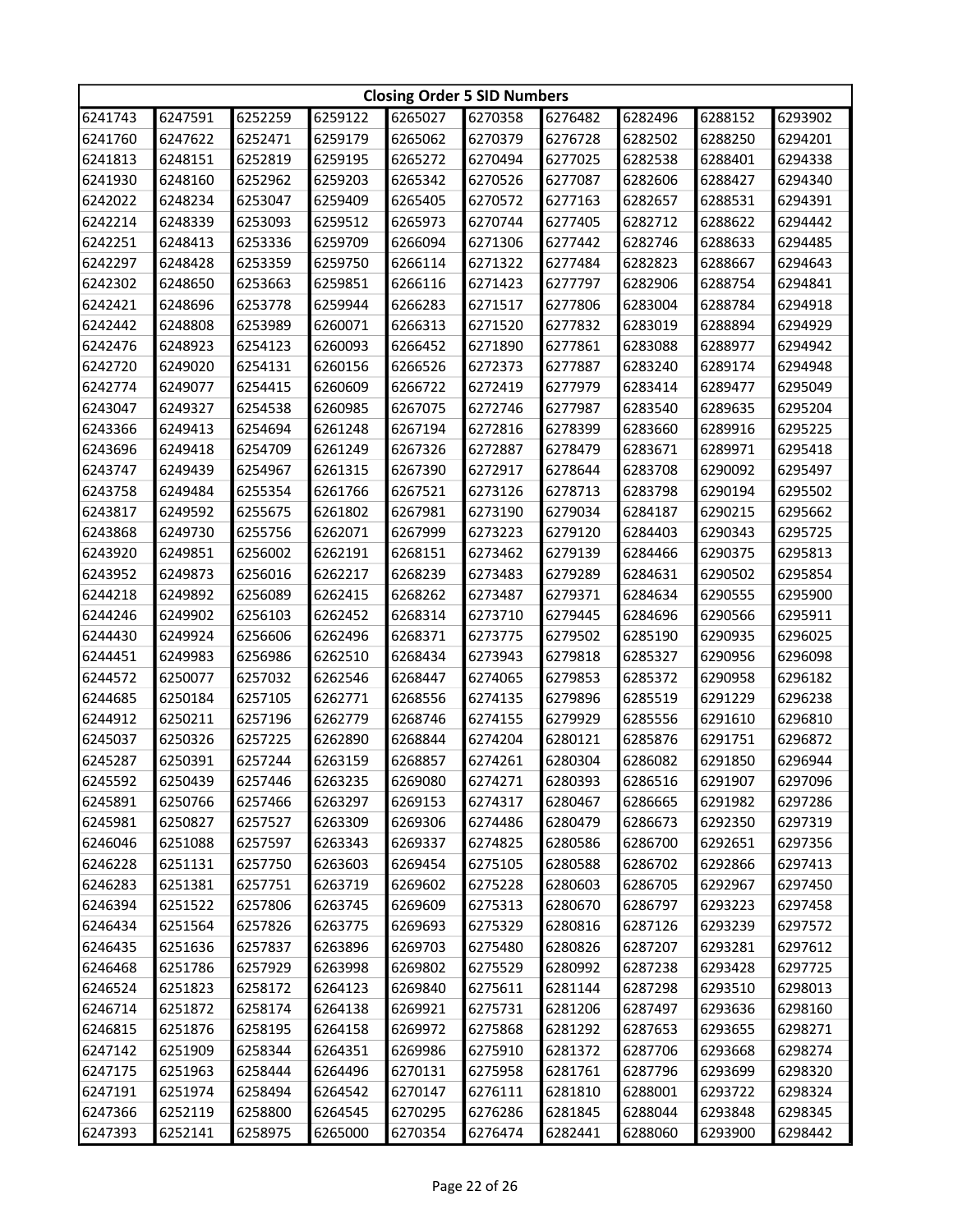|         | <b>Closing Order 5 SID Numbers</b> |         |         |         |         |         |         |         |         |  |
|---------|------------------------------------|---------|---------|---------|---------|---------|---------|---------|---------|--|
| 6241743 | 6247591                            | 6252259 | 6259122 | 6265027 | 6270358 | 6276482 | 6282496 | 6288152 | 6293902 |  |
| 6241760 | 6247622                            | 6252471 | 6259179 | 6265062 | 6270379 | 6276728 | 6282502 | 6288250 | 6294201 |  |
| 6241813 | 6248151                            | 6252819 | 6259195 | 6265272 | 6270494 | 6277025 | 6282538 | 6288401 | 6294338 |  |
| 6241930 | 6248160                            | 6252962 | 6259203 | 6265342 | 6270526 | 6277087 | 6282606 | 6288427 | 6294340 |  |
| 6242022 | 6248234                            | 6253047 | 6259409 | 6265405 | 6270572 | 6277163 | 6282657 | 6288531 | 6294391 |  |
| 6242214 | 6248339                            | 6253093 | 6259512 | 6265973 | 6270744 | 6277405 | 6282712 | 6288622 | 6294442 |  |
| 6242251 | 6248413                            | 6253336 | 6259709 | 6266094 | 6271306 | 6277442 | 6282746 | 6288633 | 6294485 |  |
| 6242297 | 6248428                            | 6253359 | 6259750 | 6266114 | 6271322 | 6277484 | 6282823 | 6288667 | 6294643 |  |
| 6242302 | 6248650                            | 6253663 | 6259851 | 6266116 | 6271423 | 6277797 | 6282906 | 6288754 | 6294841 |  |
| 6242421 | 6248696                            | 6253778 | 6259944 | 6266283 | 6271517 | 6277806 | 6283004 | 6288784 | 6294918 |  |
| 6242442 | 6248808                            | 6253989 | 6260071 | 6266313 | 6271520 | 6277832 | 6283019 | 6288894 | 6294929 |  |
| 6242476 | 6248923                            | 6254123 | 6260093 | 6266452 | 6271890 | 6277861 | 6283088 | 6288977 | 6294942 |  |
| 6242720 | 6249020                            | 6254131 | 6260156 | 6266526 | 6272373 | 6277887 | 6283240 | 6289174 | 6294948 |  |
| 6242774 | 6249077                            | 6254415 | 6260609 | 6266722 | 6272419 | 6277979 | 6283414 | 6289477 | 6295049 |  |
| 6243047 | 6249327                            | 6254538 | 6260985 | 6267075 | 6272746 | 6277987 | 6283540 | 6289635 | 6295204 |  |
| 6243366 | 6249413                            | 6254694 | 6261248 | 6267194 | 6272816 | 6278399 | 6283660 | 6289916 | 6295225 |  |
| 6243696 | 6249418                            | 6254709 | 6261249 | 6267326 | 6272887 | 6278479 | 6283671 | 6289971 | 6295418 |  |
| 6243747 | 6249439                            | 6254967 | 6261315 | 6267390 | 6272917 | 6278644 | 6283708 | 6290092 | 6295497 |  |
| 6243758 | 6249484                            | 6255354 | 6261766 | 6267521 | 6273126 | 6278713 | 6283798 | 6290194 | 6295502 |  |
| 6243817 | 6249592                            | 6255675 | 6261802 | 6267981 | 6273190 | 6279034 | 6284187 | 6290215 | 6295662 |  |
| 6243868 | 6249730                            | 6255756 | 6262071 | 6267999 | 6273223 | 6279120 | 6284403 | 6290343 | 6295725 |  |
| 6243920 | 6249851                            | 6256002 | 6262191 | 6268151 | 6273462 | 6279139 | 6284466 | 6290375 | 6295813 |  |
| 6243952 | 6249873                            | 6256016 | 6262217 | 6268239 | 6273483 | 6279289 | 6284631 | 6290502 | 6295854 |  |
| 6244218 | 6249892                            | 6256089 | 6262415 | 6268262 | 6273487 | 6279371 | 6284634 | 6290555 | 6295900 |  |
| 6244246 | 6249902                            | 6256103 | 6262452 | 6268314 | 6273710 | 6279445 | 6284696 | 6290566 | 6295911 |  |
| 6244430 | 6249924                            | 6256606 | 6262496 | 6268371 | 6273775 | 6279502 | 6285190 | 6290935 | 6296025 |  |
| 6244451 | 6249983                            | 6256986 | 6262510 | 6268434 | 6273943 | 6279818 | 6285327 | 6290956 | 6296098 |  |
| 6244572 | 6250077                            | 6257032 | 6262546 | 6268447 | 6274065 | 6279853 | 6285372 | 6290958 | 6296182 |  |
| 6244685 | 6250184                            | 6257105 | 6262771 | 6268556 | 6274135 | 6279896 | 6285519 | 6291229 | 6296238 |  |
| 6244912 | 6250211                            | 6257196 | 6262779 | 6268746 | 6274155 | 6279929 | 6285556 | 6291610 | 6296810 |  |
| 6245037 | 6250326                            | 6257225 | 6262890 | 6268844 | 6274204 | 6280121 | 6285876 | 6291751 | 6296872 |  |
| 6245287 | 6250391                            | 6257244 | 6263159 | 6268857 | 6274261 | 6280304 | 6286082 | 6291850 | 6296944 |  |
| 6245592 | 6250439                            | 6257446 | 6263235 | 6269080 | 6274271 | 6280393 | 6286516 | 6291907 | 6297096 |  |
| 6245891 | 6250766                            | 6257466 | 6263297 | 6269153 | 6274317 | 6280467 | 6286665 | 6291982 | 6297286 |  |
| 6245981 | 6250827                            | 6257527 | 6263309 | 6269306 | 6274486 | 6280479 | 6286673 | 6292350 | 6297319 |  |
| 6246046 | 6251088                            | 6257597 | 6263343 | 6269337 | 6274825 | 6280586 | 6286700 | 6292651 | 6297356 |  |
| 6246228 | 6251131                            | 6257750 | 6263603 | 6269454 | 6275105 | 6280588 | 6286702 | 6292866 | 6297413 |  |
| 6246283 | 6251381                            | 6257751 | 6263719 | 6269602 | 6275228 | 6280603 | 6286705 | 6292967 | 6297450 |  |
| 6246394 | 6251522                            | 6257806 | 6263745 | 6269609 | 6275313 | 6280670 | 6286797 | 6293223 | 6297458 |  |
| 6246434 | 6251564                            | 6257826 | 6263775 | 6269693 | 6275329 | 6280816 | 6287126 | 6293239 | 6297572 |  |
| 6246435 | 6251636                            | 6257837 | 6263896 | 6269703 | 6275480 | 6280826 | 6287207 | 6293281 | 6297612 |  |
| 6246468 | 6251786                            | 6257929 | 6263998 | 6269802 | 6275529 | 6280992 | 6287238 | 6293428 | 6297725 |  |
| 6246524 | 6251823                            | 6258172 | 6264123 | 6269840 | 6275611 | 6281144 | 6287298 | 6293510 | 6298013 |  |
| 6246714 | 6251872                            | 6258174 | 6264138 | 6269921 | 6275731 | 6281206 | 6287497 | 6293636 | 6298160 |  |
| 6246815 | 6251876                            | 6258195 | 6264158 | 6269972 | 6275868 | 6281292 | 6287653 | 6293655 | 6298271 |  |
| 6247142 | 6251909                            | 6258344 | 6264351 | 6269986 | 6275910 | 6281372 | 6287706 | 6293668 | 6298274 |  |
| 6247175 | 6251963                            | 6258444 | 6264496 | 6270131 | 6275958 | 6281761 | 6287796 | 6293699 | 6298320 |  |
| 6247191 | 6251974                            | 6258494 | 6264542 | 6270147 | 6276111 | 6281810 | 6288001 | 6293722 | 6298324 |  |
| 6247366 | 6252119                            | 6258800 | 6264545 | 6270295 | 6276286 | 6281845 | 6288044 | 6293848 | 6298345 |  |
| 6247393 | 6252141                            | 6258975 | 6265000 | 6270354 | 6276474 | 6282441 | 6288060 | 6293900 | 6298442 |  |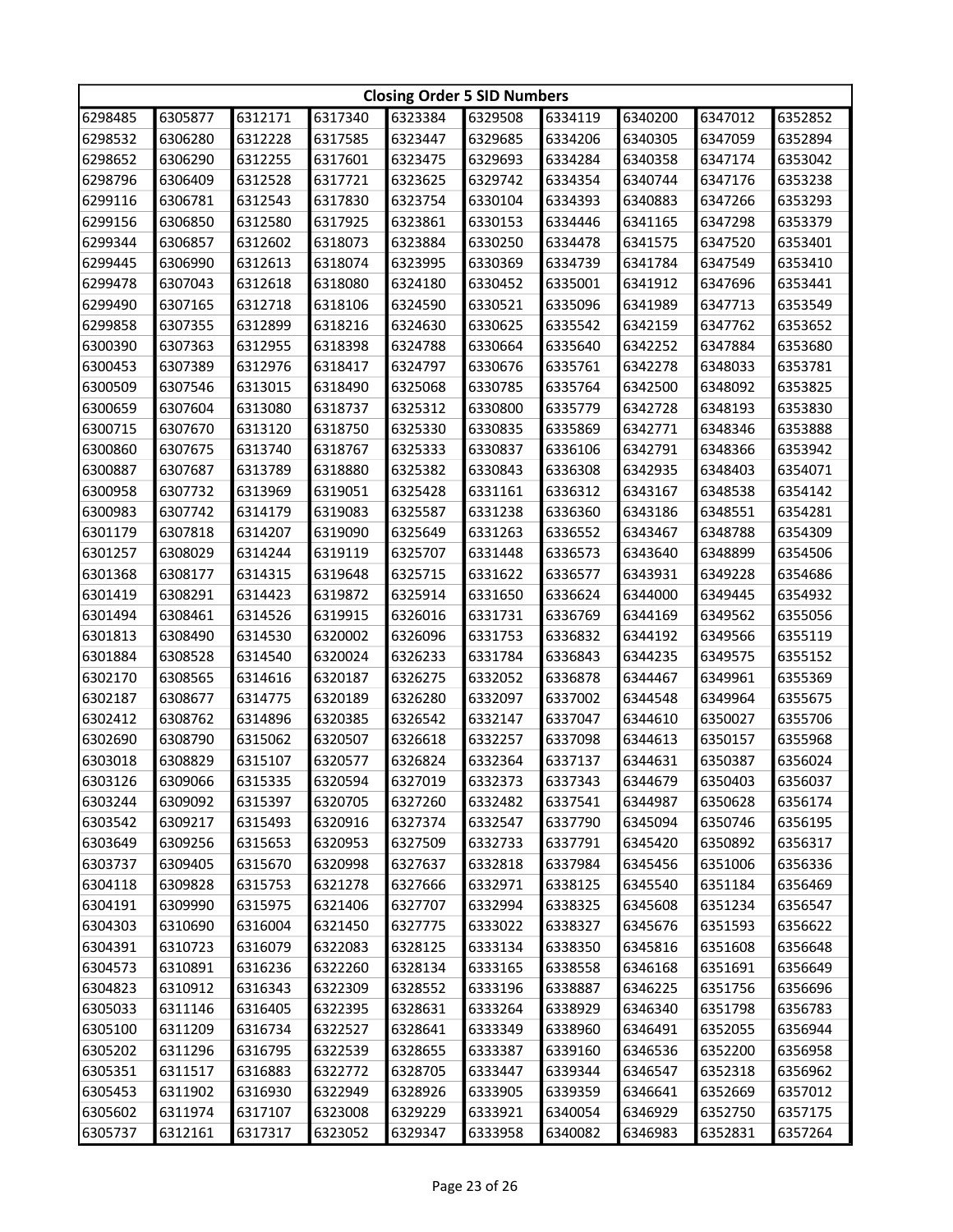|         | <b>Closing Order 5 SID Numbers</b> |         |         |         |         |         |         |         |         |  |
|---------|------------------------------------|---------|---------|---------|---------|---------|---------|---------|---------|--|
| 6298485 | 6305877                            | 6312171 | 6317340 | 6323384 | 6329508 | 6334119 | 6340200 | 6347012 | 6352852 |  |
| 6298532 | 6306280                            | 6312228 | 6317585 | 6323447 | 6329685 | 6334206 | 6340305 | 6347059 | 6352894 |  |
| 6298652 | 6306290                            | 6312255 | 6317601 | 6323475 | 6329693 | 6334284 | 6340358 | 6347174 | 6353042 |  |
| 6298796 | 6306409                            | 6312528 | 6317721 | 6323625 | 6329742 | 6334354 | 6340744 | 6347176 | 6353238 |  |
| 6299116 | 6306781                            | 6312543 | 6317830 | 6323754 | 6330104 | 6334393 | 6340883 | 6347266 | 6353293 |  |
| 6299156 | 6306850                            | 6312580 | 6317925 | 6323861 | 6330153 | 6334446 | 6341165 | 6347298 | 6353379 |  |
| 6299344 | 6306857                            | 6312602 | 6318073 | 6323884 | 6330250 | 6334478 | 6341575 | 6347520 | 6353401 |  |
| 6299445 | 6306990                            | 6312613 | 6318074 | 6323995 | 6330369 | 6334739 | 6341784 | 6347549 | 6353410 |  |
| 6299478 | 6307043                            | 6312618 | 6318080 | 6324180 | 6330452 | 6335001 | 6341912 | 6347696 | 6353441 |  |
| 6299490 | 6307165                            | 6312718 | 6318106 | 6324590 | 6330521 | 6335096 | 6341989 | 6347713 | 6353549 |  |
| 6299858 | 6307355                            | 6312899 | 6318216 | 6324630 | 6330625 | 6335542 | 6342159 | 6347762 | 6353652 |  |
| 6300390 | 6307363                            | 6312955 | 6318398 | 6324788 | 6330664 | 6335640 | 6342252 | 6347884 | 6353680 |  |
| 6300453 | 6307389                            | 6312976 | 6318417 | 6324797 | 6330676 | 6335761 | 6342278 | 6348033 | 6353781 |  |
| 6300509 | 6307546                            | 6313015 | 6318490 | 6325068 | 6330785 | 6335764 | 6342500 | 6348092 | 6353825 |  |
| 6300659 | 6307604                            | 6313080 | 6318737 | 6325312 | 6330800 | 6335779 | 6342728 | 6348193 | 6353830 |  |
| 6300715 | 6307670                            | 6313120 | 6318750 | 6325330 | 6330835 | 6335869 | 6342771 | 6348346 | 6353888 |  |
| 6300860 | 6307675                            | 6313740 | 6318767 | 6325333 | 6330837 | 6336106 | 6342791 | 6348366 | 6353942 |  |
| 6300887 | 6307687                            | 6313789 | 6318880 | 6325382 | 6330843 | 6336308 | 6342935 | 6348403 | 6354071 |  |
| 6300958 | 6307732                            | 6313969 | 6319051 | 6325428 | 6331161 | 6336312 | 6343167 | 6348538 | 6354142 |  |
| 6300983 | 6307742                            | 6314179 | 6319083 | 6325587 | 6331238 | 6336360 | 6343186 | 6348551 | 6354281 |  |
| 6301179 | 6307818                            | 6314207 | 6319090 | 6325649 | 6331263 | 6336552 | 6343467 | 6348788 | 6354309 |  |
| 6301257 | 6308029                            | 6314244 | 6319119 | 6325707 | 6331448 | 6336573 | 6343640 | 6348899 | 6354506 |  |
| 6301368 | 6308177                            | 6314315 | 6319648 | 6325715 | 6331622 | 6336577 | 6343931 | 6349228 | 6354686 |  |
| 6301419 | 6308291                            | 6314423 | 6319872 | 6325914 | 6331650 | 6336624 | 6344000 | 6349445 | 6354932 |  |
| 6301494 | 6308461                            | 6314526 | 6319915 | 6326016 | 6331731 | 6336769 | 6344169 | 6349562 | 6355056 |  |
| 6301813 | 6308490                            | 6314530 | 6320002 | 6326096 | 6331753 | 6336832 | 6344192 | 6349566 | 6355119 |  |
| 6301884 | 6308528                            | 6314540 | 6320024 | 6326233 | 6331784 | 6336843 | 6344235 | 6349575 | 6355152 |  |
| 6302170 | 6308565                            | 6314616 | 6320187 | 6326275 | 6332052 | 6336878 | 6344467 | 6349961 | 6355369 |  |
| 6302187 | 6308677                            | 6314775 | 6320189 | 6326280 | 6332097 | 6337002 | 6344548 | 6349964 | 6355675 |  |
| 6302412 | 6308762                            | 6314896 | 6320385 | 6326542 | 6332147 | 6337047 | 6344610 | 6350027 | 6355706 |  |
| 6302690 | 6308790                            | 6315062 | 6320507 | 6326618 | 6332257 | 6337098 | 6344613 | 6350157 | 6355968 |  |
| 6303018 | 6308829                            | 6315107 | 6320577 | 6326824 | 6332364 | 6337137 | 6344631 | 6350387 | 6356024 |  |
| 6303126 | 6309066                            | 6315335 | 6320594 | 6327019 | 6332373 | 6337343 | 6344679 | 6350403 | 6356037 |  |
| 6303244 | 6309092                            | 6315397 | 6320705 | 6327260 | 6332482 | 6337541 | 6344987 | 6350628 | 6356174 |  |
| 6303542 | 6309217                            | 6315493 | 6320916 | 6327374 | 6332547 | 6337790 | 6345094 | 6350746 | 6356195 |  |
| 6303649 | 6309256                            | 6315653 | 6320953 | 6327509 | 6332733 | 6337791 | 6345420 | 6350892 | 6356317 |  |
| 6303737 | 6309405                            | 6315670 | 6320998 | 6327637 | 6332818 | 6337984 | 6345456 | 6351006 | 6356336 |  |
| 6304118 | 6309828                            | 6315753 | 6321278 | 6327666 | 6332971 | 6338125 | 6345540 | 6351184 | 6356469 |  |
| 6304191 | 6309990                            | 6315975 | 6321406 | 6327707 | 6332994 | 6338325 | 6345608 | 6351234 | 6356547 |  |
| 6304303 | 6310690                            | 6316004 | 6321450 | 6327775 | 6333022 | 6338327 | 6345676 | 6351593 | 6356622 |  |
| 6304391 | 6310723                            | 6316079 | 6322083 | 6328125 | 6333134 | 6338350 | 6345816 | 6351608 | 6356648 |  |
| 6304573 | 6310891                            | 6316236 | 6322260 | 6328134 | 6333165 | 6338558 | 6346168 | 6351691 | 6356649 |  |
| 6304823 | 6310912                            | 6316343 | 6322309 | 6328552 | 6333196 | 6338887 | 6346225 | 6351756 | 6356696 |  |
| 6305033 | 6311146                            | 6316405 | 6322395 | 6328631 | 6333264 | 6338929 | 6346340 | 6351798 | 6356783 |  |
| 6305100 | 6311209                            | 6316734 | 6322527 | 6328641 | 6333349 | 6338960 | 6346491 | 6352055 | 6356944 |  |
| 6305202 | 6311296                            | 6316795 | 6322539 | 6328655 | 6333387 | 6339160 | 6346536 | 6352200 | 6356958 |  |
| 6305351 | 6311517                            | 6316883 | 6322772 | 6328705 | 6333447 | 6339344 | 6346547 | 6352318 | 6356962 |  |
| 6305453 | 6311902                            | 6316930 | 6322949 | 6328926 | 6333905 | 6339359 | 6346641 | 6352669 | 6357012 |  |
| 6305602 | 6311974                            | 6317107 | 6323008 | 6329229 | 6333921 | 6340054 | 6346929 | 6352750 | 6357175 |  |
| 6305737 | 6312161                            | 6317317 | 6323052 | 6329347 | 6333958 | 6340082 | 6346983 | 6352831 | 6357264 |  |
|         |                                    |         |         |         |         |         |         |         |         |  |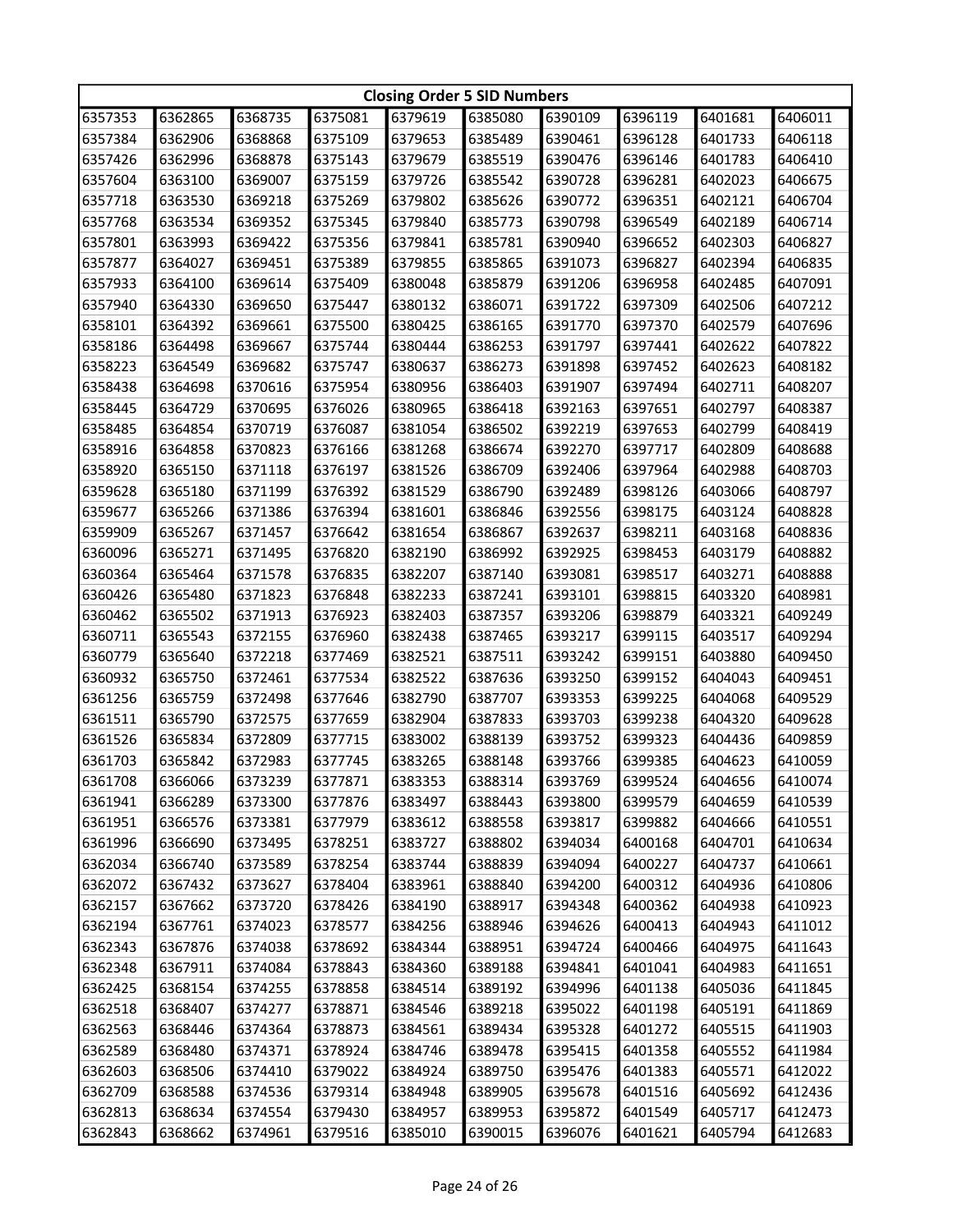|         | <b>Closing Order 5 SID Numbers</b> |         |         |         |         |         |         |         |         |  |
|---------|------------------------------------|---------|---------|---------|---------|---------|---------|---------|---------|--|
| 6357353 | 6362865                            | 6368735 | 6375081 | 6379619 | 6385080 | 6390109 | 6396119 | 6401681 | 6406011 |  |
| 6357384 | 6362906                            | 6368868 | 6375109 | 6379653 | 6385489 | 6390461 | 6396128 | 6401733 | 6406118 |  |
| 6357426 | 6362996                            | 6368878 | 6375143 | 6379679 | 6385519 | 6390476 | 6396146 | 6401783 | 6406410 |  |
| 6357604 | 6363100                            | 6369007 | 6375159 | 6379726 | 6385542 | 6390728 | 6396281 | 6402023 | 6406675 |  |
| 6357718 | 6363530                            | 6369218 | 6375269 | 6379802 | 6385626 | 6390772 | 6396351 | 6402121 | 6406704 |  |
| 6357768 | 6363534                            | 6369352 | 6375345 | 6379840 | 6385773 | 6390798 | 6396549 | 6402189 | 6406714 |  |
| 6357801 | 6363993                            | 6369422 | 6375356 | 6379841 | 6385781 | 6390940 | 6396652 | 6402303 | 6406827 |  |
| 6357877 | 6364027                            | 6369451 | 6375389 | 6379855 | 6385865 | 6391073 | 6396827 | 6402394 | 6406835 |  |
| 6357933 | 6364100                            | 6369614 | 6375409 | 6380048 | 6385879 | 6391206 | 6396958 | 6402485 | 6407091 |  |
| 6357940 | 6364330                            | 6369650 | 6375447 | 6380132 | 6386071 | 6391722 | 6397309 | 6402506 | 6407212 |  |
| 6358101 | 6364392                            | 6369661 | 6375500 | 6380425 | 6386165 | 6391770 | 6397370 | 6402579 | 6407696 |  |
| 6358186 | 6364498                            | 6369667 | 6375744 | 6380444 | 6386253 | 6391797 | 6397441 | 6402622 | 6407822 |  |
| 6358223 | 6364549                            | 6369682 | 6375747 | 6380637 | 6386273 | 6391898 | 6397452 | 6402623 | 6408182 |  |
| 6358438 | 6364698                            | 6370616 | 6375954 | 6380956 | 6386403 | 6391907 | 6397494 | 6402711 | 6408207 |  |
| 6358445 | 6364729                            | 6370695 | 6376026 | 6380965 | 6386418 | 6392163 | 6397651 | 6402797 | 6408387 |  |
| 6358485 | 6364854                            | 6370719 | 6376087 | 6381054 | 6386502 | 6392219 | 6397653 | 6402799 | 6408419 |  |
| 6358916 | 6364858                            | 6370823 | 6376166 | 6381268 | 6386674 | 6392270 | 6397717 | 6402809 | 6408688 |  |
| 6358920 | 6365150                            | 6371118 | 6376197 | 6381526 | 6386709 | 6392406 | 6397964 | 6402988 | 6408703 |  |
| 6359628 | 6365180                            | 6371199 | 6376392 | 6381529 | 6386790 | 6392489 | 6398126 | 6403066 | 6408797 |  |
| 6359677 | 6365266                            | 6371386 | 6376394 | 6381601 | 6386846 | 6392556 | 6398175 | 6403124 | 6408828 |  |
| 6359909 | 6365267                            | 6371457 | 6376642 | 6381654 | 6386867 | 6392637 | 6398211 | 6403168 | 6408836 |  |
| 6360096 | 6365271                            | 6371495 | 6376820 | 6382190 | 6386992 | 6392925 | 6398453 | 6403179 | 6408882 |  |
| 6360364 | 6365464                            | 6371578 | 6376835 | 6382207 | 6387140 | 6393081 | 6398517 | 6403271 | 6408888 |  |
| 6360426 | 6365480                            | 6371823 | 6376848 | 6382233 | 6387241 | 6393101 | 6398815 | 6403320 | 6408981 |  |
| 6360462 | 6365502                            | 6371913 | 6376923 | 6382403 | 6387357 | 6393206 | 6398879 | 6403321 | 6409249 |  |
| 6360711 | 6365543                            | 6372155 | 6376960 | 6382438 | 6387465 | 6393217 | 6399115 | 6403517 | 6409294 |  |
| 6360779 | 6365640                            | 6372218 | 6377469 | 6382521 | 6387511 | 6393242 | 6399151 | 6403880 | 6409450 |  |
| 6360932 | 6365750                            | 6372461 | 6377534 | 6382522 | 6387636 | 6393250 | 6399152 | 6404043 | 6409451 |  |
| 6361256 | 6365759                            | 6372498 | 6377646 | 6382790 | 6387707 | 6393353 | 6399225 | 6404068 | 6409529 |  |
| 6361511 | 6365790                            | 6372575 | 6377659 | 6382904 | 6387833 | 6393703 | 6399238 | 6404320 | 6409628 |  |
| 6361526 | 6365834                            | 6372809 | 6377715 | 6383002 | 6388139 | 6393752 | 6399323 | 6404436 | 6409859 |  |
| 6361703 | 6365842                            | 6372983 | 6377745 | 6383265 | 6388148 | 6393766 | 6399385 | 6404623 | 6410059 |  |
| 6361708 | 6366066                            | 6373239 | 6377871 | 6383353 | 6388314 | 6393769 | 6399524 | 6404656 | 6410074 |  |
| 6361941 | 6366289                            | 6373300 | 6377876 | 6383497 | 6388443 | 6393800 | 6399579 | 6404659 | 6410539 |  |
| 6361951 | 6366576                            | 6373381 | 6377979 | 6383612 | 6388558 | 6393817 | 6399882 | 6404666 | 6410551 |  |
| 6361996 | 6366690                            | 6373495 | 6378251 | 6383727 | 6388802 | 6394034 | 6400168 | 6404701 | 6410634 |  |
| 6362034 | 6366740                            | 6373589 | 6378254 | 6383744 | 6388839 | 6394094 | 6400227 | 6404737 | 6410661 |  |
| 6362072 | 6367432                            | 6373627 | 6378404 | 6383961 | 6388840 | 6394200 | 6400312 | 6404936 | 6410806 |  |
| 6362157 | 6367662                            | 6373720 | 6378426 | 6384190 | 6388917 | 6394348 | 6400362 | 6404938 | 6410923 |  |
| 6362194 | 6367761                            | 6374023 | 6378577 | 6384256 | 6388946 | 6394626 | 6400413 | 6404943 | 6411012 |  |
| 6362343 | 6367876                            | 6374038 | 6378692 | 6384344 | 6388951 | 6394724 | 6400466 | 6404975 | 6411643 |  |
| 6362348 | 6367911                            | 6374084 | 6378843 | 6384360 | 6389188 | 6394841 | 6401041 | 6404983 | 6411651 |  |
| 6362425 | 6368154                            | 6374255 | 6378858 | 6384514 | 6389192 | 6394996 | 6401138 | 6405036 | 6411845 |  |
| 6362518 | 6368407                            | 6374277 | 6378871 | 6384546 | 6389218 | 6395022 | 6401198 | 6405191 | 6411869 |  |
| 6362563 | 6368446                            | 6374364 | 6378873 | 6384561 | 6389434 | 6395328 | 6401272 | 6405515 | 6411903 |  |
| 6362589 | 6368480                            | 6374371 | 6378924 | 6384746 | 6389478 | 6395415 | 6401358 | 6405552 | 6411984 |  |
| 6362603 | 6368506                            | 6374410 | 6379022 | 6384924 | 6389750 | 6395476 | 6401383 | 6405571 | 6412022 |  |
| 6362709 | 6368588                            | 6374536 | 6379314 | 6384948 | 6389905 | 6395678 | 6401516 | 6405692 | 6412436 |  |
| 6362813 | 6368634                            | 6374554 | 6379430 | 6384957 | 6389953 | 6395872 | 6401549 | 6405717 | 6412473 |  |
| 6362843 | 6368662                            | 6374961 | 6379516 | 6385010 | 6390015 | 6396076 | 6401621 | 6405794 | 6412683 |  |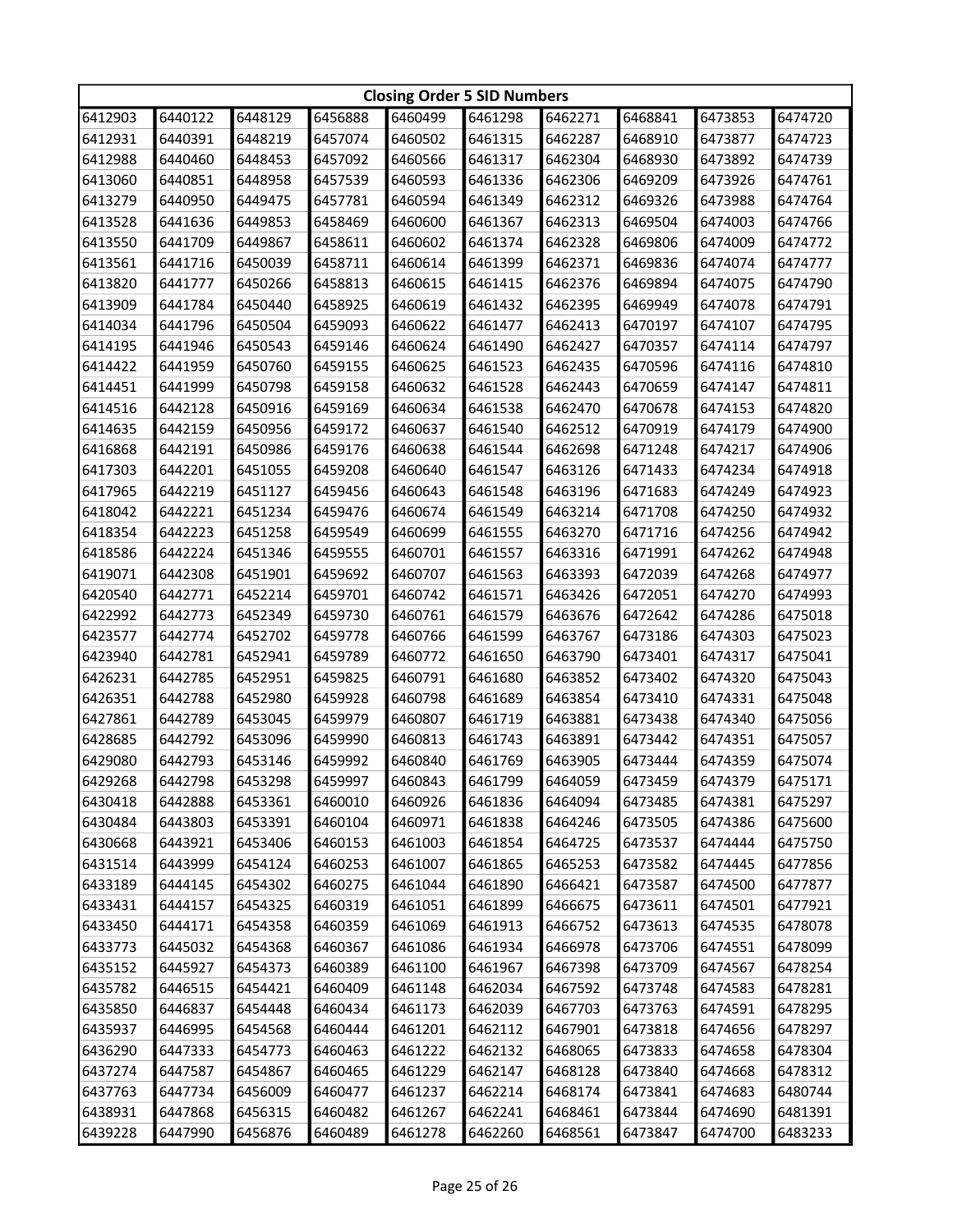| <b>Closing Order 5 SID Numbers</b> |         |         |         |         |         |         |         |         |         |  |
|------------------------------------|---------|---------|---------|---------|---------|---------|---------|---------|---------|--|
| 6412903                            | 6440122 | 6448129 | 6456888 | 6460499 | 6461298 | 6462271 | 6468841 | 6473853 | 6474720 |  |
| 6412931                            | 6440391 | 6448219 | 6457074 | 6460502 | 6461315 | 6462287 | 6468910 | 6473877 | 6474723 |  |
| 6412988                            | 6440460 | 6448453 | 6457092 | 6460566 | 6461317 | 6462304 | 6468930 | 6473892 | 6474739 |  |
| 6413060                            | 6440851 | 6448958 | 6457539 | 6460593 | 6461336 | 6462306 | 6469209 | 6473926 | 6474761 |  |
| 6413279                            | 6440950 | 6449475 | 6457781 | 6460594 | 6461349 | 6462312 | 6469326 | 6473988 | 6474764 |  |
| 6413528                            | 6441636 | 6449853 | 6458469 | 6460600 | 6461367 | 6462313 | 6469504 | 6474003 | 6474766 |  |
| 6413550                            | 6441709 | 6449867 | 6458611 | 6460602 | 6461374 | 6462328 | 6469806 | 6474009 | 6474772 |  |
| 6413561                            | 6441716 | 6450039 | 6458711 | 6460614 | 6461399 | 6462371 | 6469836 | 6474074 | 6474777 |  |
| 6413820                            | 6441777 | 6450266 | 6458813 | 6460615 | 6461415 | 6462376 | 6469894 | 6474075 | 6474790 |  |
| 6413909                            | 6441784 | 6450440 | 6458925 | 6460619 | 6461432 | 6462395 | 6469949 | 6474078 | 6474791 |  |
| 6414034                            | 6441796 | 6450504 | 6459093 | 6460622 | 6461477 | 6462413 | 6470197 | 6474107 | 6474795 |  |
| 6414195                            | 6441946 | 6450543 | 6459146 | 6460624 | 6461490 | 6462427 | 6470357 | 6474114 | 6474797 |  |
| 6414422                            | 6441959 | 6450760 | 6459155 | 6460625 | 6461523 | 6462435 | 6470596 | 6474116 | 6474810 |  |
| 6414451                            | 6441999 | 6450798 | 6459158 | 6460632 | 6461528 | 6462443 | 6470659 | 6474147 | 6474811 |  |
| 6414516                            | 6442128 | 6450916 | 6459169 | 6460634 | 6461538 | 6462470 | 6470678 | 6474153 | 6474820 |  |
| 6414635                            | 6442159 | 6450956 | 6459172 | 6460637 | 6461540 | 6462512 | 6470919 | 6474179 | 6474900 |  |
| 6416868                            | 6442191 | 6450986 | 6459176 | 6460638 | 6461544 | 6462698 | 6471248 | 6474217 | 6474906 |  |
| 6417303                            | 6442201 | 6451055 | 6459208 | 6460640 | 6461547 | 6463126 | 6471433 | 6474234 | 6474918 |  |
| 6417965                            | 6442219 | 6451127 | 6459456 | 6460643 | 6461548 | 6463196 | 6471683 | 6474249 | 6474923 |  |
| 6418042                            | 6442221 | 6451234 | 6459476 | 6460674 | 6461549 | 6463214 | 6471708 | 6474250 | 6474932 |  |
| 6418354                            | 6442223 | 6451258 | 6459549 | 6460699 | 6461555 | 6463270 | 6471716 | 6474256 | 6474942 |  |
| 6418586                            | 6442224 | 6451346 | 6459555 | 6460701 | 6461557 | 6463316 | 6471991 | 6474262 | 6474948 |  |
| 6419071                            | 6442308 | 6451901 | 6459692 | 6460707 | 6461563 | 6463393 | 6472039 | 6474268 | 6474977 |  |
| 6420540                            | 6442771 | 6452214 | 6459701 | 6460742 | 6461571 | 6463426 | 6472051 | 6474270 | 6474993 |  |
| 6422992                            | 6442773 | 6452349 | 6459730 | 6460761 | 6461579 | 6463676 | 6472642 | 6474286 | 6475018 |  |
| 6423577                            | 6442774 | 6452702 | 6459778 | 6460766 | 6461599 | 6463767 | 6473186 | 6474303 | 6475023 |  |
| 6423940                            | 6442781 | 6452941 | 6459789 | 6460772 | 6461650 | 6463790 | 6473401 | 6474317 | 6475041 |  |
| 6426231                            | 6442785 | 6452951 | 6459825 | 6460791 | 6461680 | 6463852 | 6473402 | 6474320 | 6475043 |  |
| 6426351                            | 6442788 | 6452980 | 6459928 | 6460798 | 6461689 | 6463854 | 6473410 | 6474331 | 6475048 |  |
| 6427861                            | 6442789 | 6453045 | 6459979 | 6460807 | 6461719 | 6463881 | 6473438 | 6474340 | 6475056 |  |
| 6428685                            | 6442792 | 6453096 | 6459990 | 6460813 | 6461743 | 6463891 | 6473442 | 6474351 | 6475057 |  |
| 6429080                            | 6442793 | 6453146 | 6459992 | 6460840 | 6461769 | 6463905 | 6473444 | 6474359 | 6475074 |  |
| 6429268                            | 6442798 | 6453298 | 6459997 | 6460843 | 6461799 | 6464059 | 6473459 | 6474379 | 6475171 |  |
| 6430418                            | 6442888 | 6453361 | 6460010 | 6460926 | 6461836 | 6464094 | 6473485 | 6474381 | 6475297 |  |
| 6430484                            | 6443803 | 6453391 | 6460104 | 6460971 | 6461838 | 6464246 | 6473505 | 6474386 | 6475600 |  |
| 6430668                            | 6443921 | 6453406 | 6460153 | 6461003 | 6461854 | 6464725 | 6473537 | 6474444 | 6475750 |  |
| 6431514                            | 6443999 | 6454124 | 6460253 | 6461007 | 6461865 | 6465253 | 6473582 | 6474445 | 6477856 |  |
| 6433189                            | 6444145 | 6454302 | 6460275 | 6461044 | 6461890 | 6466421 | 6473587 | 6474500 | 6477877 |  |
| 6433431                            | 6444157 | 6454325 | 6460319 | 6461051 | 6461899 | 6466675 | 6473611 | 6474501 | 6477921 |  |
| 6433450                            | 6444171 | 6454358 | 6460359 | 6461069 | 6461913 | 6466752 | 6473613 | 6474535 | 6478078 |  |
| 6433773                            | 6445032 | 6454368 | 6460367 | 6461086 | 6461934 | 6466978 | 6473706 | 6474551 | 6478099 |  |
| 6435152                            | 6445927 | 6454373 | 6460389 | 6461100 | 6461967 | 6467398 | 6473709 | 6474567 | 6478254 |  |
| 6435782                            | 6446515 | 6454421 | 6460409 | 6461148 | 6462034 | 6467592 | 6473748 | 6474583 | 6478281 |  |
| 6435850                            | 6446837 | 6454448 | 6460434 | 6461173 | 6462039 | 6467703 | 6473763 | 6474591 | 6478295 |  |
| 6435937                            | 6446995 | 6454568 | 6460444 | 6461201 | 6462112 | 6467901 | 6473818 | 6474656 | 6478297 |  |
| 6436290                            | 6447333 | 6454773 | 6460463 | 6461222 | 6462132 | 6468065 | 6473833 | 6474658 | 6478304 |  |
| 6437274                            | 6447587 | 6454867 | 6460465 | 6461229 | 6462147 | 6468128 | 6473840 | 6474668 | 6478312 |  |
| 6437763                            | 6447734 | 6456009 | 6460477 | 6461237 | 6462214 | 6468174 | 6473841 | 6474683 | 6480744 |  |
| 6438931                            | 6447868 | 6456315 | 6460482 | 6461267 | 6462241 | 6468461 | 6473844 | 6474690 | 6481391 |  |
| 6439228                            | 6447990 | 6456876 | 6460489 | 6461278 | 6462260 | 6468561 | 6473847 | 6474700 | 6483233 |  |